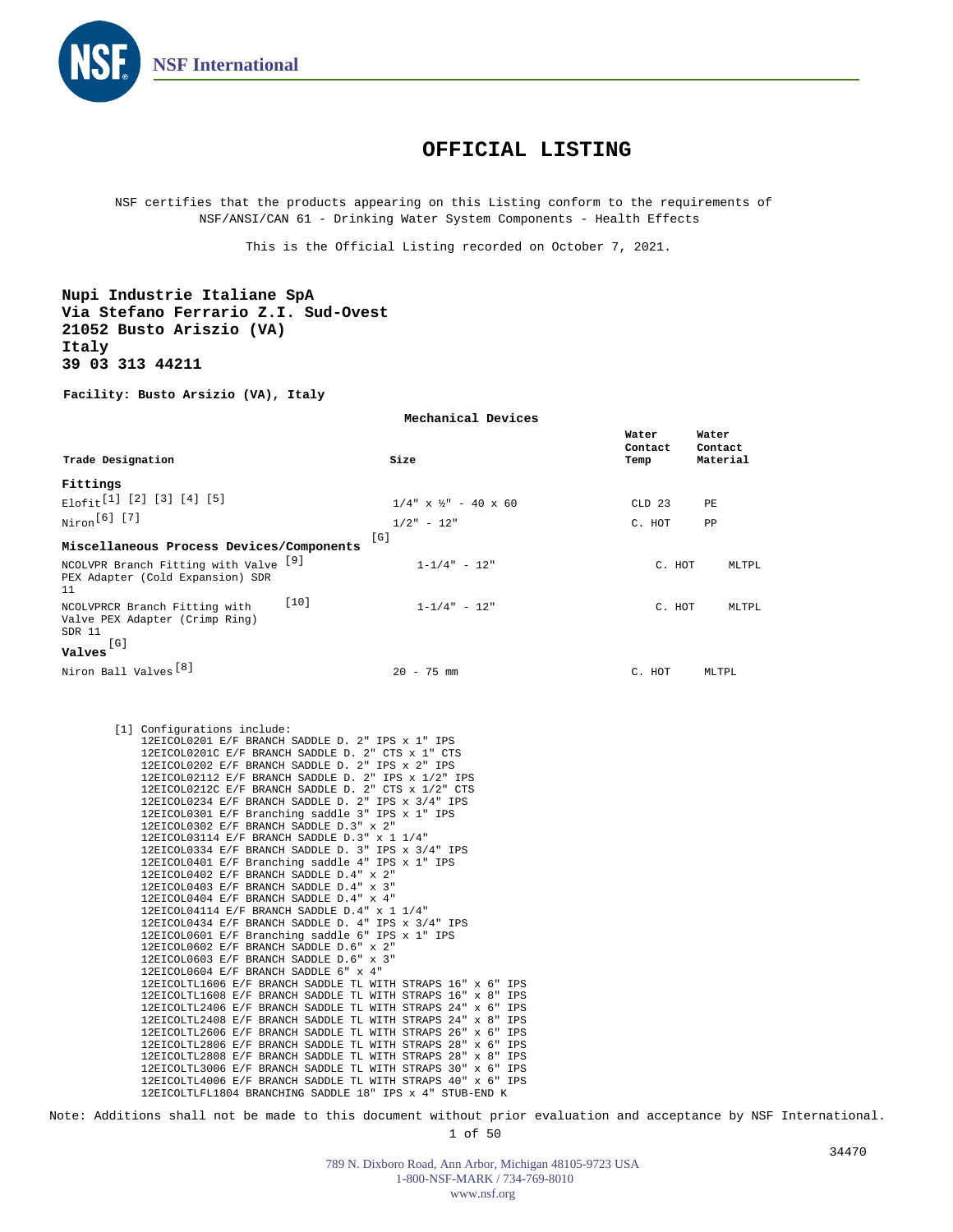

## **OFFICIAL LISTING**

NSF certifies that the products appearing on this Listing conform to the requirements of NSF/ANSI/CAN 61 - Drinking Water System Components - Health Effects

This is the Official Listing recorded on October 7, 2021.

**Nupi Industrie Italiane SpA Via Stefano Ferrario Z.I. Sud-Ovest 21052 Busto Ariszio (VA) Italy 39 03 313 44211**

**Facility: Busto Arsizio (VA), Italy**

| Mechanical Devices                                                                                                                                                                                                                                                                                                                                                                                                                                                     |                                                                                                                                                                                                                                                                                                                                                                                                                                                                                                                                                                                                                                                                                                                                                                                                                                                                                                                                                                                                                                                                                                                               |                                                          |  |  |
|------------------------------------------------------------------------------------------------------------------------------------------------------------------------------------------------------------------------------------------------------------------------------------------------------------------------------------------------------------------------------------------------------------------------------------------------------------------------|-------------------------------------------------------------------------------------------------------------------------------------------------------------------------------------------------------------------------------------------------------------------------------------------------------------------------------------------------------------------------------------------------------------------------------------------------------------------------------------------------------------------------------------------------------------------------------------------------------------------------------------------------------------------------------------------------------------------------------------------------------------------------------------------------------------------------------------------------------------------------------------------------------------------------------------------------------------------------------------------------------------------------------------------------------------------------------------------------------------------------------|----------------------------------------------------------|--|--|
| Trade Designation                                                                                                                                                                                                                                                                                                                                                                                                                                                      | Size                                                                                                                                                                                                                                                                                                                                                                                                                                                                                                                                                                                                                                                                                                                                                                                                                                                                                                                                                                                                                                                                                                                          | Water<br>Water<br>Contact<br>Contact<br>Material<br>Temp |  |  |
|                                                                                                                                                                                                                                                                                                                                                                                                                                                                        |                                                                                                                                                                                                                                                                                                                                                                                                                                                                                                                                                                                                                                                                                                                                                                                                                                                                                                                                                                                                                                                                                                                               |                                                          |  |  |
| Fittings<br>Elofit <sup>[1]</sup> [2] [3] [4] [5]                                                                                                                                                                                                                                                                                                                                                                                                                      |                                                                                                                                                                                                                                                                                                                                                                                                                                                                                                                                                                                                                                                                                                                                                                                                                                                                                                                                                                                                                                                                                                                               |                                                          |  |  |
|                                                                                                                                                                                                                                                                                                                                                                                                                                                                        | $1/4$ " x ½" - 40 x 60                                                                                                                                                                                                                                                                                                                                                                                                                                                                                                                                                                                                                                                                                                                                                                                                                                                                                                                                                                                                                                                                                                        | $CLD$ 23<br>PF.                                          |  |  |
| Niron <sup>[6]</sup> [7]                                                                                                                                                                                                                                                                                                                                                                                                                                               | $1/2" - 12"$                                                                                                                                                                                                                                                                                                                                                                                                                                                                                                                                                                                                                                                                                                                                                                                                                                                                                                                                                                                                                                                                                                                  | PP<br>C. HOT                                             |  |  |
|                                                                                                                                                                                                                                                                                                                                                                                                                                                                        | [G]                                                                                                                                                                                                                                                                                                                                                                                                                                                                                                                                                                                                                                                                                                                                                                                                                                                                                                                                                                                                                                                                                                                           |                                                          |  |  |
| Miscellaneous Process Devices/Components                                                                                                                                                                                                                                                                                                                                                                                                                               |                                                                                                                                                                                                                                                                                                                                                                                                                                                                                                                                                                                                                                                                                                                                                                                                                                                                                                                                                                                                                                                                                                                               |                                                          |  |  |
| NCOLVPR Branch Fitting with Valve [9]<br>PEX Adapter (Cold Expansion) SDR<br>11                                                                                                                                                                                                                                                                                                                                                                                        | $1 - 1/4" - 12"$                                                                                                                                                                                                                                                                                                                                                                                                                                                                                                                                                                                                                                                                                                                                                                                                                                                                                                                                                                                                                                                                                                              | C. HOT<br>MLTPL.                                         |  |  |
| NCOLVPRCR Branch Fitting with<br>Valve PEX Adapter (Crimp Ring)<br>SDR 11                                                                                                                                                                                                                                                                                                                                                                                              | $[10]$<br>$1 - 1/4" - 12"$                                                                                                                                                                                                                                                                                                                                                                                                                                                                                                                                                                                                                                                                                                                                                                                                                                                                                                                                                                                                                                                                                                    | C. HOT<br>MLTPL                                          |  |  |
| [G]<br>Valves                                                                                                                                                                                                                                                                                                                                                                                                                                                          |                                                                                                                                                                                                                                                                                                                                                                                                                                                                                                                                                                                                                                                                                                                                                                                                                                                                                                                                                                                                                                                                                                                               |                                                          |  |  |
| Niron Ball Valves <sup>[8]</sup>                                                                                                                                                                                                                                                                                                                                                                                                                                       | $20 - 75$ mm                                                                                                                                                                                                                                                                                                                                                                                                                                                                                                                                                                                                                                                                                                                                                                                                                                                                                                                                                                                                                                                                                                                  | C. HOT<br>MLTPL                                          |  |  |
| 12EICOL0302 E/F BRANCH SADDLE D.3" x 2"<br>12EICOL03114 E/F BRANCH SADDLE D.3" x 1 1/4"<br>12EICOL0402 E/F BRANCH SADDLE D.4" x 2"<br>12EICOL0403 E/F BRANCH SADDLE D.4" x 3"<br>12EICOL0404 E/F BRANCH SADDLE D.4" x 4"<br>12EICOL04114 E/F BRANCH SADDLE D.4" x 1 1/4"<br>12EICOL0602 E/F BRANCH SADDLE D.6" x 2"<br>12EICOL0603 E/F BRANCH SADDLE D.6" x 3"<br>12EICOL0604 E/F BRANCH SADDLE 6" x 4"<br>12EICOLTL4006 E/F BRANCH SADDLE TL WITH STRAPS 40" x 6" IPS | 12EICOL0201 E/F BRANCH SADDLE D. 2" IPS x 1" IPS<br>12EICOL0201C E/F BRANCH SADDLE D. 2" CTS x 1" CTS<br>12EICOL0202 E/F BRANCH SADDLE D. 2" IPS x 2" IPS<br>12EICOL02112 E/F BRANCH SADDLE D. 2" IPS x 1/2" IPS<br>12EICOL0212C E/F BRANCH SADDLE D. 2" CTS x 1/2" CTS<br>12EICOL0234 E/F BRANCH SADDLE D. 2" IPS x 3/4" IPS<br>12EICOL0301 E/F Branching saddle 3" IPS x 1" IPS<br>12EICOL0334 E/F BRANCH SADDLE D. 3" IPS x 3/4" IPS<br>12EICOL0401 E/F Branching saddle 4" IPS x 1" IPS<br>12EICOL0434 E/F BRANCH SADDLE D. 4" IPS x 3/4" IPS<br>12EICOL0601 E/F Branching saddle 6" IPS x 1" IPS<br>12EICOLTL1606 E/F BRANCH SADDLE TL WITH STRAPS 16" x 6" IPS<br>12EICOLTL1608 E/F BRANCH SADDLE TL WITH STRAPS 16" x 8" IPS<br>12EICOLTL2406 E/F BRANCH SADDLE TL WITH STRAPS 24" x 6" IPS<br>12EICOLTL2408 E/F BRANCH SADDLE TL WITH STRAPS 24" x 8" IPS<br>12EICOLTL2606 E/F BRANCH SADDLE TL WITH STRAPS 26" x 6" IPS<br>12EICOLTL2806 E/F BRANCH SADDLE TL WITH STRAPS 28" x 6" IPS<br>12EICOLTL2808 E/F BRANCH SADDLE TL WITH STRAPS 28" x 8" IPS<br>12EICOLTL3006 E/F BRANCH SADDLE TL WITH STRAPS 30" x 6" IPS |                                                          |  |  |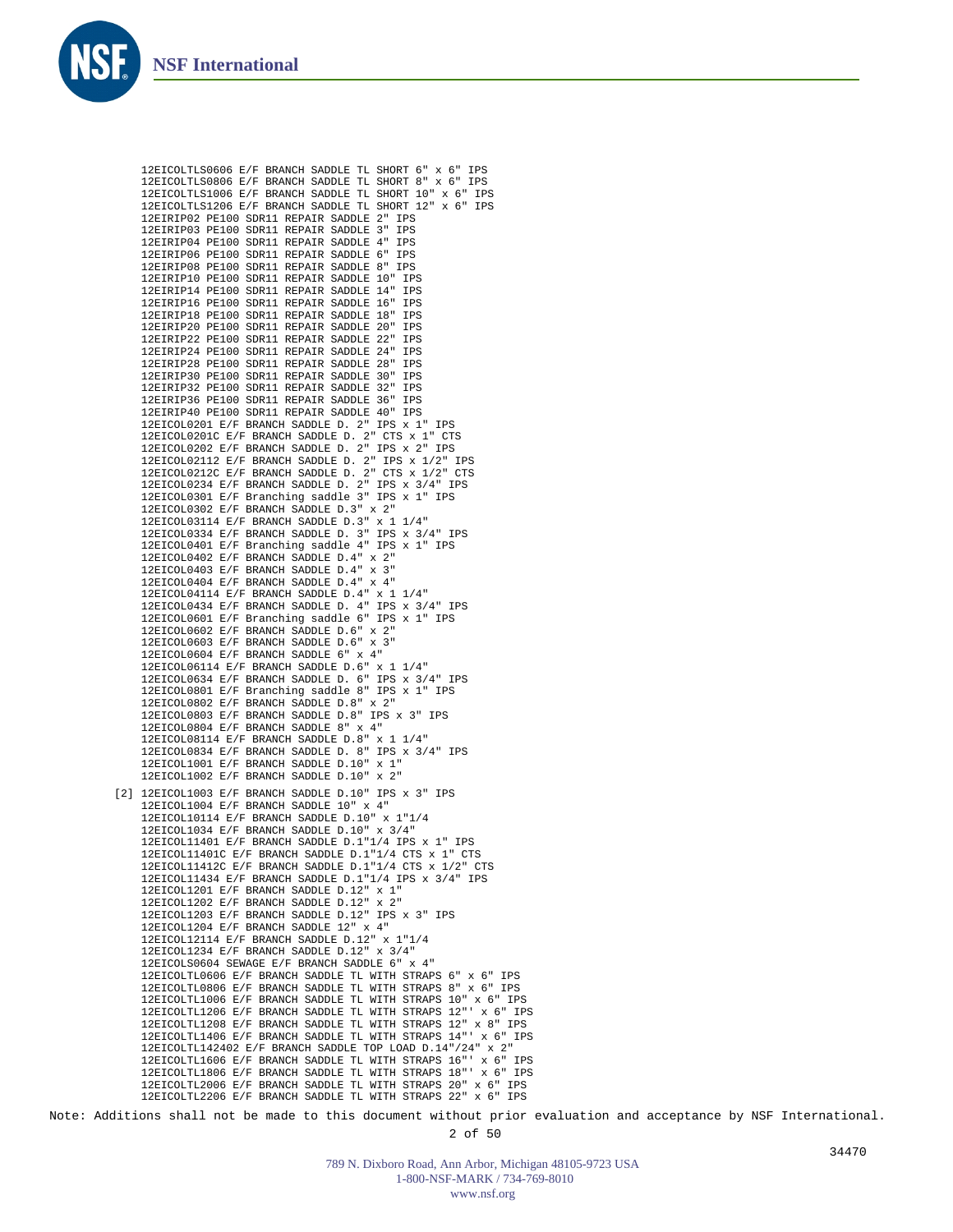

12EICOLTLS0606 E/F BRANCH SADDLE TL SHORT 6" x 6" IPS 12EICOLTLS0806 E/F BRANCH SADDLE TL SHORT 8" x 6" IPS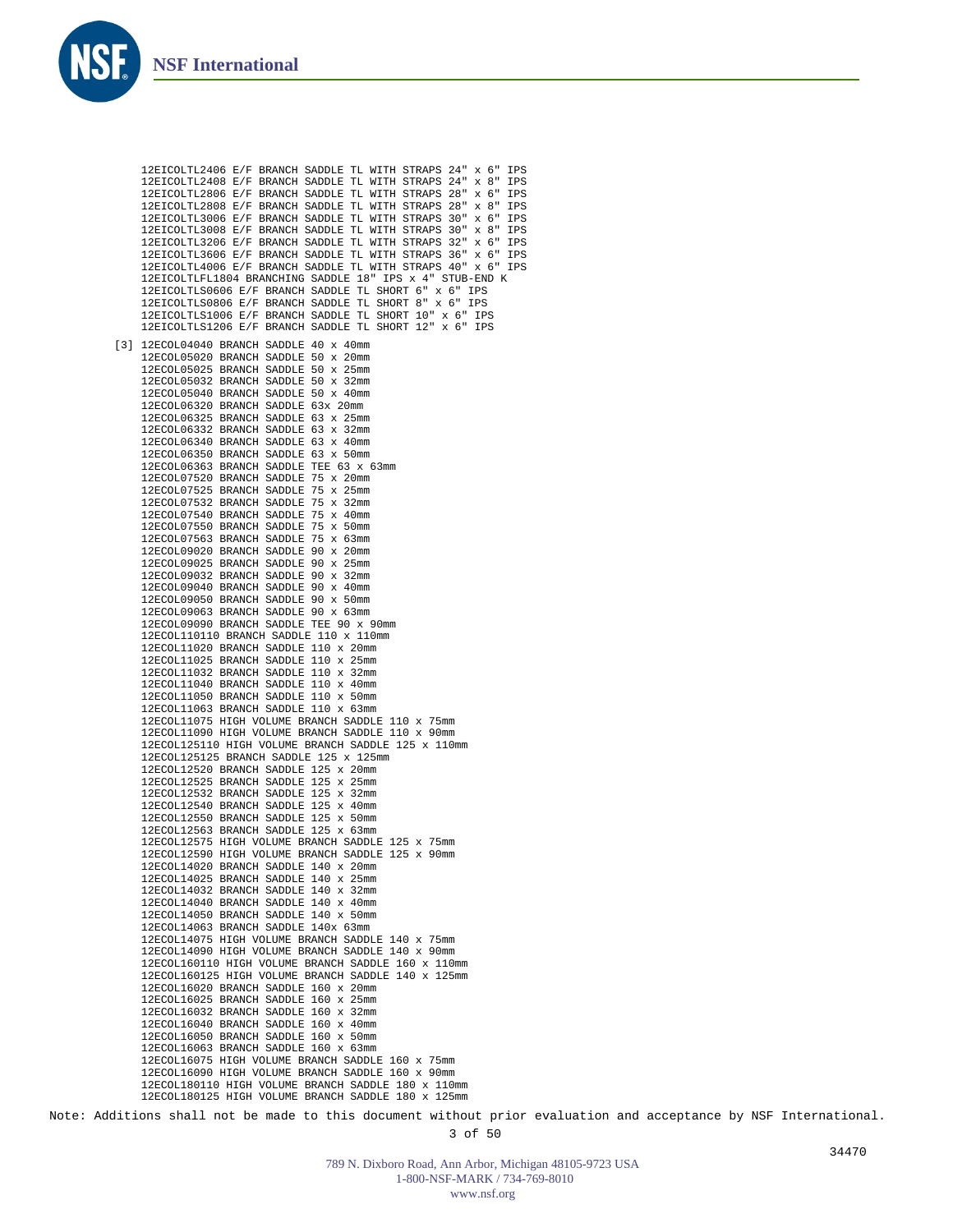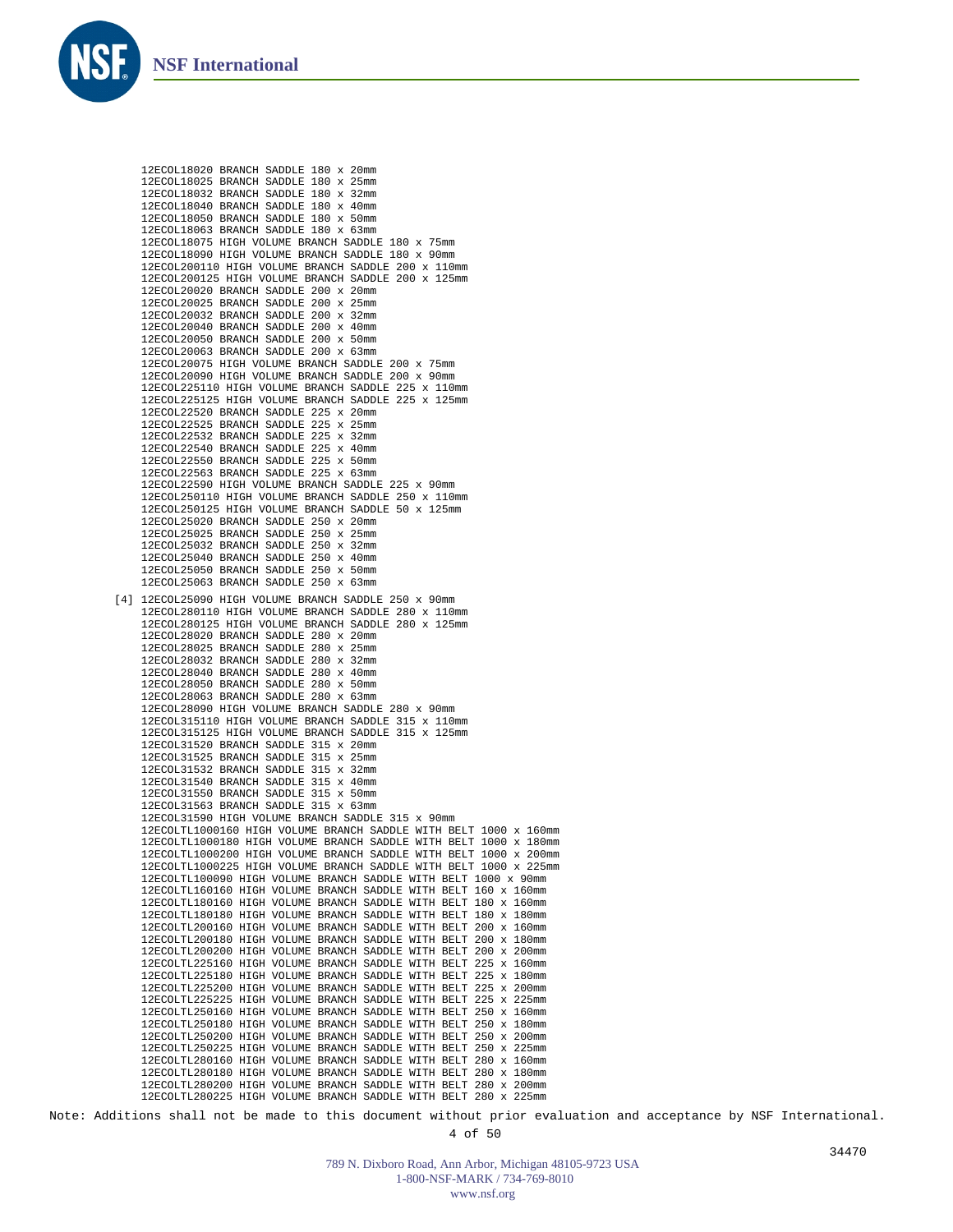

12ECOL18020 BRANCH SADDLE 180 x 20mm 12ECOL18025 BRANCH SADDLE 180 x 25mm 12ECOL18032 BRANCH SADDLE 180 x 32mm 12ECOL18040 BRANCH SADDLE 180 x 40mm 12ECOL18050 BRANCH SADDLE 180 x 50mm 12ECOL18063 BRANCH SADDLE 180 x 63mm 12ECOL18075 HIGH VOLUME BRANCH SADDLE 180 x 75mm 12ECOL18090 HIGH VOLUME BRANCH SADDLE 180 x 90mm 12ECOL200110 HIGH VOLUME BRANCH SADDLE 200 x 110mm 12ECOL200125 HIGH VOLUME BRANCH SADDLE 200 x 125mm 12ECOL20020 BRANCH SADDLE 200 x 20mm 12ECOL20025 BRANCH SADDLE 200 x 25mm 12ECOL20032 BRANCH SADDLE 200 x 32mm 12ECOL20040 BRANCH SADDLE 200 x 40mm 12ECOL20050 BRANCH SADDLE 200 x 50mm 12ECOL20063 BRANCH SADDLE 200 x 63mm 12ECOL20075 HIGH VOLUME BRANCH SADDLE 200 x 75mm 12ECOL20090 HIGH VOLUME BRANCH SADDLE 200 x 90mm 12ECOL225110 HIGH VOLUME BRANCH SADDLE 225 x 110mm 12ECOL225125 HIGH VOLUME BRANCH SADDLE 225 x 125mm 12ECOL22520 BRANCH SADDLE 225 x 20mm 12ECOL22525 BRANCH SADDLE 225 x 25mm 12ECOL22532 BRANCH SADDLE 225 x 32mm 12ECOL22540 BRANCH SADDLE 225 x 40mm 12ECOL22550 BRANCH SADDLE 225 x 50mm 12ECOL22563 BRANCH SADDLE 225 x 63mm 12ECOL22590 HIGH VOLUME BRANCH SADDLE 225 x 90mm 12ECOL250110 HIGH VOLUME BRANCH SADDLE 250 x 110mm 12ECOL250125 HIGH VOLUME BRANCH SADDLE 50 x 125mm 12ECOL25020 BRANCH SADDLE 250 x 20mm 12ECOL25025 BRANCH SADDLE 250 x 25mm 12ECOL25032 BRANCH SADDLE 250 x 32mm 12ECOL25040 BRANCH SADDLE 250 x 40mm 12ECOL25050 BRANCH SADDLE 250 x 50mm 12ECOL25063 BRANCH SADDLE 250 x 63mm 12ECOL25090 HIGH VOLUME BRANCH SADDLE 250 x 90mm [4]12ECOL280110 HIGH VOLUME BRANCH SADDLE 280 x 110mm 12ECOL280125 HIGH VOLUME BRANCH SADDLE 280 x 125mm 12ECOL28020 BRANCH SADDLE 280 x 20mm 12ECOL28025 BRANCH SADDLE 280 x 25mm 12ECOL28032 BRANCH SADDLE 280 x 32mm 12ECOL28040 BRANCH SADDLE 280 x 40mm 12ECOL28050 BRANCH SADDLE 280 x 50mm 12ECOL28063 BRANCH SADDLE 280 x 63mm 12ECOL28090 HIGH VOLUME BRANCH SADDLE 280 x 90mm 12ECOL315110 HIGH VOLUME BRANCH SADDLE 315 x 110mm 12ECOL315125 HIGH VOLUME BRANCH SADDLE 315 x 125mm 12ECOL31520 BRANCH SADDLE 315 x 20mm 12ECOL31525 BRANCH SADDLE 315 x 25mm 12ECOL31532 BRANCH SADDLE 315 x 32mm 12ECOL31540 BRANCH SADDLE 315 x 40mm 12ECOL31550 BRANCH SADDLE 315 x 50mm 12ECOL31563 BRANCH SADDLE 315 x 63mm 12ECOL31590 HIGH VOLUME BRANCH SADDLE 315 x 90mm 12ECOLTL1000160 HIGH VOLUME BRANCH SADDLE WITH BELT 1000 x 160mm 12ECOLTL1000180 HIGH VOLUME BRANCH SADDLE WITH BELT 1000 x 180mm 12ECOLTL1000200 HIGH VOLUME BRANCH SADDLE WITH BELT 1000 x 200mm 12ECOLTL1000225 HIGH VOLUME BRANCH SADDLE WITH BELT 1000 x 225mm 12ECOLTL100090 HIGH VOLUME BRANCH SADDLE WITH BELT 1000 x 90mm 12ECOLTL160160 HIGH VOLUME BRANCH SADDLE WITH BELT 160 x 160mm 12ECOLTL180160 HIGH VOLUME BRANCH SADDLE WITH BELT 180 x 160mm 12ECOLTL180180 HIGH VOLUME BRANCH SADDLE WITH BELT 180 x 180mm 12ECOLTL200160 HIGH VOLUME BRANCH SADDLE WITH BELT 200 x 160mm 12ECOLTL200180 HIGH VOLUME BRANCH SADDLE WITH BELT 200 x 180mm 12ECOLTL200200 HIGH VOLUME BRANCH SADDLE WITH BELT 200 x 200mm 12ECOLTL225160 HIGH VOLUME BRANCH SADDLE WITH BELT 225 x 160mm 12ECOLTL225180 HIGH VOLUME BRANCH SADDLE WITH BELT 225 x 180mm 12ECOLTL225200 HIGH VOLUME BRANCH SADDLE WITH BELT 225 x 200mm 12ECOLTL225225 HIGH VOLUME BRANCH SADDLE WITH BELT 225 x 225mm 12ECOLTL250160 HIGH VOLUME BRANCH SADDLE WITH BELT 250 x 160mm 12ECOLTL250180 HIGH VOLUME BRANCH SADDLE WITH BELT 250 x 180mm 12ECOLTL250200 HIGH VOLUME BRANCH SADDLE WITH BELT 250 x 200mm 12ECOLTL250225 HIGH VOLUME BRANCH SADDLE WITH BELT 250 x 225mm 12ECOLTL280160 HIGH VOLUME BRANCH SADDLE WITH BELT 280 x 160mm 12ECOLTL280180 HIGH VOLUME BRANCH SADDLE WITH BELT 280 x 180mm 12ECOLTL280200 HIGH VOLUME BRANCH SADDLE WITH BELT 280 x 200mm 12ECOLTL280225 HIGH VOLUME BRANCH SADDLE WITH BELT 280 x 225mm

Note: Additions shall not be made to this document without prior evaluation and acceptance by NSF International.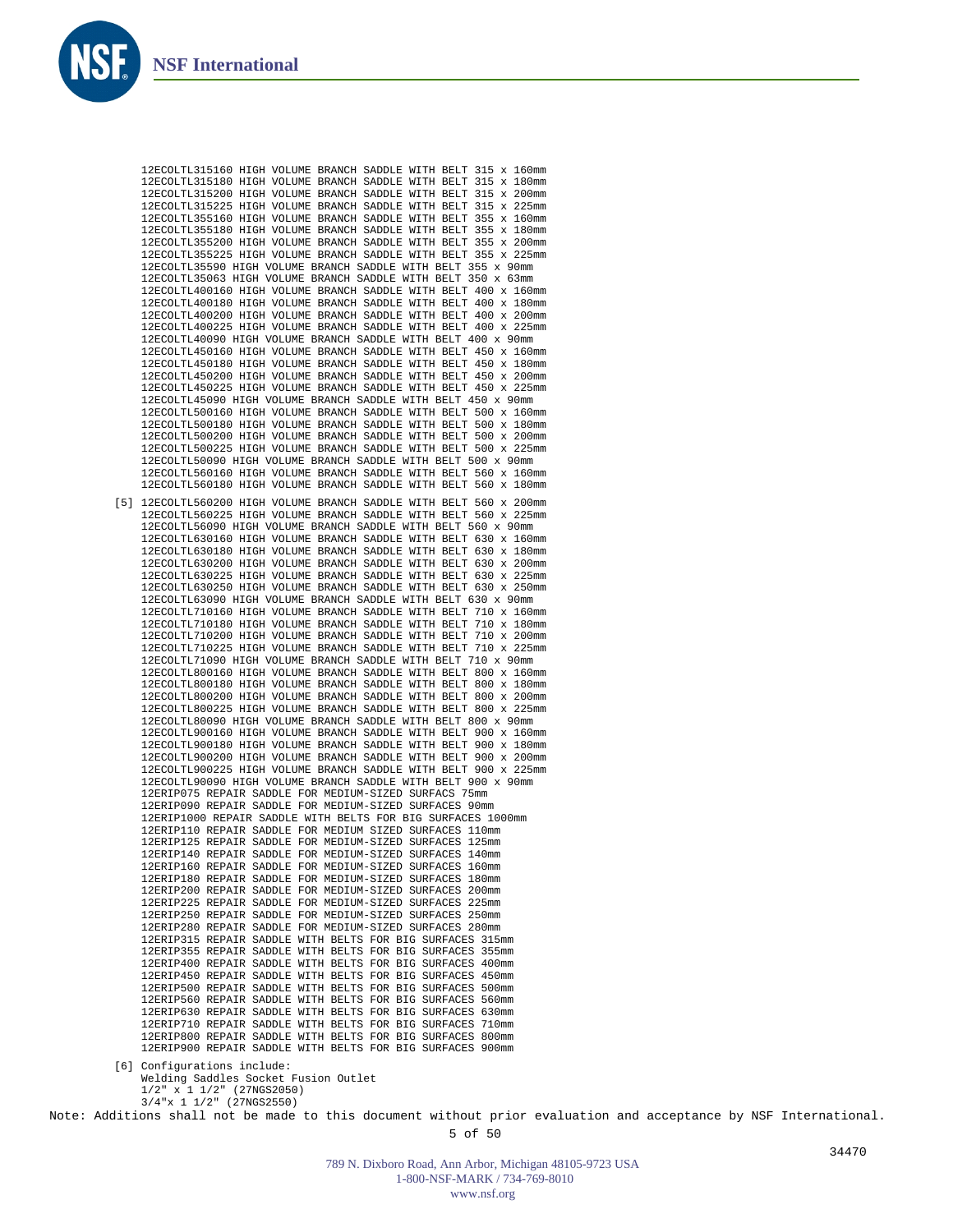

Welding Saddles Socket Fusion Outlet 1/2" x 1 1/2" (27NGS2050) 3/4"x 1 1/2" (27NGS2550)

Note: Additions shall not be made to this document without prior evaluation and acceptance by NSF International.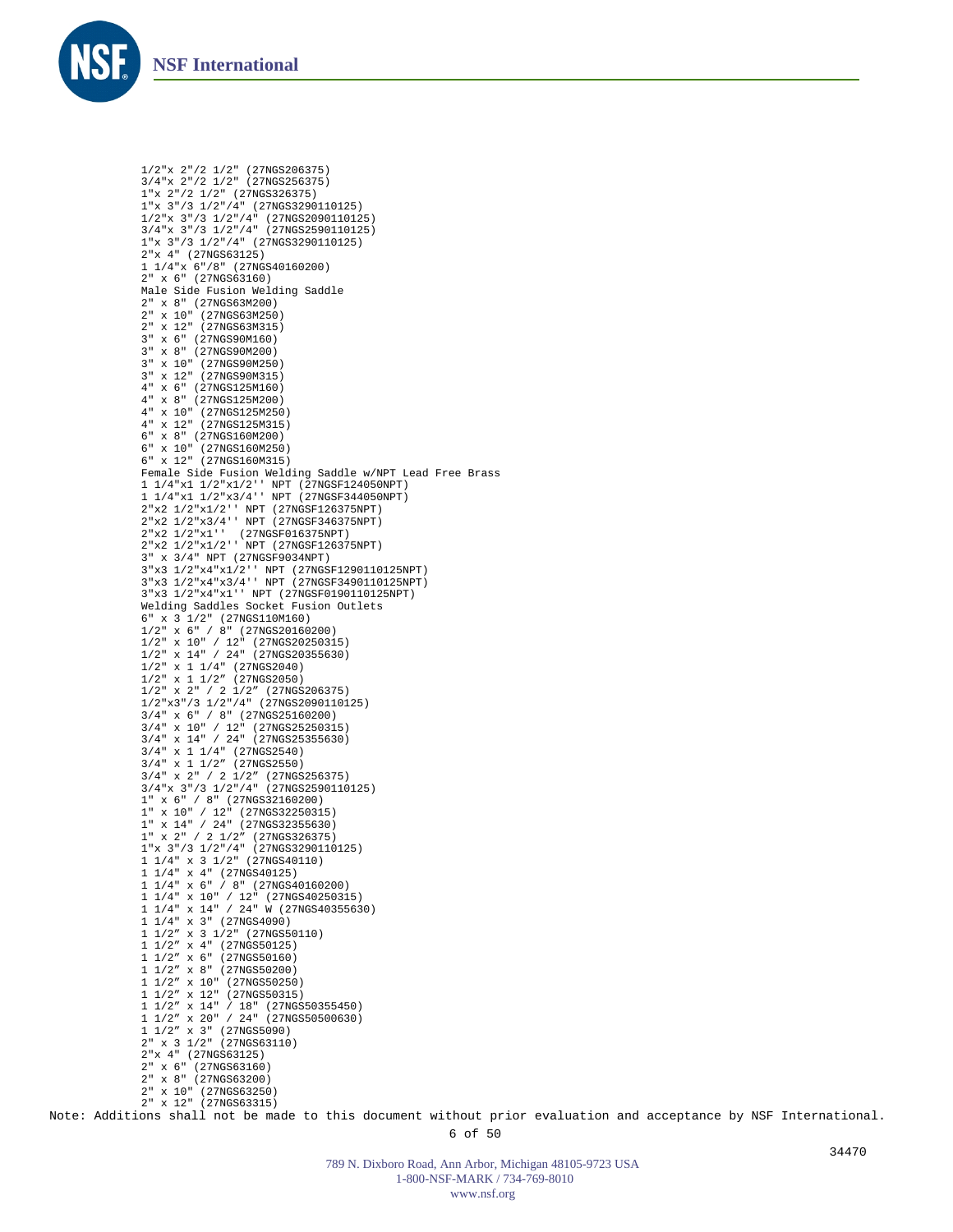

1/2"x 2"/2 1/2" (27NGS206375) 3/4"x 2"/2 1/2" (27NGS256375) 1"x 2"/2 1/2" (27NGS326375) 1"x 3"/3 1/2"/4" (27NGS3290110125) 1/2"x 3"/3 1/2"/4" (27NGS2090110125) 3/4"x 3"/3 1/2"/4" (27NGS2590110125) 1"x 3"/3 1/2"/4" (27NGS3290110125) 2"x 4" (27NGS63125) 1 1/4"x 6"/8" (27NGS40160200) 2" x 6" (27NGS63160) Male Side Fusion Welding Saddle 2" x 8" (27NGS63M200) 2" x 10" (27NGS63M250) 2" x 12" (27NGS63M315) 3" x 6" (27NGS90M160) 3" x 8" (27NGS90M200) 3" x 10" (27NGS90M250) 3" x 12" (27NGS90M315) 4" x 6" (27NGS125M160) 4" x 8" (27NGS125M200) 4" x 10" (27NGS125M250) 4" x 12" (27NGS125M315) 6" x 8" (27NGS160M200) 6" x 10" (27NGS160M250) 6" x 12" (27NGS160M315) Female Side Fusion Welding Saddle w/NPT Lead Free Brass 1 1/4"x1 1/2"x1/2'' NPT (27NGSF124050NPT) 1 1/4"x1 1/2"x3/4'' NPT (27NGSF344050NPT) 2"x2 1/2"x1/2'' NPT (27NGSF126375NPT) 2"x2 1/2"x3/4'' NPT (27NGSF346375NPT) 2"x2 1/2"x1'' (27NGSF016375NPT) 2"x2 1/2"x1/2'' NPT (27NGSF126375NPT) 3" x 3/4" NPT (27NGSF9034NPT) 3"x3 1/2"x4"x1/2'' NPT (27NGSF1290110125NPT) 3"x3 1/2"x4"x3/4'' NPT (27NGSF3490110125NPT) 3"x3 1/2"x4"x1'' NPT (27NGSF0190110125NPT) Welding Saddles Socket Fusion Outlets 6" x 3 1/2" (27NGS110M160) 1/2" x 6" / 8" (27NGS20160200) 1/2" x 10" / 12" (27NGS20250315) 1/2" x 14" / 24" (27NGS20355630) 1/2" x 1 1/4" (27NGS2040) 1/2" x 1 1/2" (27NGS2050) 1/2" x 2" / 2 1/2" (27NGS206375) 1/2"x3"/3 1/2"/4" (27NGS2090110125) 3/4" x 6" / 8" (27NGS25160200) 3/4" x 10" / 12" (27NGS25250315) 3/4" x 14" / 24" (27NGS25355630) 3/4" x 1 1/4" (27NGS2540) 3/4" x 1 1/2" (27NGS2550) 3/4" x 2" / 2 1/2" (27NGS256375) 3/4"x 3"/3 1/2"/4" (27NGS2590110125) 1" x 6" / 8" (27NGS32160200) 1" x 10" / 12" (27NGS32250315)  $1'' \times 14'' / 24'' (27NGS32355630)$ 1" x 2" / 2 1/2" (27NGS326375) 1 "x 3"/3 1/2"/4" (27NGS3290110125)<br>1 1/4" x 3 1/2" (27NGS40110)<br>1 1/4" x 6" / 8" (27NGS40160200)<br>1 1/4" x 14" / 24" W (27NGS40250315)<br>1 1/4" x 14" / 24" W (27NGS40355630)<br>1 1/4" x 3" (27NGS4090) 1 1/2" x 3 1/2" (27NGS50110) 1 1/2" x 4" (27NGS50125) 1 1/2" x 6" (27NGS50160) 1 1/2" x 8" (27NGS50200) 1 1/2" x 10" (27NGS50250) 1 1/2" x 12" (27NGS50315) 1 1/2" x 14" / 18" (27NGS50355450) 1 1/2" x 20" / 24" (27NGS50500630) 1 1/2" x 3" (27NGS5090) 2" x 3 1/2" (27NGS63110) 2"x 4" (27NGS63125) 2" x 6" (27NGS63160) 2" x 8" (27NGS63200) 2" x 10" (27NGS63250) 2" x 12" (27NGS63315)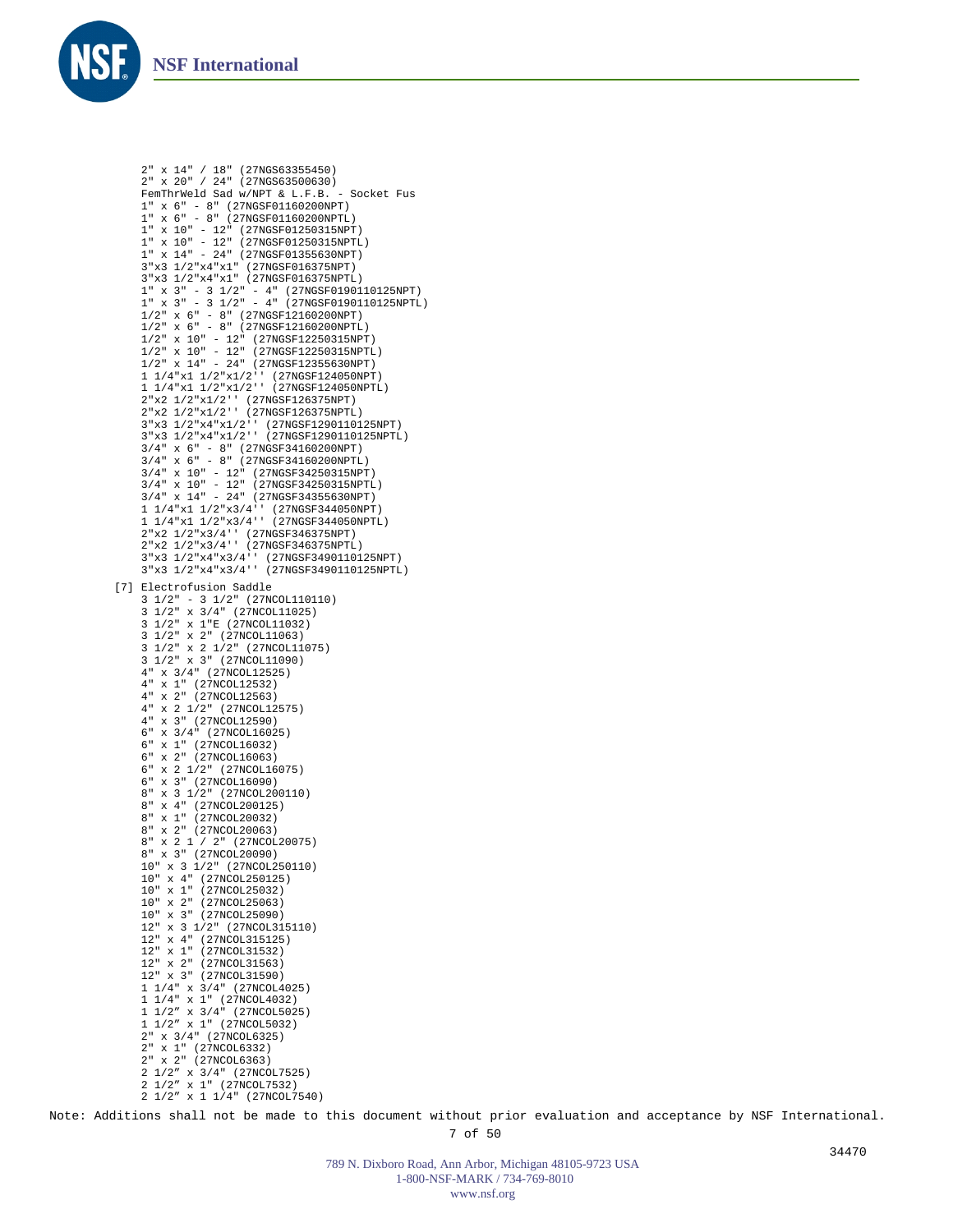

2" x 14" / 18" (27NGS63355450) 2" x 20" / 24" (27NGS63500630) FemThrWeld Sad w/NPT & L.F.B. - Socket Fus 1" x 6" - 8" (27NGSF01160200NPT) 1" x 6" - 8" (27NGSF01160200NPTL) 1" x 10" - 12" (27NGSF01250315NPT) 1" x 10" - 12" (27NGSF01250315NPTL) 1" x 14" - 24" (27NGSF01355630NPT) 3"x3 1/2"x4"x1" (27NGSF016375NPT) 3"x3 1/2"x4"x1" (27NGSF016375NPTL) 1" x 3" - 3 1/2" - 4" (27NGSF0190110125NPT) 1" x 3" - 3 1/2" - 4" (27NGSF0190110125NPTL) 1/2" x 6" - 8" (27NGSF12160200NPT) 1/2" x 6" - 8" (27NGSF12160200NPTL) 1/2" x 10" - 12" (27NGSF12250315NPT) 1/2" x 10" - 12" (27NGSF12250315NPTL) 1/2" x 14" - 24" (27NGSF12355630NPT) 1 1/4"x1 1/2"x1/2'' (27NGSF124050NPT) 1 1/4"x1 1/2"x1/2'' (27NGSF124050NPTL) 2"x2 1/2"x1/2'' (27NGSF126375NPT) 2"x2 1/2"x1/2'' (27NGSF126375NPTL) 3"x3 1/2"x4"x1/2'' (27NGSF1290110125NPT) 3"x3 1/2"x4"x1/2'' (27NGSF1290110125NPTL) 3/4" x 6" - 8" (27NGSF34160200NPT) 3/4" x 6" - 8" (27NGSF34160200NPTL) 3/4" x 10" - 12" (27NGSF34250315NPT) 3/4" x 10" - 12" (27NGSF34250315NPTL) 3/4" x 14" - 24" (27NGSF34355630NPT) 1 1/4"x1 1/2"x3/4'' (27NGSF344050NPT) 1 1/4"x1 1/2"x3/4'' (27NGSF344050NPTL) 2"x2 1/2"x3/4'' (27NGSF346375NPT) 2"x2 1/2"x3/4'' (27NGSF346375NPTL) 3"x3 1/2"x4"x3/4'' (27NGSF3490110125NPT) 3"x3 1/2"x4"x3/4'' (27NGSF3490110125NPTL) [7] Electrofusion Saddle 3 1/2" - 3 1/2" (27NCOL110110) 3 1/2" x 3/4" (27NCOL11025) 3 1/2" x 1"E (27NCOL11032) 3 1/2" x 2" (27NCOL11063) 3 1/2" x 2 1/2" (27NCOL11075) 3 1/2" x 3" (27NCOL11090) 4" x 3/4" (27NCOL12525) 4" x 1" (27NCOL12532) 4" x 2" (27NCOL12563) 4" x 2 1/2" (27NCOL12575) 4" x 3" (27NCOL12590) 6" x 3/4" (27NCOL16025) 6" x 1" (27NCOL16032)  $6" x 2" (27NCOL16063)$ 6" x 2 1/2" (27NCOL16075) 6" x 3" (27NCOL16090) 8" x 3 1/2" (27NCOL200110) 8" x 4" (27NCOL200125) 8" x 1" (27NCOL20032) 8" x 2" (27NCOL20063) 8" x 2 1 / 2" (27NCOL20075) 8" x 3" (27NCOL20090) 10" x 3 1/2" (27NCOL250110) 10" x 4" (27NCOL250125) 10" x 1" (27NCOL25032) 10" x 2" (27NCOL25063) 10" x 3" (27NCOL25090) 12" x 3 1/2" (27NCOL315110) 12" x 4" (27NCOL315125) 12" x 1" (27NCOL31532) 12" x 2" (27NCOL31563) 12" x 3" (27NCOL31590) 1 1/4" x 3/4" (27NCOL4025) 1 1/4" x 1" (27NCOL4032) 1 1/2" x 3/4" (27NCOL5025) 1 1/2" x 1" (27NCOL5032) 2" x 3/4" (27NCOL6325) 2" x 1" (27NCOL6332) 2" x 2" (27NCOL6363) 2 1/2" x 3/4" (27NCOL7525) 2 1/2" x 1" (27NCOL7532) 2 1/2" x 1 1/4" (27NCOL7540)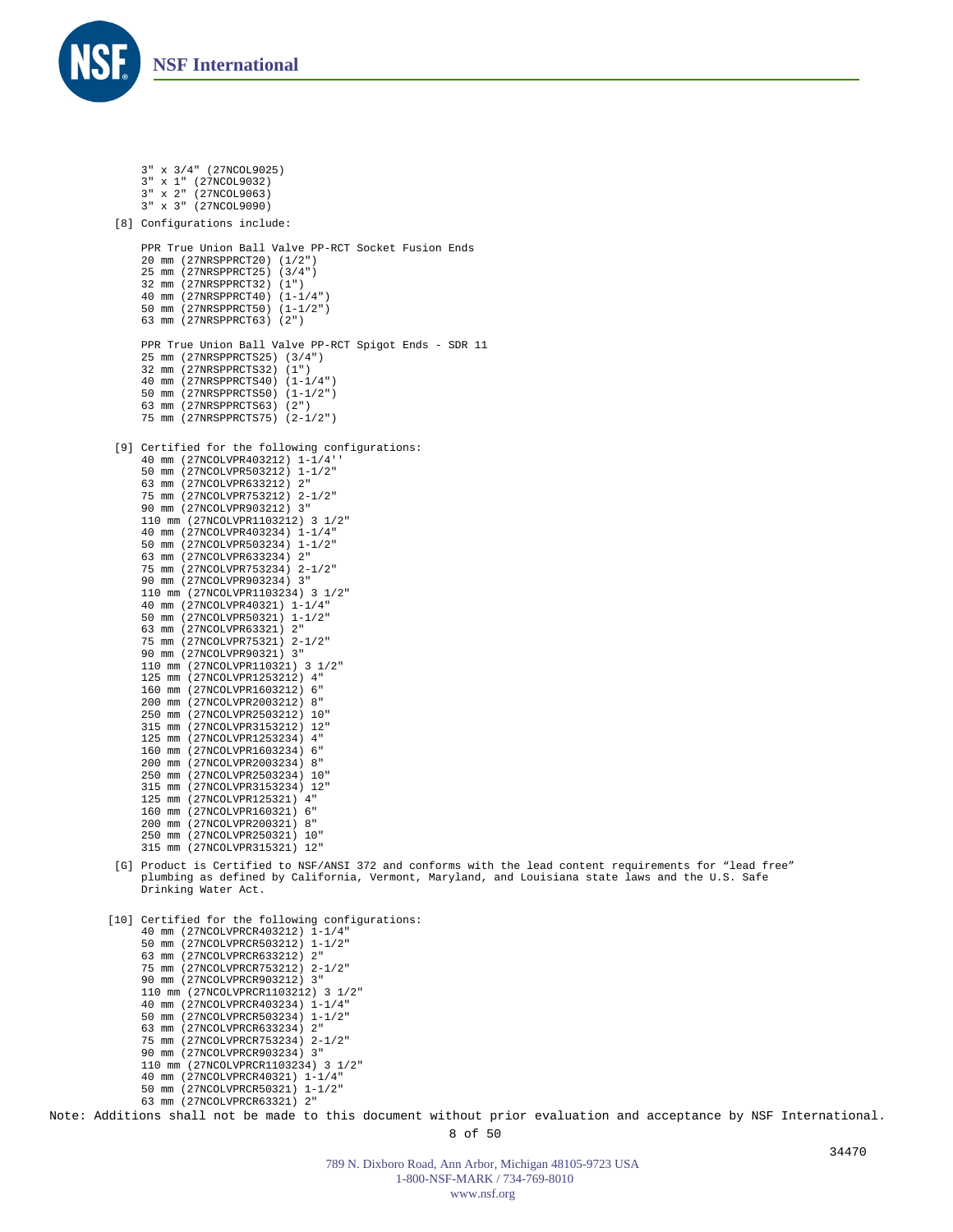

```
3" x 3/4" (27NCOL9025)
     3" x 1" (27NCOL9032)
3" x 2" (27NCOL9063)
    3" x 3" (27NCOL9090)
 [8] Configurations include:
    PPR True Union Ball Valve PP-RCT Socket Fusion Ends 
    20 mm (27NRSPPRCT20) (1/2") 
     25 mm (27NRSPPRCT25) (3/4") 
    32 mm (27NRSPPRCT32) (1") 
     40 mm (27NRSPPRCT40) (1-1/4") 
    50 mm (27NRSPPRCT50) (1-1/2") 
    63 mm (27NRSPPRCT63) (2") 
    PPR True Union Ball Valve PP-RCT Spigot Ends - SDR 11 
    25 mm (27NRSPPRCTS25) (3/4") 
     32 mm (27NRSPPRCTS32) (1") 
     40 mm (27NRSPPRCTS40) (1-1/4") 
    50 mm (27NRSPPRCTS50) (1-1/2") 
     63 mm (27NRSPPRCTS63) (2") 
    75 mm (27NRSPPRCTS75) (2-1/2") 
 [9] Certified for the following configurations:
     40 mm (27NCOLVPR403212) 1-1/4''
     50 mm (27NCOLVPR503212) 1-1/2"
     63 mm (27NCOLVPR633212) 2"
    75 mm (27NCOLVPR753212) 2-1/2"
    90 mm (27NCOLVPR903212) 3"
    110 mm (27NCOLVPR1103212) 3 1/2"
     40 mm (27NCOLVPR403234) 1-1/4"
    50 mm (27NCOLVPR503234) 1-1/2"
    63 mm (27NCOLVPR633234) 2"
    75 mm (27NCOLVPR753234) 2-1/2"
    90 mm (27NCOLVPR903234) 3"
    110 mm (27NCOLVPR1103234) 3 1/2"
    40 mm (27NCOLVPR40321) 1-1/4"
    50 mm (27NCOLVPR50321) 1-1/2"
    63 mm (27NCOLVPR63321) 2"
     75 mm (27NCOLVPR75321) 2-1/2"
    90 mm (27NCOLVPR90321) 3"
    110 mm (27NCOLVPR110321) 3 1/2"
    125 mm (27NCOLVPR1253212) 4"
    160 mm (27NCOLVPR1603212) 6"
     200 mm (27NCOLVPR2003212) 8"
    250 mm (27NCOLVPR2503212) 10"
    315 mm (27NCOLVPR3153212) 12"
    125 mm (27NCOLVPR1253234) 4"
    160 mm (27NCOLVPR1603234) 6"
    200 mm (27NCOLVPR2003234) 8"
    250 mm (27NCOLVPR2503234) 10"
    315 mm (27NCOLVPR3153234) 12"
    125 mm (27NCOLVPR125321) 4"
    160 mm (27NCOLVPR160321) 6"
    200 mm (27NCOLVPR200321) 8"
    250 mm (27NCOLVPR250321) 10"
    315 mm (27NCOLVPR315321) 12"
 [G] Product is Certified to NSF/ANSI 372 and conforms with the lead content requirements for "lead free"
    plumbing as defined by California, Vermont, Maryland, and Louisiana state laws and the U.S. Safe 
    Drinking Water Act.

[10] Certified for the following configurations:
     40 mm (27NCOLVPRCR403212) 1-1/4"
    50 mm (27NCOLVPRCR503212) 1-1/2"
     63 mm (27NCOLVPRCR633212) 2"
     75 mm (27NCOLVPRCR753212) 2-1/2"
    90 mm (27NCOLVPRCR903212) 3"
    110 mm (27NCOLVPRCR1103212) 3 1/2"
     40 mm (27NCOLVPRCR403234) 1-1/4"
    50 mm (27NCOLVPRCR503234) 1-1/2"
    63 mm (27NCOLVPRCR633234) 2"
```
- 
- - 75 mm (27NCOLVPRCR753234) 2-1/2" 90 mm (27NCOLVPRCR903234) 3" 110 mm (27NCOLVPRCR1103234) 3 1/2" 40 mm (27NCOLVPRCR40321) 1-1/4" 50 mm (27NCOLVPRCR50321) 1-1/2" 63 mm (27NCOLVPRCR63321) 2"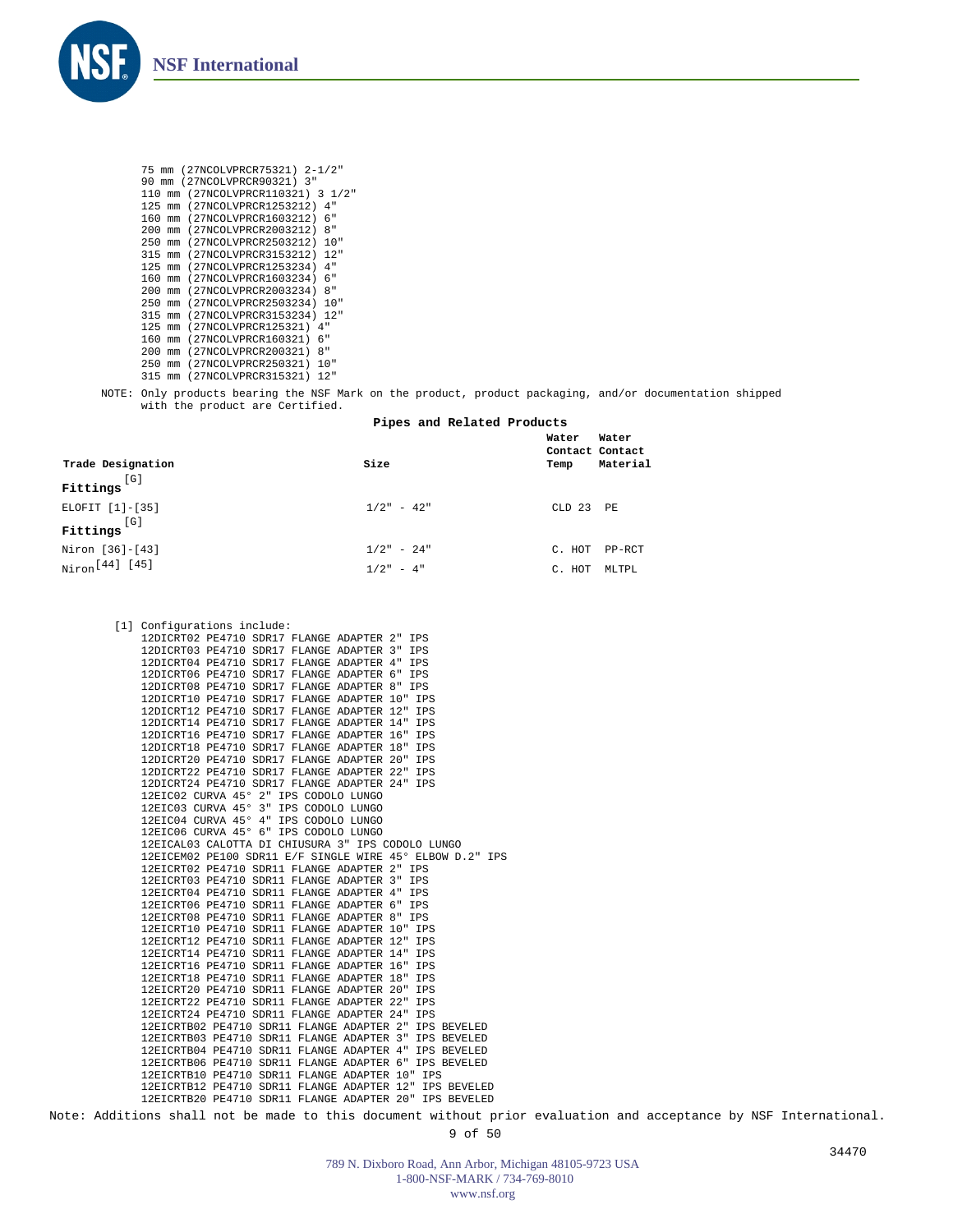

75 mm (27NCOLVPRCR75321) 2-1/2" 90 mm (27NCOLVPRCR90321) 3" 110 mm (27NCOLVPRCR110321) 3 1/2" 125 mm (27NCOLVPRCR1253212) 4" 160 mm (27NCOLVPRCR1603212) 6" 200 mm (27NCOLVPRCR2003212) 8" 250 mm (27NCOLVPRCR2503212) 10" 315 mm (27NCOLVPRCR3153212) 12" 125 mm (27NCOLVPRCR1253234) 4" 160 mm (27NCOLVPRCR1603234) 6" 200 mm (27NCOLVPRCR2003234) 8" 250 mm (27NCOLVPRCR2503234) 10" 315 mm (27NCOLVPRCR3153234) 12" 125 mm (27NCOLVPRCR125321) 4" 160 mm (27NCOLVPRCR160321) 6" 200 mm (27NCOLVPRCR200321) 8" 250 mm (27NCOLVPRCR250321) 10" 315 mm (27NCOLVPRCR315321) 12"

NOTE: Only products bearing the NSF Mark on the product, product packaging, and/or documentation shipped with the product are Certified.

## **Pipes and Related Products**

| Trade Designation<br>[ G ]<br>Fittings        | Size                        | Water<br>Contact Contact<br>Temp | Water<br>Material |
|-----------------------------------------------|-----------------------------|----------------------------------|-------------------|
| ELOFIT [1]-[35]<br>[G]<br>Fittings            | $1/2" - 42"$                | $CLD$ 23                         | PE                |
| Niron [36]-[43]<br>Niron <sup>[44]</sup> [45] | $1/2" - 24"$<br>$1/2" - 4"$ | C. HOT<br>HOT<br>C.              | PP-RCT<br>MLTPL   |

|  | [1] Configurations include:                              |  |  |  |            |  |
|--|----------------------------------------------------------|--|--|--|------------|--|
|  | 12DICRT02 PE4710 SDR17 FLANGE ADAPTER 2"                 |  |  |  | IPS        |  |
|  | 12DICRT03 PE4710 SDR17 FLANGE ADAPTER 3"                 |  |  |  | IPS        |  |
|  | 12DICRT04 PE4710 SDR17 FLANGE ADAPTER 4" IPS             |  |  |  |            |  |
|  | 12DICRT06 PE4710 SDR17 FLANGE ADAPTER 6" IPS             |  |  |  |            |  |
|  | 12DICRT08 PE4710 SDR17 FLANGE ADAPTER 8" IPS             |  |  |  |            |  |
|  | 12DICRT10 PE4710 SDR17 FLANGE ADAPTER 10" IPS            |  |  |  |            |  |
|  | 12DICRT12 PE4710 SDR17 FLANGE ADAPTER 12"                |  |  |  | <b>IPS</b> |  |
|  | 12DICRT14 PE4710 SDR17 FLANGE ADAPTER 14" IPS            |  |  |  |            |  |
|  | 12DICRT16 PE4710 SDR17 FLANGE ADAPTER 16"                |  |  |  | <b>IPS</b> |  |
|  | 12DICRT18 PE4710 SDR17 FLANGE ADAPTER 18"                |  |  |  | <b>IPS</b> |  |
|  | 12DICRT20 PE4710 SDR17 FLANGE ADAPTER 20"                |  |  |  | IPS        |  |
|  | 12DICRT22 PE4710 SDR17 FLANGE ADAPTER 22" IPS            |  |  |  |            |  |
|  | 12DICRT24 PE4710 SDR17 FLANGE ADAPTER 24" IPS            |  |  |  |            |  |
|  | 12EIC02 CURVA 45° 2" IPS CODOLO LUNGO                    |  |  |  |            |  |
|  | 12EIC03 CURVA 45° 3" IPS CODOLO LUNGO                    |  |  |  |            |  |
|  | 12EIC04 CURVA 45° 4" IPS CODOLO LUNGO                    |  |  |  |            |  |
|  | 12EIC06 CURVA 45° 6" IPS CODOLO LUNGO                    |  |  |  |            |  |
|  | 12EICAL03 CALOTTA DI CHIUSURA 3" IPS CODOLO LUNGO        |  |  |  |            |  |
|  | 12EICEM02 PE100 SDR11 E/F SINGLE WIRE 45° ELBOW D.2" IPS |  |  |  |            |  |
|  | 12EICRT02 PE4710 SDR11 FLANGE ADAPTER 2" IPS             |  |  |  |            |  |
|  | 12EICRT03 PE4710 SDR11 FLANGE ADAPTER 3" IPS             |  |  |  |            |  |
|  | 12EICRT04 PE4710 SDR11 FLANGE ADAPTER 4" IPS             |  |  |  |            |  |
|  | 12EICRT06 PE4710 SDR11 FLANGE ADAPTER 6" IPS             |  |  |  |            |  |
|  | 12EICRT08 PE4710 SDR11 FLANGE ADAPTER 8" IPS             |  |  |  |            |  |
|  | 12EICRT10 PE4710 SDR11 FLANGE ADAPTER 10" IPS            |  |  |  |            |  |
|  | 12EICRT12 PE4710 SDR11 FLANGE ADAPTER 12" IPS            |  |  |  |            |  |
|  | 12EICRT14 PE4710 SDR11 FLANGE ADAPTER 14" IPS            |  |  |  |            |  |
|  | 12EICRT16 PE4710 SDR11 FLANGE ADAPTER 16" IPS            |  |  |  |            |  |
|  | 12EICRT18 PE4710 SDR11 FLANGE ADAPTER 18" IPS            |  |  |  |            |  |
|  | 12EICRT20 PE4710 SDR11 FLANGE ADAPTER 20"                |  |  |  | <b>IPS</b> |  |
|  | 12EICRT22 PE4710 SDR11 FLANGE ADAPTER 22"                |  |  |  | <b>IPS</b> |  |
|  | 12EICRT24 PE4710 SDR11 FLANGE ADAPTER 24"                |  |  |  | <b>IPS</b> |  |
|  | 12EICRTB02 PE4710 SDR11 FLANGE ADAPTER 2" IPS BEVELED    |  |  |  |            |  |
|  | 12EICRTB03 PE4710 SDR11 FLANGE ADAPTER 3" IPS BEVELED    |  |  |  |            |  |
|  | 12EICRTB04 PE4710 SDR11 FLANGE ADAPTER 4" IPS BEVELED    |  |  |  |            |  |
|  | 12EICRTB06 PE4710 SDR11 FLANGE ADAPTER 6" IPS BEVELED    |  |  |  |            |  |
|  | 12EICRTB10 PE4710 SDR11 FLANGE ADAPTER 10" IPS           |  |  |  |            |  |
|  | 12EICRTB12 PE4710 SDR11 FLANGE ADAPTER 12" IPS BEVELED   |  |  |  |            |  |
|  | 12EICRTB20 PE4710 SDR11 FLANGE ADAPTER 20" IPS BEVELED   |  |  |  |            |  |
|  |                                                          |  |  |  |            |  |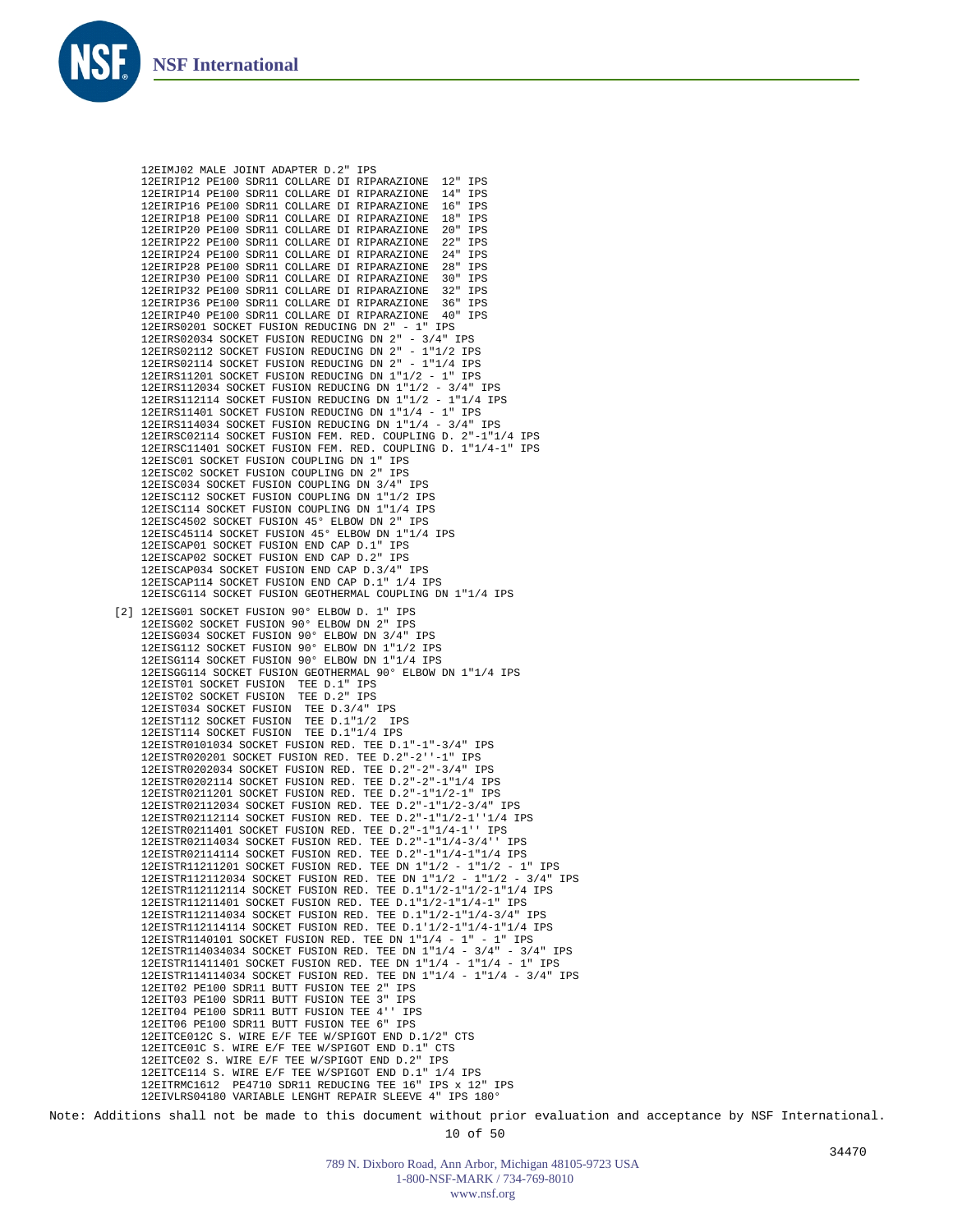

12EIMJ02 MALE JOINT ADAPTER D.2" IPS 12EIRIP12 PE100 SDR11 COLLARE DI RIPARAZIONE 12" IPS 12EIRIP14 PE100 SDR11 COLLARE DI RIPARAZIONE 14" IPS 12EIRIP16 PE100 SDR11 COLLARE DI RIPARAZIONE 16" 12EIRIP18 PE100 SDR11 COLLARE DI RIPARAZIONE 18" IPS 12EIRIP20 PE100 SDR11 COLLARE DI RIPARAZIONE 20" 12EIRIP22 PE100 SDR11 COLLARE DI RIPARAZIONE 22" IPS 12EIRIP24 PE100 SDR11 COLLARE DI RIPARAZIONE 24" IPS 12EIRIP28 PE100 SDR11 COLLARE DI RIPARAZIONE 28" IPS 12EIRIP30 PE100 SDR11 COLLARE DI RIPARAZIONE 12EIRIP32 PE100 SDR11 COLLARE DI RIPARAZIONE 32" IPS 12EIRIP36 PE100 SDR11 COLLARE DI RIPARAZIONE 36" IPS 12EIRIP40 PE100 SDR11 COLLARE DI RIPARAZIONE 40" IPS 12EIRS0201 SOCKET FUSION REDUCING DN 2" - 1" IPS 12EIRS02034 SOCKET FUSION REDUCING DN 2" - 3/4" IPS 12EIRS02112 SOCKET FUSION REDUCING DN 2" - 1"1/2 IPS 12EIRS02114 SOCKET FUSION REDUCING DN 2" - 1"1/4 IPS 12EIRS11201 SOCKET FUSION REDUCING DN 1"1/2 - 1" IPS 12EIRS112034 SOCKET FUSION REDUCING DN 1"1/2 - 3/4" IPS 12EIRS112114 SOCKET FUSION REDUCING DN 1"1/2 - 1"1/4 IPS 12EIRS11401 SOCKET FUSION REDUCING DN 1"1/4 - 1" IPS 12EIRS114034 SOCKET FUSION REDUCING DN 1"1/4 - 3/4" IPS 12EIRSC02114 SOCKET FUSION FEM. RED. COUPLING D. 2"-1"1/4 IPS 12EIRSC11401 SOCKET FUSION FEM. RED. COUPLING D. 1"1/4-1" IPS 12EISC01 SOCKET FUSION COUPLING DN 1" IPS 12EISC02 SOCKET FUSION COUPLING DN 2" IPS 12EISC034 SOCKET FUSION COUPLING DN 3/4" IPS 12EISC112 SOCKET FUSION COUPLING DN 1"1/2 IPS 12EISC114 SOCKET FUSION COUPLING DN 1"1/4 IPS 12EISC4502 SOCKET FUSION 45° ELBOW DN 2" IPS 12EISC45114 SOCKET FUSION 45° ELBOW DN 1"1/4 IPS 12EISCAP01 SOCKET FUSION END CAP D.1" IPS 12EISCAP02 SOCKET FUSION END CAP D.2" IPS 12EISCAP034 SOCKET FUSION END CAP D.3/4" IPS 12EISCAP114 SOCKET FUSION END CAP D.1" 1/4 IPS 12EISCG114 SOCKET FUSION GEOTHERMAL COUPLING DN 1"1/4 IPS [2] 12EISG01 SOCKET FUSION 90° ELBOW D. 1" IPS 12EISG02 SOCKET FUSION 90° ELBOW DN 2" IPS 12EISG034 SOCKET FUSION 90° ELBOW DN 3/4" IPS 12EISG112 SOCKET FUSION 90° ELBOW DN 1"1/2 IPS 12EISG114 SOCKET FUSION 90° ELBOW DN 1"1/4 IPS 12EISGG114 SOCKET FUSION GEOTHERMAL 90° ELBOW DN 1"1/4 IPS 12EIST01 SOCKET FUSION TEE D.1" IPS 12EIST02 SOCKET FUSION TEE D.2" IPS 12EIST034 SOCKET FUSION TEE D.3/4" IPS 12EIST112 SOCKET FUSION TEE D.1"1/2 IPS 12EIST114 SOCKET FUSION TEE D.1"1/4 IPS 12EISTR0101034 SOCKET FUSION RED. TEE D.1"-1"-3/4" IPS 12EISTR020201 SOCKET FUSION RED. TEE D.2"-2''-1" IPS 12EISTR0202034 SOCKET FUSION RED. TEE D.2"-2"-3/4" IPS 12EISTR0202114 SOCKET FUSION RED. TEE D.2"-2"-1"1/4 IPS 12EISTR0211201 SOCKET FUSION RED. TEE D.2"-1"1/2-1" IPS 12EISTR02112034 SOCKET FUSION RED. TEE D.2"-1"1/2-3/4" IPS 12EISTR02112114 SOCKET FUSION RED. TEE D.2"-1"1/2-1''1/4 IPS 12EISTR0211401 SOCKET FUSION RED. TEE D.2"-1"1/4-1'' IPS 12EISTR02114034 SOCKET FUSION RED. TEE D.2"-1"1/4-3/4'' IPS 12EISTR02114114 SOCKET FUSION RED. TEE D.2"-1"1/4-1"1/4 IPS 12EISTR11211201 SOCKET FUSION RED. TEE DN 1"1/2 - 1"1/2 - 1" IPS 12EISTR112112034 SOCKET FUSION RED. TEE DN 1"1/2 - 1"1/2 - 3/4" IPS 12EISTR112112114 SOCKET FUSION RED. TEE D.1"1/2-1"1/2-1"1/4 IPS 12EISTR11211401 SOCKET FUSION RED. TEE D.1"1/2-1"1/4-1" IPS 12EISTR112114034 SOCKET FUSION RED. TEE D.1"1/2-1"1/4-3/4" IPS 12EISTR112114114 SOCKET FUSION RED. TEE D.1'1/2-1"1/4-1"1/4 IPS 12EISTR1140101 SOCKET FUSION RED. TEE DN 1"1/4 - 1" - 1" IPS 12EISTR114034034 SOCKET FUSION RED. TEE DN 1"1/4 - 3/4" - 3/4" IPS 12EISTR11411401 SOCKET FUSION RED. TEE DN 1"1/4 - 1"1/4 - 1" IPS 12EISTR114114034 SOCKET FUSION RED. TEE DN 1"1/4 - 1"1/4 - 3/4" IPS 12EIT02 PE100 SDR11 BUTT FUSION TEE 2" IPS 12EIT03 PE100 SDR11 BUTT FUSION TEE 3" IPS 12EIT04 PE100 SDR11 BUTT FUSION TEE 4'' IPS 12EIT06 PE100 SDR11 BUTT FUSION TEE 6" IPS 12EITCE012C S. WIRE E/F TEE W/SPIGOT END D.1/2" CTS 12EITCE01C S. WIRE E/F TEE W/SPIGOT END D.1" CTS 12EITCE02 S. WIRE E/F TEE W/SPIGOT END D.2" IPS 12EITCE114 S. WIRE E/F TEE W/SPIGOT END D.1" 1/4 IPS 12EITRMC1612 PE4710 SDR11 REDUCING TEE 16" IPS x 12" IPS 12EIVLRS04180 VARIABLE LENGHT REPAIR SLEEVE 4" IPS 180°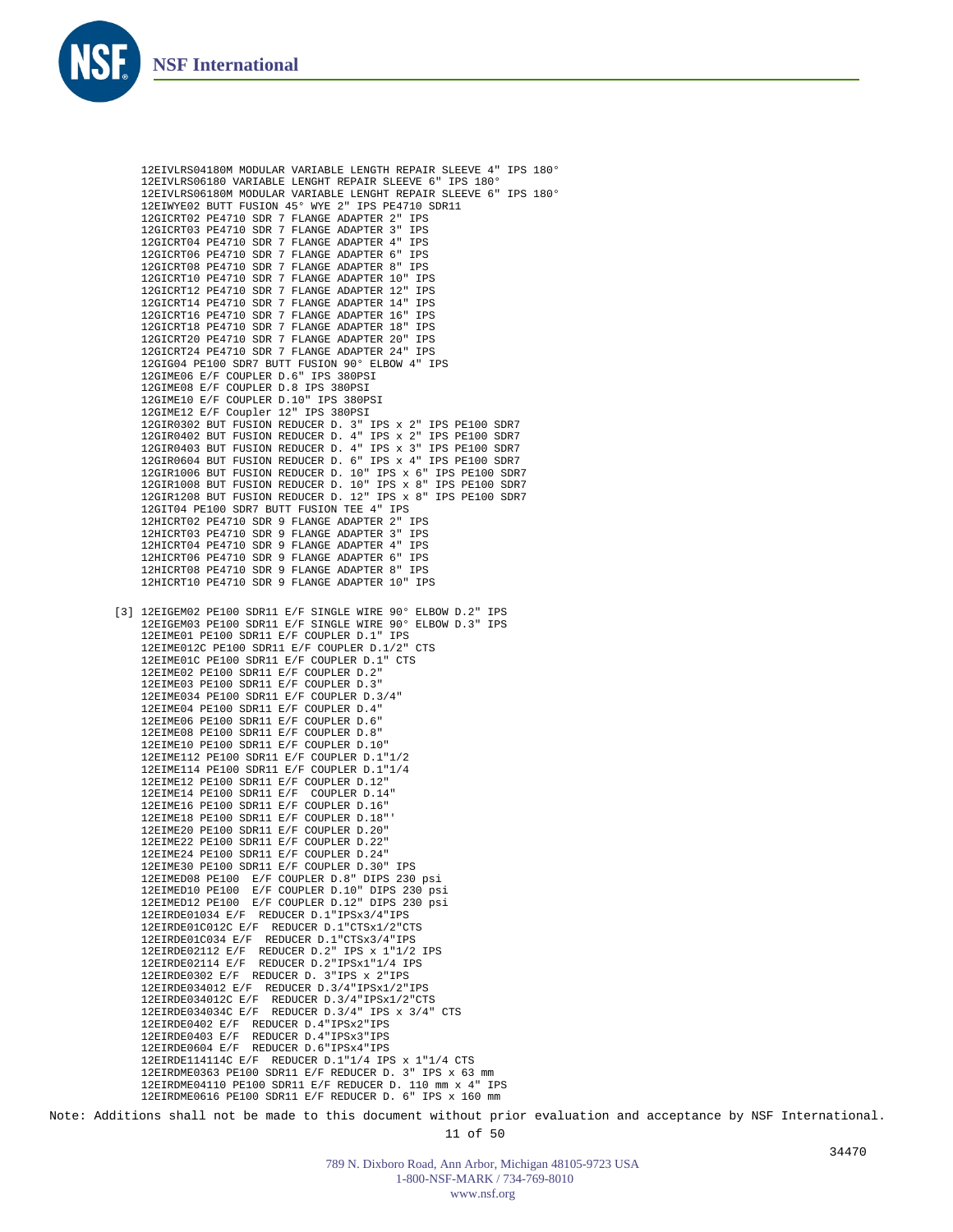

12EIVLRS04180M MODULAR VARIABLE LENGTH REPAIR SLEEVE 4" IPS 180° 12EIVLRS06180 VARIABLE LENGHT REPAIR SLEEVE 6" IPS 180° 12EIVLRS06180M MODULAR VARIABLE LENGHT REPAIR SLEEVE 6" IPS 180° 12EIWYE02 BUTT FUSION 45° WYE 2" IPS PE4710 SDR11 12GICRT02 PE4710 SDR 7 FLANGE ADAPTER 2" IPS 12GICRT03 PE4710 SDR 7 FLANGE ADAPTER 3" IPS 12GICRT04 PE4710 SDR 7 FLANGE ADAPTER 4" IPS 12GICRT06 PE4710 SDR 7 FLANGE ADAPTER 6" IPS 12GICRT08 PE4710 SDR 7 FLANGE ADAPTER 8" IPS 12GICRT10 PE4710 SDR 7 FLANGE ADAPTER 10" IPS 12GICRT12 PE4710 SDR 7 FLANGE ADAPTER 12" IPS 12GICRT14 PE4710 SDR 7 FLANGE ADAPTER 14" IPS 12GICRT16 PE4710 SDR 7 FLANGE ADAPTER 16" IPS 12GICRT18 PE4710 SDR 7 FLANGE ADAPTER 18" IPS 12GICRT20 PE4710 SDR 7 FLANGE ADAPTER 20" IPS 12GICRT24 PE4710 SDR 7 FLANGE ADAPTER 24" IPS 12GIG04 PE100 SDR7 BUTT FUSION 90° ELBOW 4" IPS 12GIME06 E/F COUPLER D.6" IPS 380PSI 12GIME08 E/F COUPLER D.8 IPS 380PSI 12GIME10 E/F COUPLER D.10" IPS 380PSI 12GIME12 E/F Coupler 12" IPS 380PSI 12GIR0302 BUT FUSION REDUCER D. 3" IPS x 2" IPS PE100 SDR7 12GIR0402 BUT FUSION REDUCER D. 4" IPS x 2" IPS PE100 SDR7 12GIR0403 BUT FUSION REDUCER D. 4" IPS x 3" IPS PE100 SDR7 12GIR0604 BUT FUSION REDUCER D. 6" IPS x 4" IPS PE100 SDR7 12GIR1006 BUT FUSION REDUCER D. 10" IPS x 6" IPS PE100 SDR7 12GIR1008 BUT FUSION REDUCER D. 10" IPS x 8" IPS PE100 SDR7 12GIR1208 BUT FUSION REDUCER D. 12" IPS x 8" IPS PE100 SDR7 12GIT04 PE100 SDR7 BUTT FUSION TEE 4" IPS 12HICRT02 PE4710 SDR 9 FLANGE ADAPTER 2" IPS 12HICRT03 PE4710 SDR 9 FLANGE ADAPTER 3" IPS 12HICRT04 PE4710 SDR 9 FLANGE ADAPTER 4" IPS 12HICRT06 PE4710 SDR 9 FLANGE ADAPTER 6" IPS 12HICRT08 PE4710 SDR 9 FLANGE ADAPTER 8" IPS 12HICRT10 PE4710 SDR 9 FLANGE ADAPTER 10" IPS [3] 12EIGEM02 PE100 SDR11 E/F SINGLE WIRE 90° ELBOW D.2" IPS 12EIGEM03 PE100 SDR11 E/F SINGLE WIRE 90° ELBOW D.3" IPS 12EIME01 PE100 SDR11 E/F COUPLER D.1" IPS 12EIME012C PE100 SDR11 E/F COUPLER D.1/2" CTS 12EIME01C PE100 SDR11 E/F COUPLER D.1" CTS 12EIME02 PE100 SDR11 E/F COUPLER D.2" 12EIME03 PE100 SDR11 E/F COUPLER D.3" 12EIME034 PE100 SDR11 E/F COUPLER D.3/4" 12EIME04 PE100 SDR11 E/F COUPLER D.4" 12EIME06 PE100 SDR11 E/F COUPLER D.6" 12EIME08 PE100 SDR11 E/F COUPLER D.8" 12EIME10 PE100 SDR11 E/F COUPLER D.10" 12EIME112 PE100 SDR11 E/F COUPLER D.1"1/2 12EIME114 PE100 SDR11 E/F COUPLER D.1"1/4 12EIME12 PE100 SDR11 E/F COUPLER D.12" 12EIME14 PE100 SDR11 E/F COUPLER D.14" 12EIME16 PE100 SDR11 E/F COUPLER D.16" 12EIME18 PE100 SDR11 E/F COUPLER D.18"' 12EIME20 PE100 SDR11 E/F COUPLER D.20" 12EIME22 PE100 SDR11 E/F COUPLER D.22" 12EIME24 PE100 SDR11 E/F COUPLER D.24" 12EIME30 PE100 SDR11 E/F COUPLER D.30" IPS 12EIMED08 PE100 E/F COUPLER D.8" DIPS 230 psi 12EIMED10 PE100 E/F COUPLER D.10" DIPS 230 psi 12EIMED12 PE100 E/F COUPLER D.12" DIPS 230 psi 12EIRDE01034 E/F REDUCER D.1"IPSx3/4"IPS 12EIRDE01C012C E/F REDUCER D.1"CTSx1/2"CTS 12EIRDE01C034 E/F REDUCER D.1"CTSx3/4"IPS 12EIRDE02112 E/F REDUCER D.2" IPS x 1"1/2 IPS 12EIRDE02114 E/F REDUCER D.2"IPSx1"1/4 IPS 12EIRDE0302 E/F REDUCER D. 3"IPS x 2"IPS 12EIRDE034012 E/F REDUCER D.3/4"IPSx1/2"IPS 12EIRDE034012C E/F REDUCER D.3/4"IPSx1/2"CTS 12EIRDE034034C E/F REDUCER D.3/4" IPS x 3/4" CTS 12EIRDE0402 E/F REDUCER D.4"IPSx2"IPS 12EIRDE0403 E/F REDUCER D.4"IPSx3"IPS 12EIRDE0604 E/F REDUCER D.6"IPSx4"IPS 12EIRDE114114C E/F REDUCER D.1"1/4 IPS x 1"1/4 CTS 12EIRDME0363 PE100 SDR11 E/F REDUCER D. 3" IPS x 63 mm 12EIRDME04110 PE100 SDR11 E/F REDUCER D. 110 mm x 4" IPS 12EIRDME0616 PE100 SDR11 E/F REDUCER D. 6" IPS x 160 mm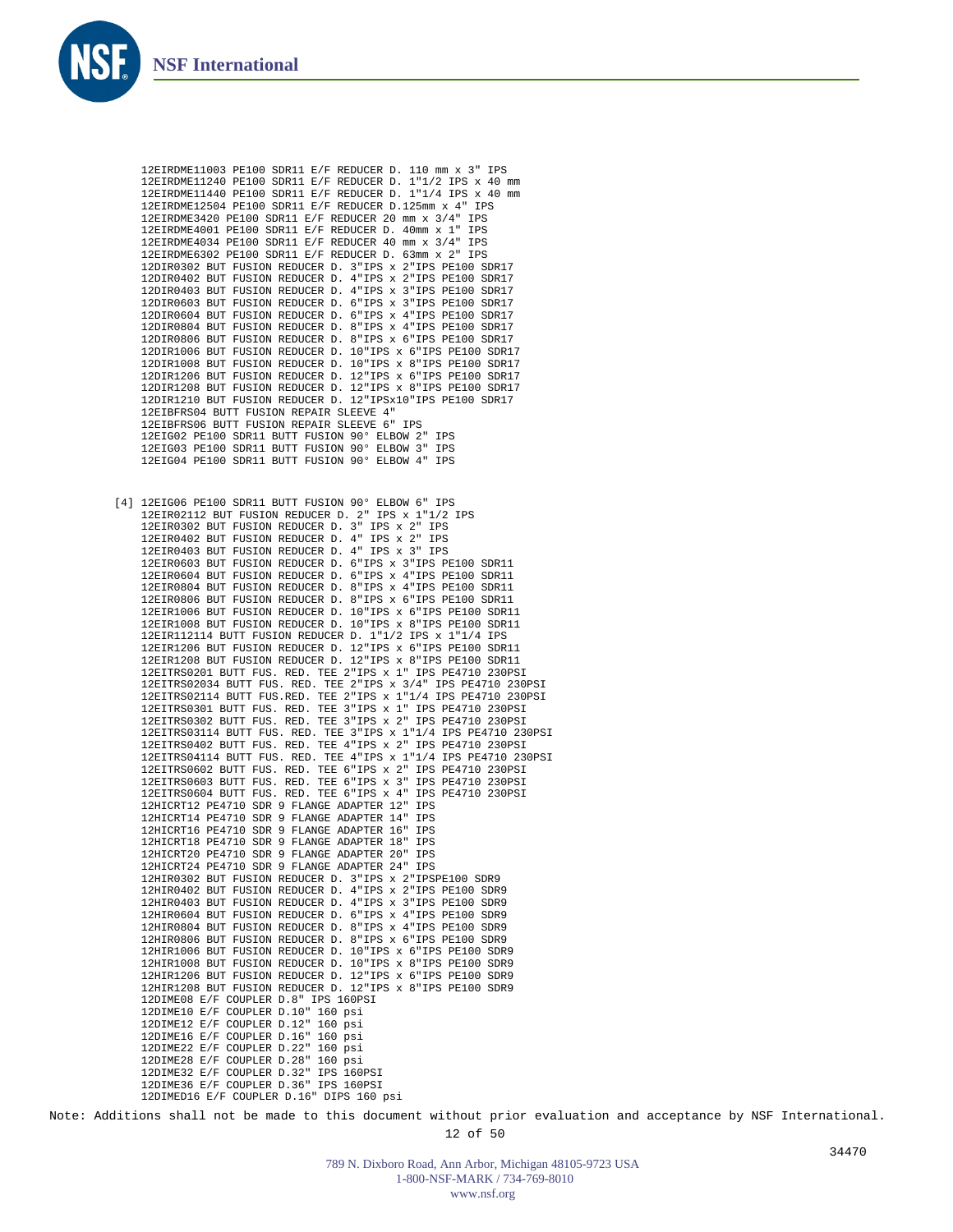

12EIRDME11003 PE100 SDR11 E/F REDUCER D. 110 mm x 3" IPS 12EIRDME11240 PE100 SDR11 E/F REDUCER D. 1"1/2 IPS x 40 mm 12EIRDME11440 PE100 SDR11 E/F REDUCER D. 1"1/4 IPS x 40 mm 12EIRDME12504 PE100 SDR11 E/F REDUCER D.125mm x 4" IPS 12EIRDME3420 PE100 SDR11 E/F REDUCER 20 mm x 3/4" IPS 12EIRDME4001 PE100 SDR11 E/F REDUCER D. 40mm x 1" 12EIRDME4034 PE100 SDR11 E/F REDUCER 40 mm x 3/4" IPS 12EIRDME6302 PE100 SDR11 E/F REDUCER D. 63mm x 2" IPS 12DIR0302 BUT FUSION REDUCER D. 3"IPS x 2"IPS PE100 SDR17 12DIR0402 BUT FUSION REDUCER D. 4"IPS x 2"IPS PE100 SDR17 12DIR0403 BUT FUSION REDUCER D. 4"IPS x 3"IPS PE100 SDR17 12DIR0603 BUT FUSION REDUCER D. 6"IPS x 3"IPS PE100 SDR17 12DIR0604 BUT FUSION REDUCER D. 6"IPS x 4"IPS PE100 SDR17 12DIR0804 BUT FUSION REDUCER D. 8"IPS x 4"IPS PE100 SDR17 12DIR0806 BUT FUSION REDUCER D. 8"IPS x 6"IPS PE100 SDR17 12DIR1006 BUT FUSION REDUCER D. 10"IPS x 6"IPS PE100 SDR17 12DIR1008 BUT FUSION REDUCER D. 10"IPS x 8"IPS PE100 SDR17 12DIR1206 BUT FUSION REDUCER D. 12"IPS x 6"IPS PE100 SDR17 12DIR1208 BUT FUSION REDUCER D. 12"IPS x 8"IPS PE100 SDR17 12DIR1210 BUT FUSION REDUCER D. 12"IPSx10"IPS PE100 SDR17 12EIBFRS04 BUTT FUSION REPAIR SLEEVE 4" 12EIBFRS06 BUTT FUSION REPAIR SLEEVE 6" IPS 12EIG02 PE100 SDR11 BUTT FUSION 90° ELBOW 2" IPS 12EIG03 PE100 SDR11 BUTT FUSION 90° ELBOW 3" IPS 12EIG04 PE100 SDR11 BUTT FUSION 90° ELBOW 4" IPS 12EIG06 PE100 SDR11 BUTT FUSION 90° ELBOW 6" IPS [4]12EIR02112 BUT FUSION REDUCER D. 2" IPS x 1"1/2 IPS 12EIR0302 BUT FUSION REDUCER D. 3" IPS x 2" IPS 12EIR0402 BUT FUSION REDUCER D. 4" IPS x 2" IPS 12EIR0403 BUT FUSION REDUCER D. 4" IPS x 3" IPS 12EIR0603 BUT FUSION REDUCER D. 6"IPS x 3"IPS PE100 SDR11 12EIR0604 BUT FUSION REDUCER D. 6"IPS x 4"IPS PE100 SDR11 12EIR0804 BUT FUSION REDUCER D. 8"IPS x 4"IPS PE100 SDR11 12EIR0806 BUT FUSION REDUCER D. 8"IPS x 6"IPS PE100 SDR11 12EIR1006 BUT FUSION REDUCER D. 10"IPS x 6"IPS PE100 SDR11 12EIR1008 BUT FUSION REDUCER D. 10"IPS x 8"IPS PE100 SDR11 12EIR112114 BUTT FUSION REDUCER D. 1"1/2 IPS x 1"1/4 IPS 12EIR1206 BUT FUSION REDUCER D. 12"IPS x 6"IPS PE100 SDR11 12EIR1208 BUT FUSION REDUCER D. 12"IPS x 8"IPS PE100 SDR11 12EITRS0201 BUTT FUS. RED. TEE 2"IPS x 1" IPS PE4710 230PSI 12EITRS02034 BUTT FUS. RED. TEE 2"IPS x 3/4" IPS PE4710 230PSI 12EITRS02114 BUTT FUS.RED. TEE 2"IPS x 1"1/4 IPS PE4710 230PSI 12EITRS0301 BUTT FUS. RED. TEE 3"IPS x 1" IPS PE4710 230PSI 12EITRS0302 BUTT FUS. RED. TEE 3"IPS x 2" IPS PE4710 230PSI 12EITRS03114 BUTT FUS. RED. TEE 3"IPS x 1"1/4 IPS PE4710 230PSI 12EITRS0402 BUTT FUS. RED. TEE 4"IPS x 2" IPS PE4710 230PSI 12EITRS04114 BUTT FUS. RED. TEE 4"IPS x 1"1/4 IPS PE4710 230PSI 12EITRS0602 BUTT FUS. RED. TEE 6"IPS x 2" IPS PE4710 230PSI 12EITRS0603 BUTT FUS. RED. TEE 6"IPS x 3" IPS PE4710 230PSI 12EITRS0604 BUTT FUS. RED. TEE 6"IPS x 4" IPS PE4710 230PSI 12HICRT12 PE4710 SDR 9 FLANGE ADAPTER 12" IPS 12HICRT14 PE4710 SDR 9 FLANGE ADAPTER 14" IPS 12HICRT16 PE4710 SDR 9 FLANGE ADAPTER 16" IPS 12HICRT18 PE4710 SDR 9 FLANGE ADAPTER 18" IPS 12HICRT20 PE4710 SDR 9 FLANGE ADAPTER 20" IPS 12HICRT24 PE4710 SDR 9 FLANGE ADAPTER 24" IPS 12HIR0302 BUT FUSION REDUCER D. 3"IPS x 2"IPSPE100 SDR9 12HIR0402 BUT FUSION REDUCER D. 4"IPS x 2"IPS PE100 SDR9 12HIR0403 BUT FUSION REDUCER D. 4"IPS x 3"IPS PE100 SDR9 12HIR0604 BUT FUSION REDUCER D. 6"IPS x 4"IPS PE100 SDR9 12HIR0804 BUT FUSION REDUCER D. 8"IPS x 4"IPS PE100 SDR9 12HIR0806 BUT FUSION REDUCER D. 8"IPS x 6"IPS PE100 SDR9 12HIR1006 BUT FUSION REDUCER D. 10"IPS x 6"IPS PE100 SDR9 12HIR1008 BUT FUSION REDUCER D. 10"IPS x 8"IPS PE100 SDR9 12HIR1206 BUT FUSION REDUCER D. 12"IPS x 6"IPS PE100 SDR9 12HIR1208 BUT FUSION REDUCER D. 12"IPS x 8"IPS PE100 SDR9 12DIME08 E/F COUPLER D.8" IPS 160PSI 12DIME10 E/F COUPLER D.10" 160 psi 12DIME12 E/F COUPLER D.12" 160 psi 12DIME16 E/F COUPLER D.16" 160 psi 12DIME22 E/F COUPLER D.22" 160 psi 12DIME28 E/F COUPLER D.28" 160 psi 12DIME32 E/F COUPLER D.32" IPS 160PSI 12DIME36 E/F COUPLER D.36" IPS 160PSI 12DIMED16 E/F COUPLER D.16" DIPS 160 psi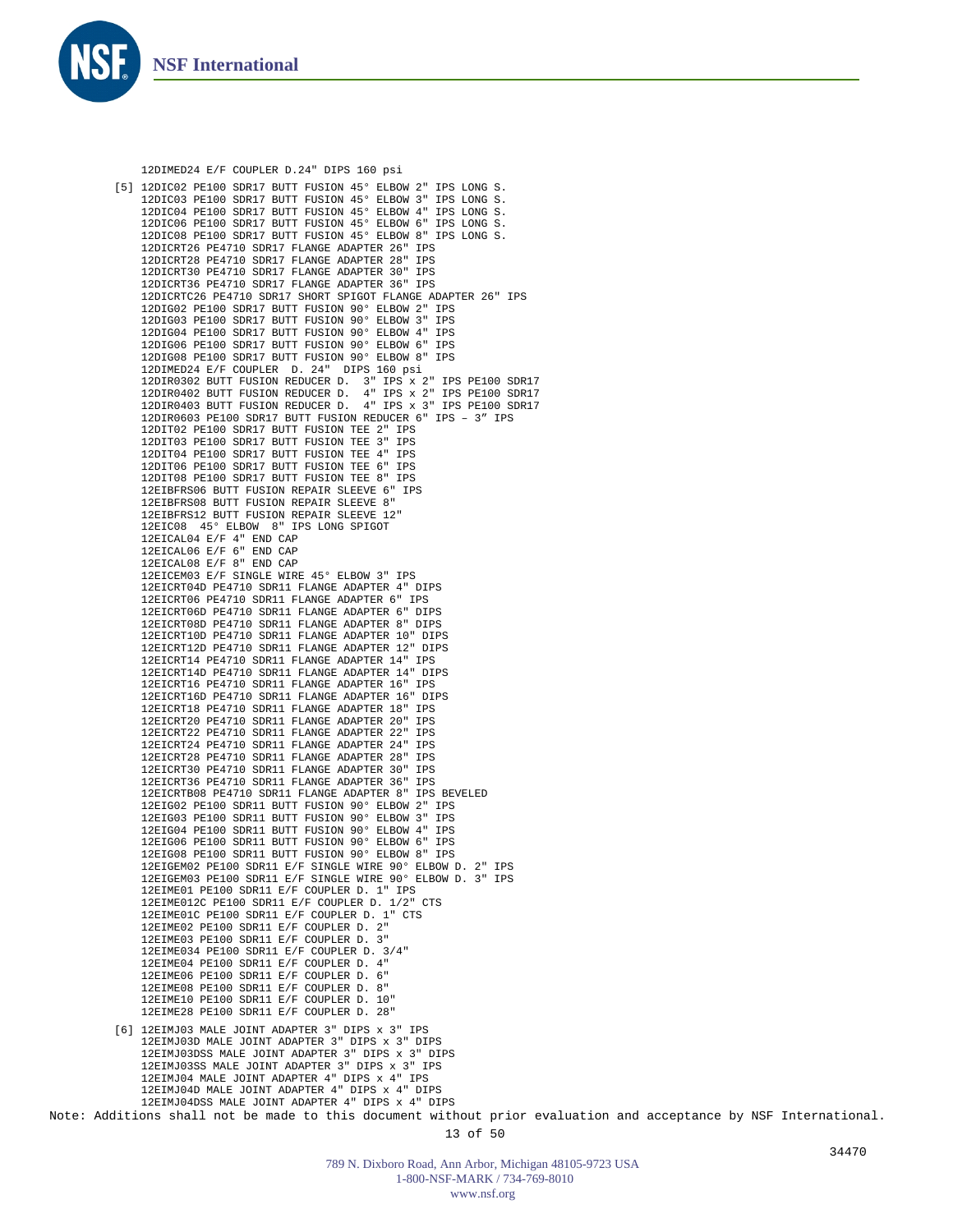

```
12DIMED24 E/F COUPLER D.24" DIPS 160 psi
12DIC02 PE100 SDR17 BUTT FUSION 45° ELBOW 2" IPS LONG S.
[5]
    12DIC03 PE100 SDR17 BUTT FUSION 45° ELBOW 3" IPS LONG S.
    12DIC04 PE100 SDR17 BUTT FUSION 45° ELBOW 4" IPS LONG S.
    12DIC06 PE100 SDR17 BUTT FUSION 45° ELBOW 6" IPS LONG S.
12DIC08 PE100 SDR17 BUTT FUSION 45° ELBOW 8" IPS LONG S.
    12DICRT26 PE4710 SDR17 FLANGE ADAPTER 26" IPS
12DICRT28 PE4710 SDR17 FLANGE ADAPTER 28" IPS
    12DICRT30 PE4710 SDR17 FLANGE ADAPTER 30" IPS
    12DICRT36 PE4710 SDR17 FLANGE ADAPTER 36" IPS
    12DICRTC26 PE4710 SDR17 SHORT SPIGOT FLANGE ADAPTER 26" IPS
    12DIG02 PE100 SDR17 BUTT FUSION 90° ELBOW 2" IPS
    12DIG03 PE100 SDR17 BUTT FUSION 90° ELBOW 3" IPS
    12DIG04 PE100 SDR17 BUTT FUSION 90° ELBOW 4" IPS
    12DIG06 PE100 SDR17 BUTT FUSION 90° ELBOW 6" IPS
    12DIG08 PE100 SDR17 BUTT FUSION 90° ELBOW 8" IPS
    12DIMED24 E/F COUPLER D. 24" DIPS 160 psi
    12DIR0302 BUTT FUSION REDUCER D. 3" IPS x 2" IPS PE100 SDR17
12DIR0402 BUTT FUSION REDUCER D. 4" IPS x 2" IPS PE100 SDR17
12DIR0403 BUTT FUSION REDUCER D. 4" IPS x 3" IPS PE100 SDR17
    12DIR0603 PE100 SDR17 BUTT FUSION REDUCER 6" IPS – 3" IPS
    12DIT02 PE100 SDR17 BUTT FUSION TEE 2" IPS
    12DIT03 PE100 SDR17 BUTT FUSION TEE 3" IPS
    12DIT04 PE100 SDR17 BUTT FUSION TEE 4" IPS
    12DIT06 PE100 SDR17 BUTT FUSION TEE 6" IPS
    12DIT08 PE100 SDR17 BUTT FUSION TEE 8" IPS
    12EIBFRS06 BUTT FUSION REPAIR SLEEVE 6" IPS
    12EIBFRS08 BUTT FUSION REPAIR SLEEVE 8"
12EIBFRS12 BUTT FUSION REPAIR SLEEVE 12"
    12EIC08 45° ELBOW 8" IPS LONG SPIGOT
    12EICAL04 E/F 4" END CAP
    12EICAL06 E/F 6" END CAP
    12EICAL08 E/F 8" END CAP
    12EICEM03 E/F SINGLE WIRE 45° ELBOW 3" IPS
    12EICRT04D PE4710 SDR11 FLANGE ADAPTER 4" DIPS
    12EICRT06 PE4710 SDR11 FLANGE ADAPTER 6" IPS
    12EICRT06D PE4710 SDR11 FLANGE ADAPTER 6" DIPS
    12EICRT08D PE4710 SDR11 FLANGE ADAPTER 8" DIPS
    12EICRT10D PE4710 SDR11 FLANGE ADAPTER 10" DIPS
    12EICRT12D PE4710 SDR11 FLANGE ADAPTER 12" DIPS
    12EICRT14 PE4710 SDR11 FLANGE ADAPTER 14" IPS
    12EICRT14D PE4710 SDR11 FLANGE ADAPTER 14" DIPS
    12EICRT16 PE4710 SDR11 FLANGE ADAPTER 16" IPS
   12EICRT16D PE4710 SDR11 FLANGE ADAPTER 16" DIPS
    12EICRT18 PE4710 SDR11 FLANGE ADAPTER 18" IPS
    12EICRT20 PE4710 SDR11 FLANGE ADAPTER 20" IPS
    12EICRT22 PE4710 SDR11 FLANGE ADAPTER 22" IPS
   12EICRT24 PE4710 SDR11 FLANGE ADAPTER 24" IPS
    12EICRT28 PE4710 SDR11 FLANGE ADAPTER 28" IPS
   12EICRT30 PE4710 SDR11 FLANGE ADAPTER 30" IPS
    12EICRT36 PE4710 SDR11 FLANGE ADAPTER 36" IPS
    12EICRTB08 PE4710 SDR11 FLANGE ADAPTER 8" IPS BEVELED
    12EIG02 PE100 SDR11 BUTT FUSION 90° ELBOW 2" IPS
    12EIG03 PE100 SDR11 BUTT FUSION 90° ELBOW 3" IPS
    12EIG04 PE100 SDR11 BUTT FUSION 90° ELBOW 4" IPS
    12EIG06 PE100 SDR11 BUTT FUSION 90° ELBOW 6" IPS
    12EIG08 PE100 SDR11 BUTT FUSION 90° ELBOW 8" IPS
    12EIGEM02 PE100 SDR11 E/F SINGLE WIRE 90° ELBOW D. 2" IPS
    12EIGEM03 PE100 SDR11 E/F SINGLE WIRE 90° ELBOW D. 3" IPS
    12EIME01 PE100 SDR11 E/F COUPLER D. 1" IPS
    12EIME012C PE100 SDR11 E/F COUPLER D. 1/2" CTS
    12EIME01C PE100 SDR11 E/F COUPLER D. 1" CTS
    12EIME02 PE100 SDR11 E/F COUPLER D. 2"
    12EIME03 PE100 SDR11 E/F COUPLER D. 3"
    12EIME034 PE100 SDR11 E/F COUPLER D. 3/4"
    12EIME04 PE100 SDR11 E/F COUPLER D. 4"
    12EIME06 PE100 SDR11 E/F COUPLER D. 6"
    12EIME08 PE100 SDR11 E/F COUPLER D. 8"
    12EIME10 PE100 SDR11 E/F COUPLER D. 10"
    12EIME28 PE100 SDR11 E/F COUPLER D. 28"
12EIMJ03 MALE JOINT ADAPTER 3" DIPS x 3" IPS
[6]12EIMJ03D MALE JOINT ADAPTER 3" DIPS x 3" DIPS
    12EIMJ03DSS MALE JOINT ADAPTER 3" DIPS x 3" DIPS
    12EIMJ03SS MALE JOINT ADAPTER 3" DIPS x 3" IPS
    12EIMJ04 MALE JOINT ADAPTER 4" DIPS x 4" IPS
    12EIMJ04D MALE JOINT ADAPTER 4" DIPS x 4" DIPS
    12EIMJ04DSS MALE JOINT ADAPTER 4" DIPS x 4" DIPS
```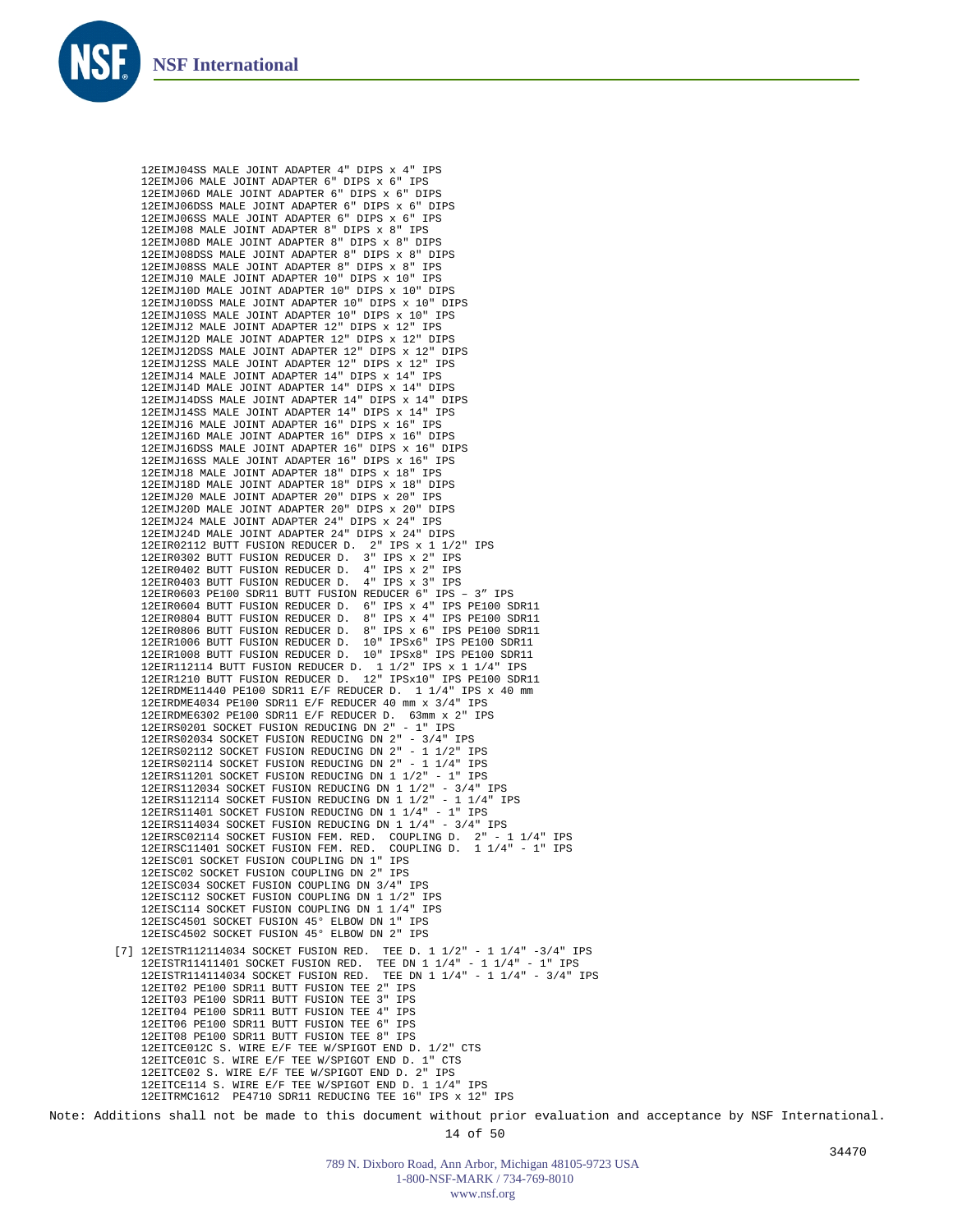

12EIMJ04SS MALE JOINT ADAPTER 4" DIPS x 4" IPS 12EIMJ06 MALE JOINT ADAPTER 6" DIPS x 6" IPS 12EIMJ06D MALE JOINT ADAPTER 6" DIPS x 6" DIPS 12EIMJ06DSS MALE JOINT ADAPTER 6" DIPS x 6" DIPS 12EIMJ06SS MALE JOINT ADAPTER 6" DIPS x 6" IPS 12EIMJ08 MALE JOINT ADAPTER 8" DIPS x 8" IPS 12EIMJ08D MALE JOINT ADAPTER 8" DIPS x 8" DIPS 12EIMJ08DSS MALE JOINT ADAPTER 8" DIPS x 8" DIPS 12EIMJ08SS MALE JOINT ADAPTER 8" DIPS x 8" IPS 12EIMJ10 MALE JOINT ADAPTER 10" DIPS x 10" IPS 12EIMJ10D MALE JOINT ADAPTER 10" DIPS x 10" DIPS 12EIMJ10DSS MALE JOINT ADAPTER 10" DIPS x 10" DIPS 12EIMJ10SS MALE JOINT ADAPTER 10" DIPS x 10" IPS 12EIMJ12 MALE JOINT ADAPTER 12" DIPS x 12" IPS 12EIMJ12D MALE JOINT ADAPTER 12" DIPS x 12" DIPS 12EIMJ12DSS MALE JOINT ADAPTER 12" DIPS x 12" DIPS 12EIMJ12SS MALE JOINT ADAPTER 12" DIPS x 12" IPS 12EIMJ14 MALE JOINT ADAPTER 14" DIPS x 14" IPS 12EIMJ14D MALE JOINT ADAPTER 14" DIPS x 14" DIPS 12EIMJ14DSS MALE JOINT ADAPTER 14" DIPS x 14" DIPS 12EIMJ14SS MALE JOINT ADAPTER 14" DIPS x 14" IPS 12EIMJ16 MALE JOINT ADAPTER 16" DIPS x 16" IPS 12EIMJ16D MALE JOINT ADAPTER 16" DIPS x 16" DIPS 12EIMJ16DSS MALE JOINT ADAPTER 16" DIPS x 16" DIPS 12EIMJ16SS MALE JOINT ADAPTER 16" DIPS x 16" IPS 12EIMJ18 MALE JOINT ADAPTER 18" DIPS x 18" IPS 12EIMJ18D MALE JOINT ADAPTER 18" DIPS x 18" DIPS 12EIMJ20 MALE JOINT ADAPTER 20" DIPS x 20" IPS 12EIMJ20D MALE JOINT ADAPTER 20" DIPS x 20" DIPS 12EIMJ24 MALE JOINT ADAPTER 24" DIPS x 24" IPS 12EIMJ24D MALE JOINT ADAPTER 24" DIPS x 24" DIPS 12EIR02112 BUTT FUSION REDUCER D. 2" IPS x 1 1/2" IPS 12EIR0302 BUTT FUSION REDUCER D. 3" IPS x 2" IPS 12EIR0402 BUTT FUSION REDUCER D. 4" IPS x 2" IPS 12EIR0403 BUTT FUSION REDUCER D. 4" IPS x 3" IPS 12EIR0603 PE100 SDR11 BUTT FUSION REDUCER 6" IPS – 3" IPS 12EIR0604 BUTT FUSION REDUCER D. 6" IPS x 4" IPS PE100 SDR11 12EIR0804 BUTT FUSION REDUCER D. 8" IPS x 4" IPS PE100 SDR11 12EIR0806 BUTT FUSION REDUCER D. 8" IPS x 6" IPS PE100 SDR11 12EIR1006 BUTT FUSION REDUCER D. 10" IPSx6" IPS PE100 SDR11 12EIR1008 BUTT FUSION REDUCER D. 10" IPSx8" IPS PE100 SDR11 12EIR112114 BUTT FUSION REDUCER D. 1 1/2" IPS x 1 1/4" IPS 12EIR1210 BUTT FUSION REDUCER D. 12" IPSx10" IPS PE100 SDR11 12EIRDME11440 PE100 SDR11 E/F REDUCER D. 1 1/4" IPS x 40 mm 12EIRDME4034 PE100 SDR11 E/F REDUCER 40 mm x 3/4" IPS 12EIRDME6302 PE100 SDR11 E/F REDUCER D. 63mm x 2" IPS 12EIRS0201 SOCKET FUSION REDUCING DN 2" - 1" IPS 12EIRS02034 SOCKET FUSION REDUCING DN 2" - 3/4" IPS 12EIRS02112 SOCKET FUSION REDUCING DN 2" - 1 1/2" IPS 12EIRS02114 SOCKET FUSION REDUCING DN 2" - 1 1/4" IPS 12EIRS11201 SOCKET FUSION REDUCING DN 1 1/2" - 1" IPS 12EIRS112034 SOCKET FUSION REDUCING DN 1 1/2" - 3/4" IPS 12EIRS112114 SOCKET FUSION REDUCING DN 1 1/2" - 1 1/4" IPS 12EIRS11401 SOCKET FUSION REDUCING DN 1 1/4" - 1" IPS 12EIRS114034 SOCKET FUSION REDUCING DN 1 1/4" - 3/4" IPS 12EIRSC02114 SOCKET FUSION FEM. RED. COUPLING D. 2" - 1 1/4" IPS 12EIRSC11401 SOCKET FUSION FEM. RED. COUPLING D. 1 1/4" - 1" IPS 12EISC01 SOCKET FUSION COUPLING DN 1" IPS 12EISC02 SOCKET FUSION COUPLING DN 2" IPS 12EISC034 SOCKET FUSION COUPLING DN 3/4" IPS 12EISC112 SOCKET FUSION COUPLING DN 1 1/2" IPS 12EISC114 SOCKET FUSION COUPLING DN 1 1/4" IPS 12EISC4501 SOCKET FUSION 45° ELBOW DN 1" IPS 12EISC4502 SOCKET FUSION 45° ELBOW DN 2" IPS [7] 12EISTR112114034 SOCKET FUSION RED. TEE D. 1 1/2" - 1 1/4" -3/4" IPS 12EISTR11411401 SOCKET FUSION RED. TEE DN 1 1/4" - 1 1/4" - 1" IPS 12EISTR114114034 SOCKET FUSION RED. TEE DN 1 1/4" - 1 1/4" - 3/4" IPS 12EIT02 PE100 SDR11 BUTT FUSION TEE 2" IPS 12EIT03 PE100 SDR11 BUTT FUSION TEE 3" IPS 12EIT04 PE100 SDR11 BUTT FUSION TEE 4" IPS 12EIT06 PE100 SDR11 BUTT FUSION TEE 6" IPS 12EIT08 PE100 SDR11 BUTT FUSION TEE 8" IPS 12EITCE012C S. WIRE E/F TEE W/SPIGOT END D. 1/2" CTS 12EITCE01C S. WIRE E/F TEE W/SPIGOT END D. 1" CTS 12EITCE02 S. WIRE E/F TEE W/SPIGOT END D. 2" IPS 12EITCE114 S. WIRE E/F TEE W/SPIGOT END D. 1 1/4" IPS 12EITRMC1612 PE4710 SDR11 REDUCING TEE 16" IPS x 12" IPS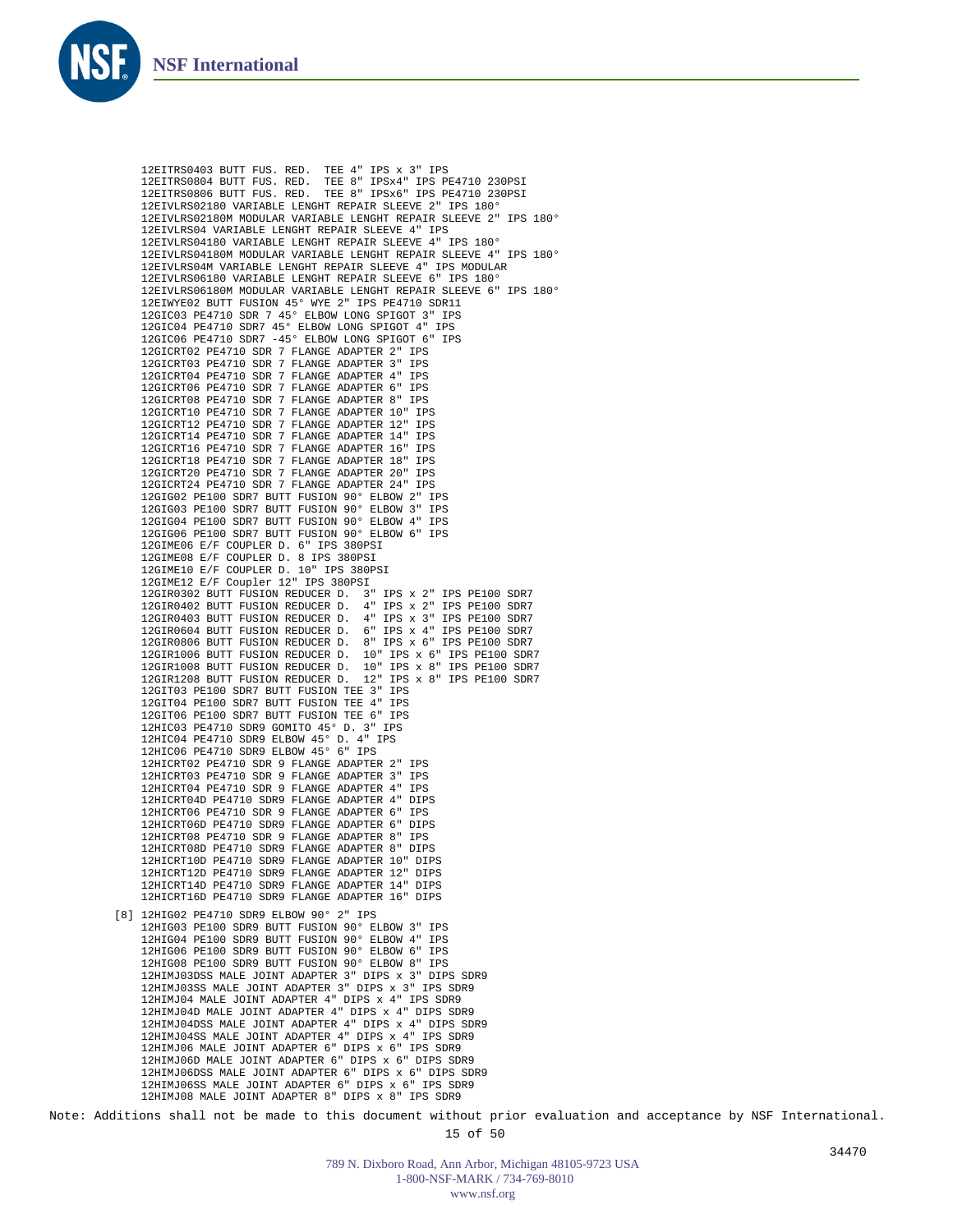

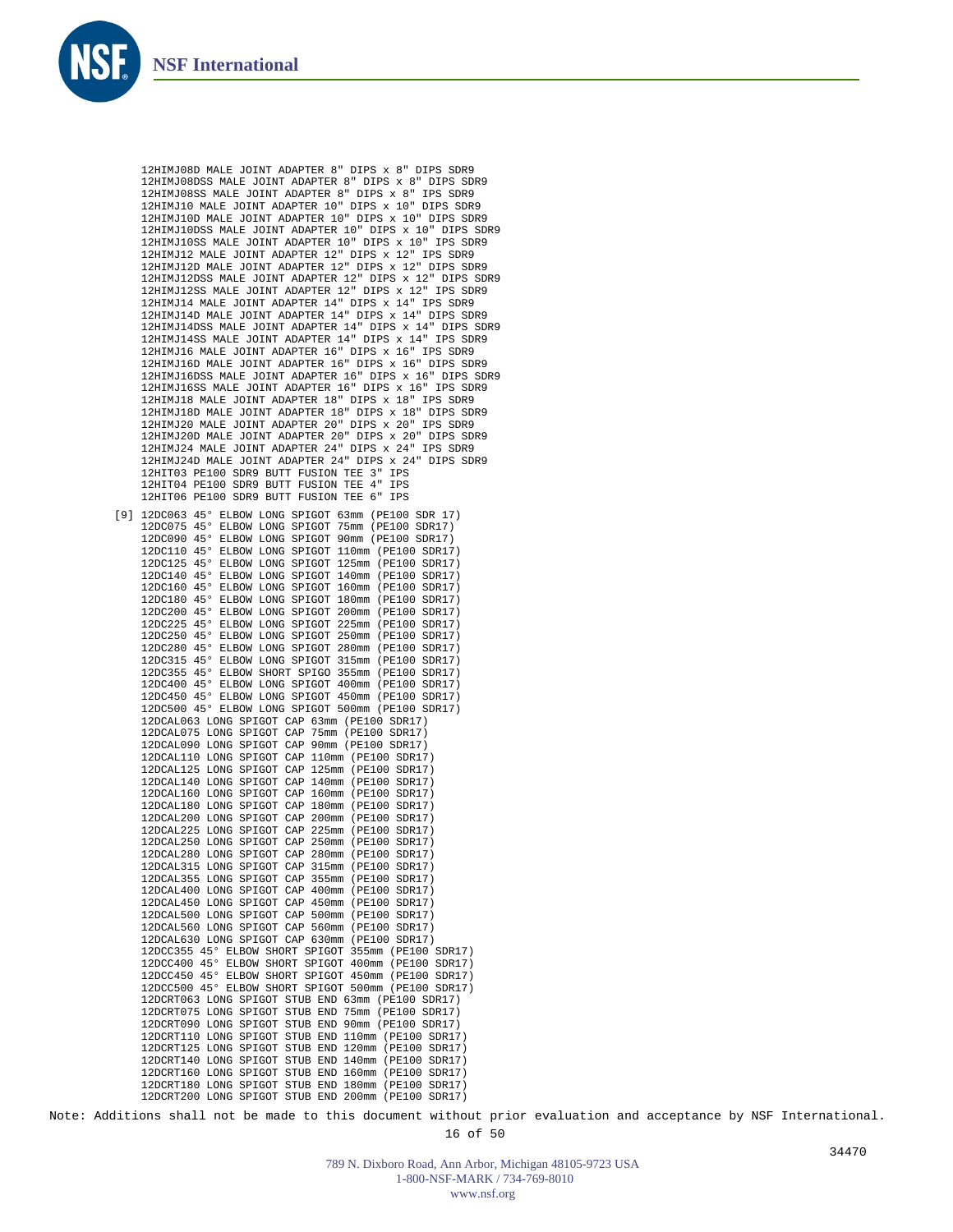

12HIMJ08D MALE JOINT ADAPTER 8" DIPS x 8" DIPS SDR9 12HIMJ08DSS MALE JOINT ADAPTER 8" DIPS x 8" DIPS SDR9 12HIMJ08SS MALE JOINT ADAPTER 8" DIPS x 8" IPS SDR9 12HIMJ10 MALE JOINT ADAPTER 10" DIPS x 10" DIPS SDR9 12HIMJ10D MALE JOINT ADAPTER 10" DIPS x 10" DIPS SDR9 12HIMJ10DSS MALE JOINT ADAPTER 10" DIPS x 10" DIPS SDR9 12HIMJ10SS MALE JOINT ADAPTER 10" DIPS x 10" IPS SDR9 12HIMJ12 MALE JOINT ADAPTER 12" DIPS x 12" IPS SDR9 12HIMJ12D MALE JOINT ADAPTER 12" DIPS x 12" DIPS SDR9 12HIMJ12DSS MALE JOINT ADAPTER 12" DIPS x 12" DIPS SDR9 12HIMJ12SS MALE JOINT ADAPTER 12" DIPS x 12" IPS SDR9 12HIMJ14 MALE JOINT ADAPTER 14" DIPS x 14" IPS SDR9 12HIMJ14D MALE JOINT ADAPTER 14" DIPS x 14" DIPS SDR9 12HIMJ14DSS MALE JOINT ADAPTER 14" DIPS x 14" DIPS SDR9 12HIMJ14SS MALE JOINT ADAPTER 14" DIPS x 14" IPS SDR9 12HIMJ16 MALE JOINT ADAPTER 16" DIPS x 16" IPS SDR9 12HIMJ16D MALE JOINT ADAPTER 16" DIPS x 16" DIPS SDR9 12HIMJ16DSS MALE JOINT ADAPTER 16" DIPS x 16" DIPS SDR9 12HIMJ16SS MALE JOINT ADAPTER 16" DIPS x 16" IPS SDR9 12HIMJ18 MALE JOINT ADAPTER 18" DIPS x 18" IPS SDR9 12HIMJ18D MALE JOINT ADAPTER 18" DIPS x 18" DIPS SDR9 12HIMJ20 MALE JOINT ADAPTER 20" DIPS x 20" IPS SDR9 12HIMJ20D MALE JOINT ADAPTER 20" DIPS x 20" DIPS SDR9 12HIMJ24 MALE JOINT ADAPTER 24" DIPS x 24" IPS SDR9 12HIMJ24D MALE JOINT ADAPTER 24" DIPS x 24" DIPS SDR9 12HIT03 PE100 SDR9 BUTT FUSION TEE 3" IPS 12HIT04 PE100 SDR9 BUTT FUSION TEE 4" IPS 12HIT06 PE100 SDR9 BUTT FUSION TEE 6" IPS

12DC063 45° ELBOW LONG SPIGOT 63mm (PE100 SDR 17) [9]12DC075 45° ELBOW LONG SPIGOT 75mm (PE100 SDR17) 12DC090 45° ELBOW LONG SPIGOT 90mm (PE100 SDR17) 12DC110 45° ELBOW LONG SPIGOT 110mm (PE100 SDR17) 12DC125 45° ELBOW LONG SPIGOT 125mm (PE100 SDR17) 12DC140 45° ELBOW LONG SPIGOT 140mm (PE100 SDR17) 12DC160 45° ELBOW LONG SPIGOT 160mm (PE100 SDR17) 12DC180 45° ELBOW LONG SPIGOT 180mm (PE100 SDR17) 12DC200 45° ELBOW LONG SPIGOT 200mm (PE100 SDR17) 12DC225 45° ELBOW LONG SPIGOT 225mm (PE100 SDR17) 12DC250 45° ELBOW LONG SPIGOT 250mm (PE100 SDR17) 12DC280 45° ELBOW LONG SPIGOT 280mm (PE100 SDR17) 12DC315 45° ELBOW LONG SPIGOT 315mm (PE100 SDR17) 12DC355 45° ELBOW SHORT SPIGO 355mm (PE100 SDR17) 12DC400 45° ELBOW LONG SPIGOT 400mm (PE100 SDR17) 12DC450 45° ELBOW LONG SPIGOT 450mm (PE100 SDR17) 12DC500 45° ELBOW LONG SPIGOT 500mm (PE100 SDR17) 12DCAL063 LONG SPIGOT CAP 63mm (PE100 SDR17) 12DCAL075 LONG SPIGOT CAP 75mm (PE100 SDR17) 12DCAL090 LONG SPIGOT CAP 90mm (PE100 SDR17) 12DCAL110 LONG SPIGOT CAP 110mm (PE100 SDR17) 12DCAL125 LONG SPIGOT CAP 125mm (PE100 SDR17) 12DCAL140 LONG SPIGOT CAP 140mm (PE100 SDR17) 12DCAL160 LONG SPIGOT CAP 160mm (PE100 SDR17) 12DCAL180 LONG SPIGOT CAP 180mm (PE100 SDR17) 12DCAL200 LONG SPIGOT CAP 200mm (PE100 SDR17) 12DCAL225 LONG SPIGOT CAP 225mm (PE100 SDR17) 12DCAL250 LONG SPIGOT CAP 250mm (PE100 SDR17) 12DCAL280 LONG SPIGOT CAP 280mm (PE100 SDR17) 12DCAL315 LONG SPIGOT CAP 315mm (PE100 SDR17) 12DCAL355 LONG SPIGOT CAP 355mm (PE100 SDR17) 12DCAL400 LONG SPIGOT CAP 400mm (PE100 SDR17) 12DCAL450 LONG SPIGOT CAP 450mm (PE100 SDR17) 12DCAL500 LONG SPIGOT CAP 500mm (PE100 SDR17) 12DCAL560 LONG SPIGOT CAP 560mm (PE100 SDR17) 12DCAL630 LONG SPIGOT CAP 630mm (PE100 SDR17) 12DCC355 45° ELBOW SHORT SPIGOT 355mm (PE100 SDR17) 12DCC400 45° ELBOW SHORT SPIGOT 400mm (PE100 SDR17) 12DCC450 45° ELBOW SHORT SPIGOT 450mm (PE100 SDR17) 12DCC500 45° ELBOW SHORT SPIGOT 500mm (PE100 SDR17) 12DCRT063 LONG SPIGOT STUB END 63mm (PE100 SDR17) 12DCRT075 LONG SPIGOT STUB END 75mm (PE100 SDR17) 12DCRT090 LONG SPIGOT STUB END 90mm (PE100 SDR17) 12DCRT110 LONG SPIGOT STUB END 110mm (PE100 SDR17) 12DCRT125 LONG SPIGOT STUB END 120mm (PE100 SDR17) 12DCRT140 LONG SPIGOT STUB END 140mm (PE100 SDR17) 12DCRT160 LONG SPIGOT STUB END 160mm (PE100 SDR17) 12DCRT180 LONG SPIGOT STUB END 180mm (PE100 SDR17) 12DCRT200 LONG SPIGOT STUB END 200mm (PE100 SDR17)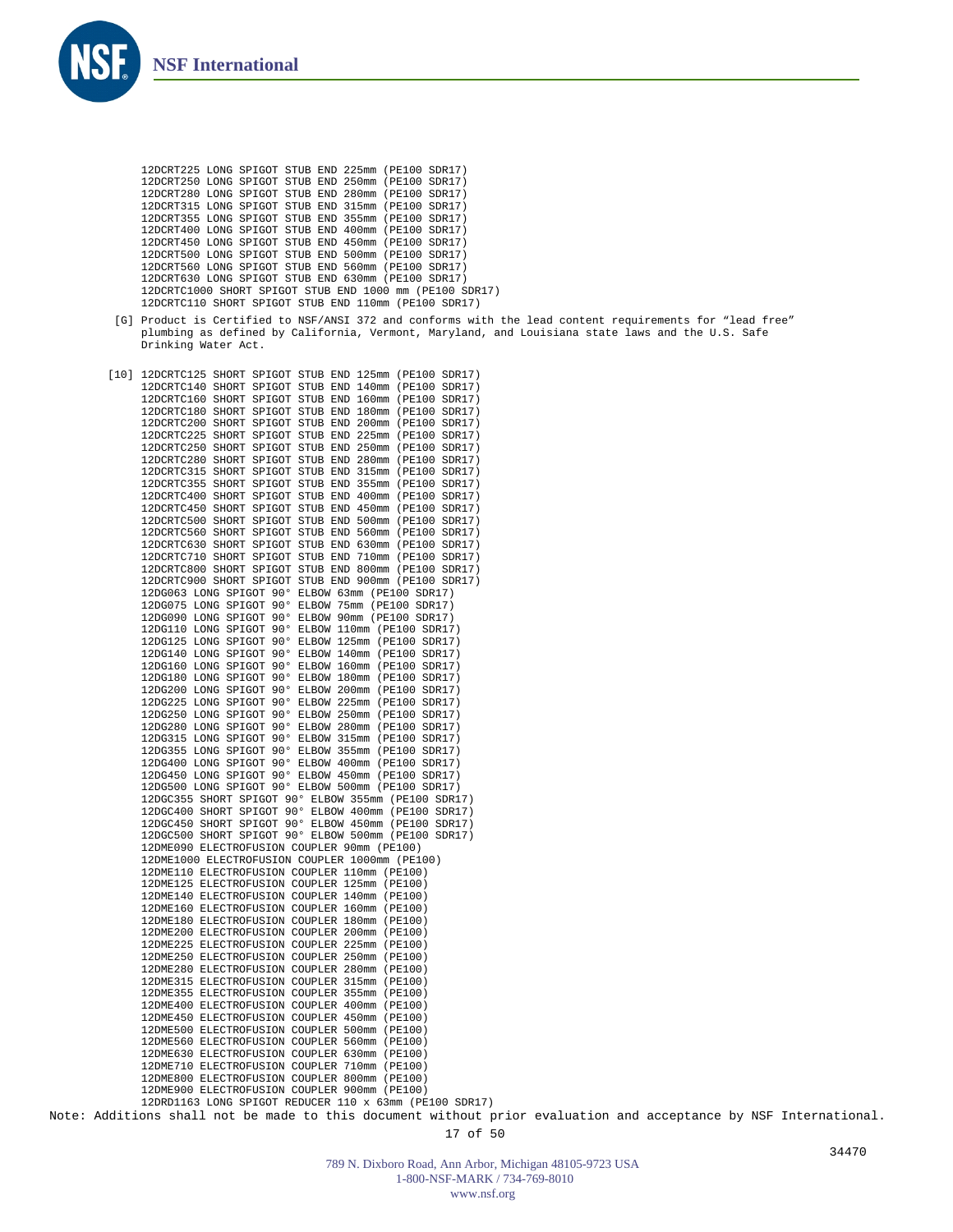

```
12DCRT225 LONG SPIGOT STUB END 225mm (PE100 SDR17)
12DCRT250 LONG SPIGOT STUB END 250mm (PE100 SDR17)
12DCRT280 LONG SPIGOT STUB END 280mm (PE100 SDR17)
12DCRT315 LONG SPIGOT STUB END 315mm (PE100 SDR17)
12DCRT355 LONG SPIGOT STUB END 355mm (PE100 SDR17)
12DCRT400 LONG SPIGOT STUB END 400mm (PE100 SDR17)
12DCRT450 LONG SPIGOT STUB END 450mm (PE100 SDR17)
12DCRT500 LONG SPIGOT STUB END 500mm (PE100 SDR17)
12DCRT560 LONG SPIGOT STUB END 560mm (PE100 SDR17)
12DCRT630 LONG SPIGOT STUB END 630mm (PE100 SDR17)
12DCRTC1000 SHORT SPIGOT STUB END 1000 mm (PE100 SDR17)
12DCRTC110 SHORT SPIGOT STUB END 110mm (PE100 SDR17)
```
[10] 12DCRTC125 SHORT SPIGOT STUB END 125mm (PE100 SDR17) 12DCRTC140 SHORT SPIGOT STUB END 140mm (PE100 SDR17) 12DCRTC160 SHORT SPIGOT STUB END 160mm (PE100 SDR17) 12DCRTC180 SHORT SPIGOT STUB END 180mm (PE100 SDR17) 12DCRTC200 SHORT SPIGOT STUB END 200mm (PE100 SDR17) 12DCRTC225 SHORT SPIGOT STUB END 225mm (PE100 SDR17) 12DCRTC250 SHORT SPIGOT STUB END 250mm (PE100 SDR17) 12DCRTC280 SHORT SPIGOT STUB END 280mm (PE100 SDR17) 12DCRTC315 SHORT SPIGOT STUB END 315mm (PE100 SDR17) 12DCRTC355 SHORT SPIGOT STUB END 355mm (PE100 SDR17) 12DCRTC400 SHORT SPIGOT STUB END 400mm (PE100 SDR17) 12DCRTC450 SHORT SPIGOT STUB END 450mm (PE100 SDR17) 12DCRTC500 SHORT SPIGOT STUB END 500mm (PE100 SDR17) 12DCRTC560 SHORT SPIGOT STUB END 560mm (PE100 SDR17) 12DCRTC630 SHORT SPIGOT STUB END 630mm (PE100 SDR17) 12DCRTC710 SHORT SPIGOT STUB END 710mm (PE100 SDR17) 12DCRTC800 SHORT SPIGOT STUB END 800mm (PE100 SDR17) 12DCRTC900 SHORT SPIGOT STUB END 900mm (PE100 SDR17) 12DG063 LONG SPIGOT 90° ELBOW 63mm (PE100 SDR17) 12DG075 LONG SPIGOT 90° ELBOW 75mm (PE100 SDR17) 12DG090 LONG SPIGOT 90° ELBOW 90mm (PE100 SDR17) 12DG110 LONG SPIGOT 90° ELBOW 110mm (PE100 SDR17) 12DG125 LONG SPIGOT 90° ELBOW 125mm (PE100 SDR17) 12DG140 LONG SPIGOT 90° ELBOW 140mm (PE100 SDR17) 12DG160 LONG SPIGOT 90° ELBOW 160mm (PE100 SDR17) 12DG180 LONG SPIGOT 90° ELBOW 180mm (PE100 SDR17) 12DG200 LONG SPIGOT 90° ELBOW 200mm (PE100 SDR17) 12DG225 LONG SPIGOT 90° ELBOW 225mm (PE100 SDR17) 12DG250 LONG SPIGOT 90° ELBOW 250mm (PE100 SDR17) 12DG280 LONG SPIGOT 90° ELBOW 280mm (PE100 SDR17) 12DG315 LONG SPIGOT 90° ELBOW 315mm (PE100 SDR17) 12DG355 LONG SPIGOT 90° ELBOW 355mm (PE100 SDR17) 12DG400 LONG SPIGOT 90° ELBOW 400mm (PE100 SDR17) 12DG450 LONG SPIGOT 90° ELBOW 450mm (PE100 SDR17) 12DG500 LONG SPIGOT 90° ELBOW 500mm (PE100 SDR17) 12DGC355 SHORT SPIGOT 90° ELBOW 355mm (PE100 SDR17) 12DGC400 SHORT SPIGOT 90° ELBOW 400mm (PE100 SDR17) 12DGC450 SHORT SPIGOT 90° ELBOW 450mm (PE100 SDR17) 12DGC500 SHORT SPIGOT 90° ELBOW 500mm (PE100 SDR17) 12DME090 ELECTROFUSION COUPLER 90mm (PE100) 12DME1000 ELECTROFUSION COUPLER 1000mm (PE100) 12DME110 ELECTROFUSION COUPLER 110mm (PE100) 12DME125 ELECTROFUSION COUPLER 125mm (PE100) 12DME140 ELECTROFUSION COUPLER 140mm (PE100) 12DME160 ELECTROFUSION COUPLER 160mm (PE100) 12DME180 ELECTROFUSION COUPLER 180mm (PE100) 12DME200 ELECTROFUSION COUPLER 200mm (PE100) 12DME225 ELECTROFUSION COUPLER 225mm (PE100) 12DME250 ELECTROFUSION COUPLER 250mm (PE100) 12DME280 ELECTROFUSION COUPLER 280mm (PE100) 12DME315 ELECTROFUSION COUPLER 315mm (PE100) 12DME355 ELECTROFUSION COUPLER 355mm (PE100) 12DME400 ELECTROFUSION COUPLER 400mm (PE100) 12DME450 ELECTROFUSION COUPLER 450mm (PE100) 12DME500 ELECTROFUSION COUPLER 500mm (PE100) 12DME560 ELECTROFUSION COUPLER 560mm (PE100) 12DME630 ELECTROFUSION COUPLER 630mm (PE100) 12DME710 ELECTROFUSION COUPLER 710mm (PE100) 12DME800 ELECTROFUSION COUPLER 800mm (PE100) 12DME900 ELECTROFUSION COUPLER 900mm (PE100) 12DRD1163 LONG SPIGOT REDUCER 110 x 63mm (PE100 SDR17)

<sup>[</sup>G] Product is Certified to NSF/ANSI 372 and conforms with the lead content requirements for "lead free" plumbing as defined by California, Vermont, Maryland, and Louisiana state laws and the U.S. Safe Drinking Water Act.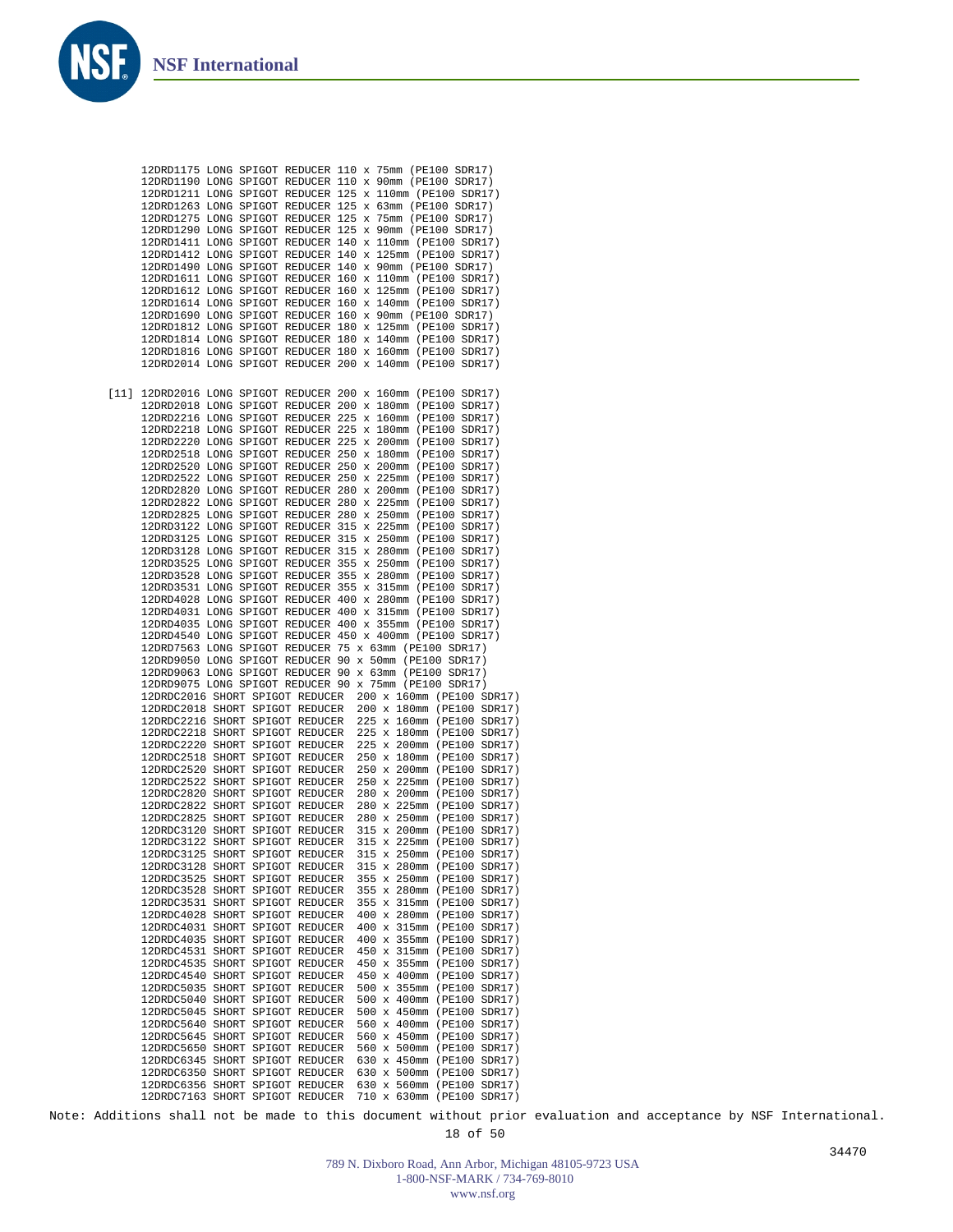

Note: Additions shall not be made to this document without prior evaluation and acceptance by NSF International.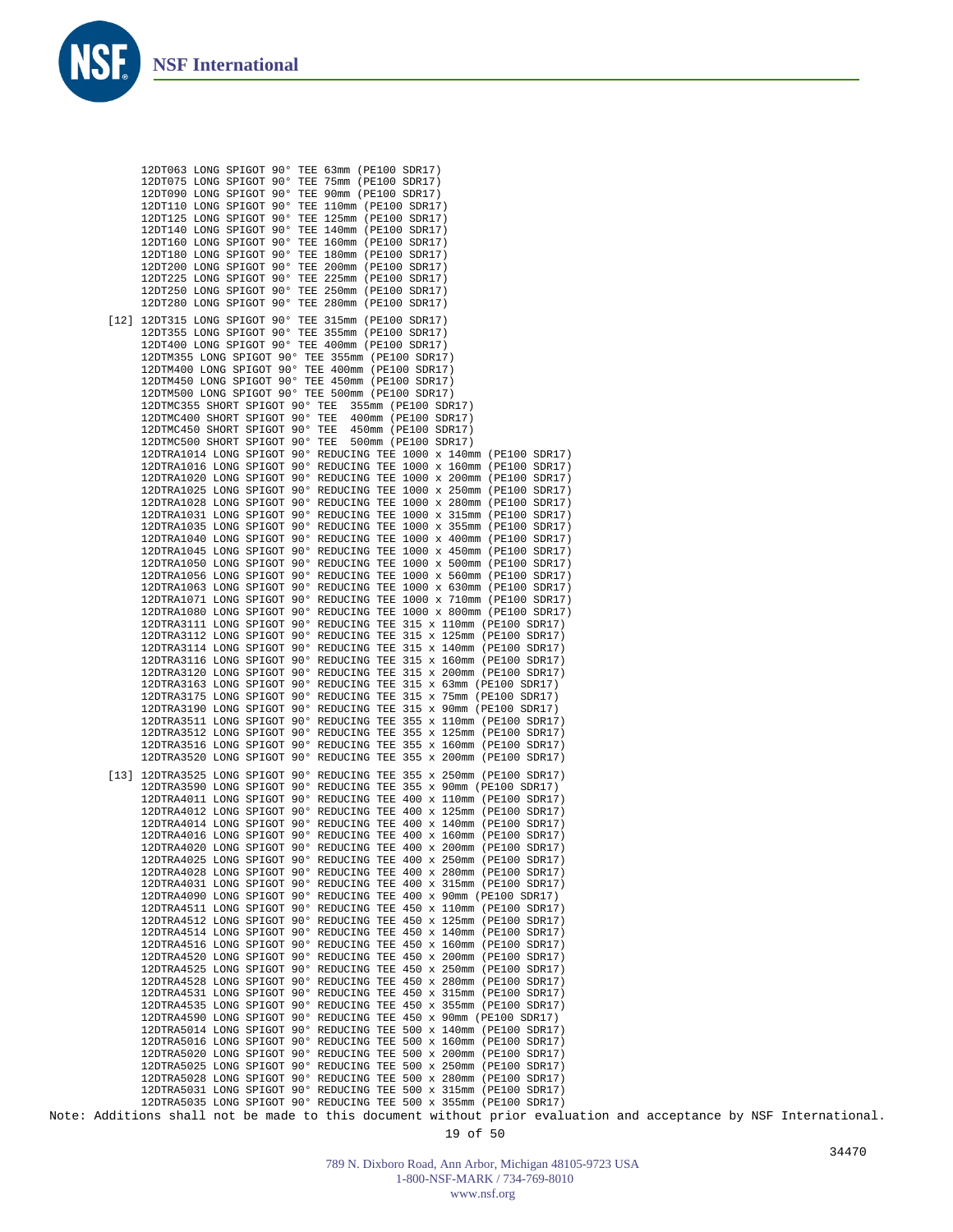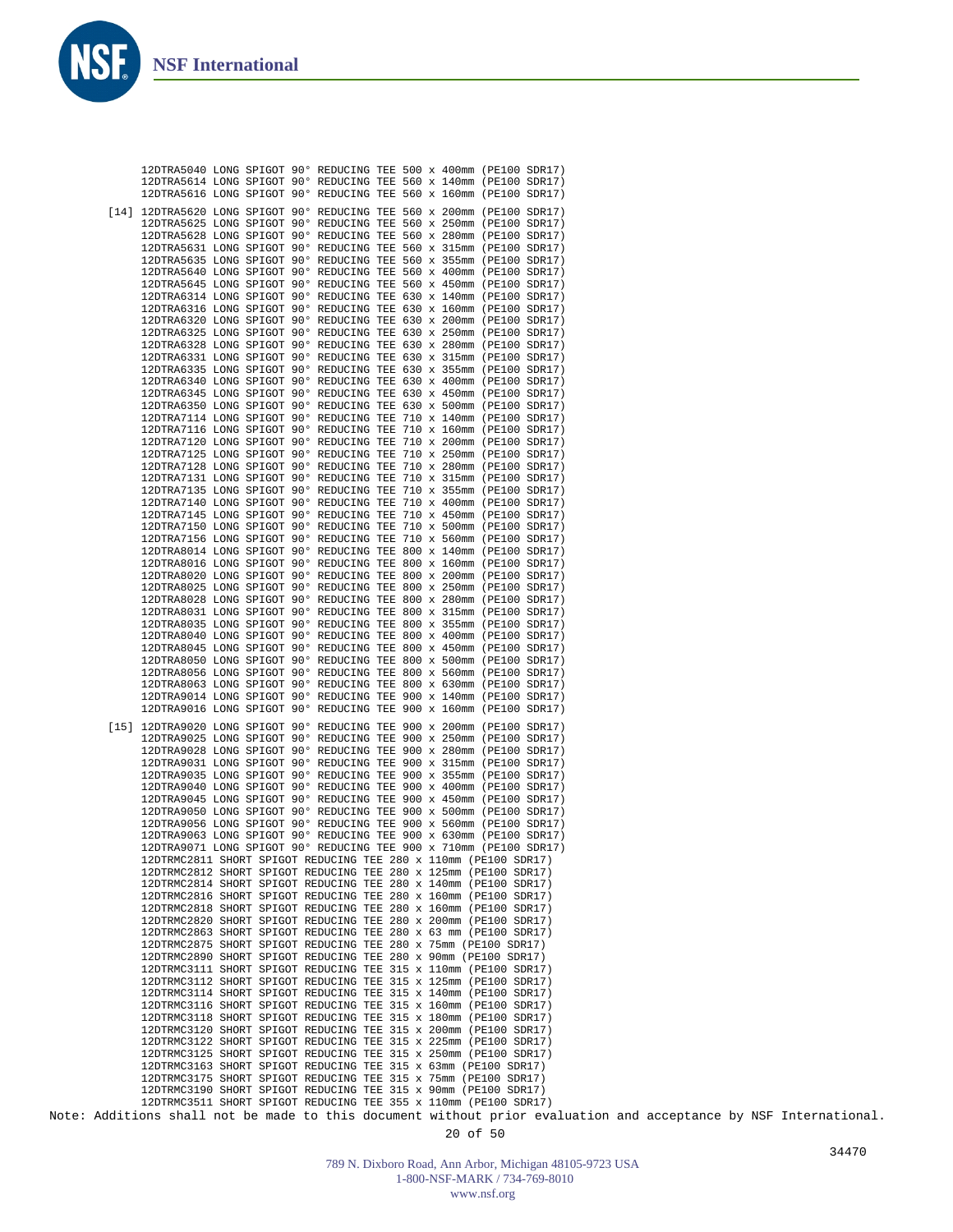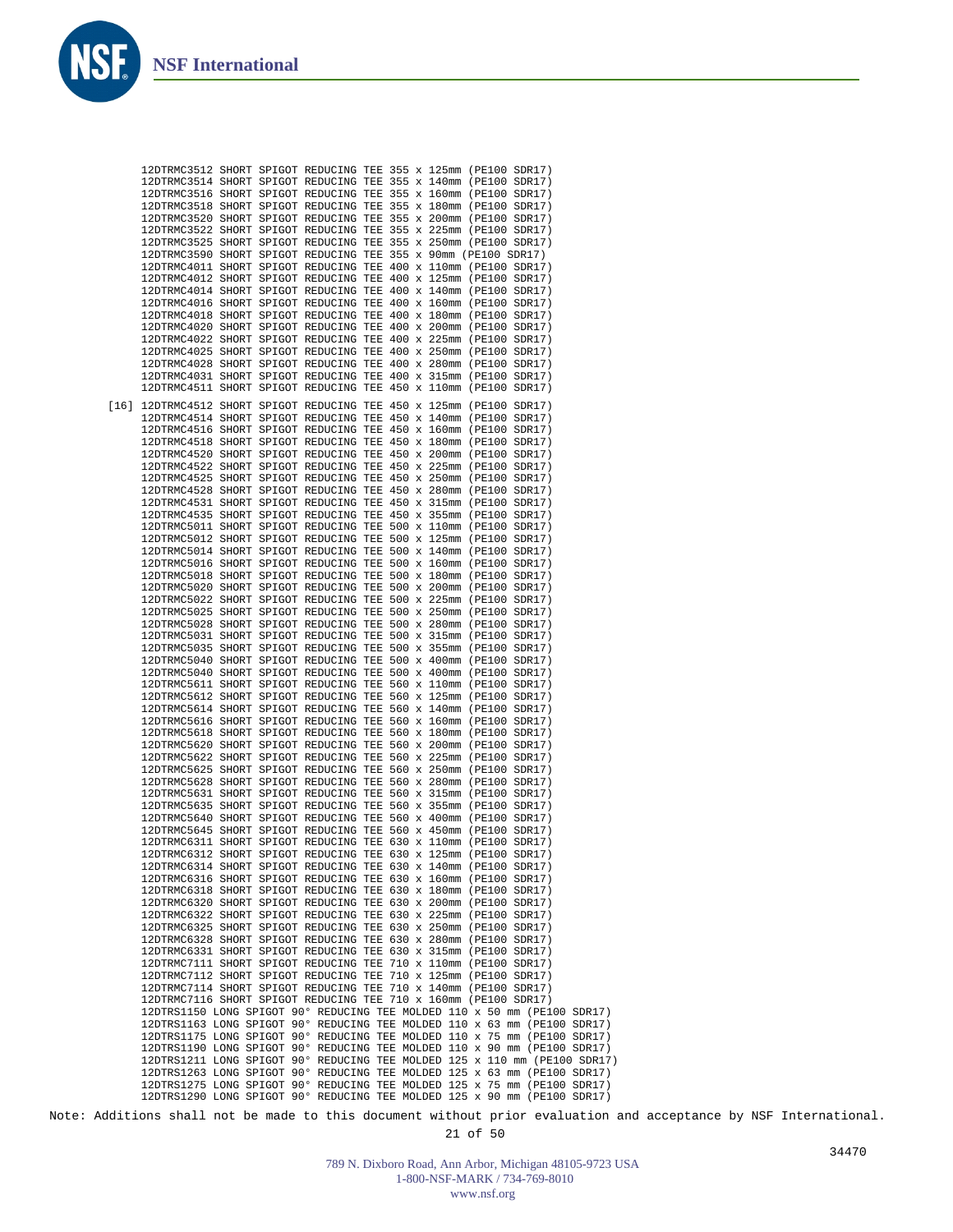| 12DTRMC3512 SHORT SPIGOT REDUCING TEE 355 x 125mm (PE100 SDR17)           |  |        |  |  |  |  |
|---------------------------------------------------------------------------|--|--------|--|--|--|--|
| 12DTRMC3514 SHORT SPIGOT REDUCING TEE 355 x 140mm (PE100 SDR17)           |  |        |  |  |  |  |
|                                                                           |  |        |  |  |  |  |
| 12DTRMC3516 SHORT SPIGOT REDUCING TEE 355 x 160mm (PE100 SDR17)           |  |        |  |  |  |  |
| 12DTRMC3518 SHORT SPIGOT REDUCING TEE 355 x 180mm (PE100 SDR17)           |  |        |  |  |  |  |
| 12DTRMC3520 SHORT SPIGOT REDUCING TEE 355 x 200mm (PE100 SDR17)           |  |        |  |  |  |  |
|                                                                           |  |        |  |  |  |  |
| 12DTRMC3522 SHORT SPIGOT REDUCING TEE 355 x 225mm (PE100 SDR17)           |  |        |  |  |  |  |
| 12DTRMC3525 SHORT SPIGOT REDUCING TEE 355 x 250mm (PE100 SDR17)           |  |        |  |  |  |  |
|                                                                           |  |        |  |  |  |  |
| 12DTRMC3590 SHORT SPIGOT REDUCING TEE 355 x 90mm (PE100 SDR17)            |  |        |  |  |  |  |
| 12DTRMC4011 SHORT SPIGOT REDUCING TEE 400 x 110mm (PE100 SDR17)           |  |        |  |  |  |  |
| 12DTRMC4012 SHORT SPIGOT REDUCING TEE 400 x 125mm (PE100 SDR17)           |  |        |  |  |  |  |
|                                                                           |  |        |  |  |  |  |
| 12DTRMC4014 SHORT SPIGOT REDUCING TEE 400 x 140mm (PE100 SDR17)           |  |        |  |  |  |  |
| 12DTRMC4016 SHORT SPIGOT REDUCING TEE 400 x 160mm (PE100 SDR17)           |  |        |  |  |  |  |
|                                                                           |  |        |  |  |  |  |
| 12DTRMC4018 SHORT SPIGOT REDUCING TEE 400 x 180mm (PE100 SDR17)           |  |        |  |  |  |  |
| 12DTRMC4020 SHORT SPIGOT REDUCING TEE 400 x 200mm (PE100 SDR17)           |  |        |  |  |  |  |
|                                                                           |  |        |  |  |  |  |
| 12DTRMC4022 SHORT SPIGOT REDUCING TEE 400 x 225mm (PE100 SDR17)           |  |        |  |  |  |  |
| 12DTRMC4025 SHORT SPIGOT REDUCING TEE 400 x 250mm (PE100 SDR17)           |  |        |  |  |  |  |
| 12DTRMC4028 SHORT SPIGOT REDUCING TEE 400 x 280mm (PE100 SDR17)           |  |        |  |  |  |  |
|                                                                           |  |        |  |  |  |  |
| 12DTRMC4031 SHORT SPIGOT REDUCING TEE 400 x 315mm (PE100 SDR17)           |  |        |  |  |  |  |
| 12DTRMC4511 SHORT SPIGOT REDUCING TEE 450 x 110mm (PE100 SDR17)           |  |        |  |  |  |  |
|                                                                           |  |        |  |  |  |  |
| [16] 12DTRMC4512 SHORT SPIGOT REDUCING TEE 450 x 125mm (PE100 SDR17)      |  |        |  |  |  |  |
|                                                                           |  |        |  |  |  |  |
| 12DTRMC4514 SHORT SPIGOT REDUCING TEE 450 x 140mm (PE100 SDR17)           |  |        |  |  |  |  |
| 12DTRMC4516 SHORT SPIGOT REDUCING TEE 450 x 160mm (PE100 SDR17)           |  |        |  |  |  |  |
|                                                                           |  |        |  |  |  |  |
| 12DTRMC4518 SHORT SPIGOT REDUCING TEE 450 x 180mm (PE100 SDR17)           |  |        |  |  |  |  |
| 12DTRMC4520 SHORT SPIGOT REDUCING TEE 450 x 200mm (PE100 SDR17)           |  |        |  |  |  |  |
|                                                                           |  |        |  |  |  |  |
| 12DTRMC4522 SHORT SPIGOT REDUCING TEE 450 x 225mm (PE100 SDR17)           |  |        |  |  |  |  |
| 12DTRMC4525 SHORT SPIGOT REDUCING TEE 450 x 250mm (PE100 SDR17)           |  |        |  |  |  |  |
| 12DTRMC4528 SHORT SPIGOT REDUCING TEE 450 x 280mm (PE100 SDR17)           |  |        |  |  |  |  |
|                                                                           |  |        |  |  |  |  |
| 12DTRMC4531 SHORT SPIGOT REDUCING TEE 450 x 315mm (PE100 SDR17)           |  |        |  |  |  |  |
| 12DTRMC4535 SHORT SPIGOT REDUCING TEE 450 x 355mm (PE100 SDR17)           |  |        |  |  |  |  |
|                                                                           |  |        |  |  |  |  |
| 12DTRMC5011 SHORT SPIGOT REDUCING TEE 500 x 110mm (PE100 SDR17)           |  |        |  |  |  |  |
| 12DTRMC5012 SHORT SPIGOT REDUCING TEE 500 x 125mm (PE100 SDR17)           |  |        |  |  |  |  |
|                                                                           |  |        |  |  |  |  |
| 12DTRMC5014 SHORT SPIGOT REDUCING TEE 500 x 140mm (PE100 SDR17)           |  |        |  |  |  |  |
| 12DTRMC5016 SHORT SPIGOT REDUCING TEE 500 x 160mm (PE100 SDR17)           |  |        |  |  |  |  |
| 12DTRMC5018 SHORT SPIGOT REDUCING TEE 500 x 180mm (PE100 SDR17)           |  |        |  |  |  |  |
|                                                                           |  |        |  |  |  |  |
| 12DTRMC5020 SHORT SPIGOT REDUCING TEE 500 x 200mm (PE100 SDR17)           |  |        |  |  |  |  |
| 12DTRMC5022 SHORT SPIGOT REDUCING TEE 500 x 225mm (PE100 SDR17)           |  |        |  |  |  |  |
|                                                                           |  |        |  |  |  |  |
| 12DTRMC5025 SHORT SPIGOT REDUCING TEE 500 x 250mm (PE100 SDR17)           |  |        |  |  |  |  |
| 12DTRMC5028 SHORT SPIGOT REDUCING TEE 500 x 280mm (PE100 SDR17)           |  |        |  |  |  |  |
|                                                                           |  |        |  |  |  |  |
| 12DTRMC5031 SHORT SPIGOT REDUCING TEE 500 x 315mm (PE100 SDR17)           |  |        |  |  |  |  |
| 12DTRMC5035 SHORT SPIGOT REDUCING TEE 500 x 355mm (PE100 SDR17)           |  |        |  |  |  |  |
| 12DTRMC5040 SHORT SPIGOT REDUCING TEE 500 x 400mm (PE100 SDR17)           |  |        |  |  |  |  |
|                                                                           |  |        |  |  |  |  |
| 12DTRMC5040 SHORT SPIGOT REDUCING TEE 500 x 400mm (PE100 SDR17)           |  |        |  |  |  |  |
| 12DTRMC5611 SHORT SPIGOT REDUCING TEE 560 x 110mm (PE100 SDR17)           |  |        |  |  |  |  |
|                                                                           |  |        |  |  |  |  |
| 12DTRMC5612 SHORT SPIGOT REDUCING TEE 560 x 125mm (PE100 SDR17)           |  |        |  |  |  |  |
| 12DTRMC5614 SHORT SPIGOT REDUCING TEE 560 x 140mm (PE100 SDR17)           |  |        |  |  |  |  |
| 12DTRMC5616 SHORT SPIGOT REDUCING TEE 560 x 160mm (PE100 SDR17)           |  |        |  |  |  |  |
|                                                                           |  |        |  |  |  |  |
| 12DTRMC5618 SHORT SPIGOT REDUCING TEE 560 x 180mm (PE100 SDR17)           |  |        |  |  |  |  |
| 12DTRMC5620 SHORT SPIGOT REDUCING TEE 560 x 200mm (PE100 SDR17)           |  |        |  |  |  |  |
|                                                                           |  |        |  |  |  |  |
| 12DTRMC5622 SHORT SPIGOT REDUCING TEE 560 x 225mm (PE100 SDR17)           |  |        |  |  |  |  |
| 12DTRMC5625 SHORT SPIGOT REDUCING TEE 560 x 250mm (PE100 SDR17)           |  |        |  |  |  |  |
|                                                                           |  |        |  |  |  |  |
| 12DTRMC5628 SHORT SPIGOT REDUCING TEE 560 x 280mm (PE100 SDR17)           |  |        |  |  |  |  |
| 12DTRMC5631 SHORT SPIGOT REDUCING TEE 560 x 315mm (PE100 SDR17)           |  |        |  |  |  |  |
| 12DTRMC5635 SHORT SPIGOT REDUCING TEE 560 x 355mm (PE100 SDR17)           |  |        |  |  |  |  |
|                                                                           |  |        |  |  |  |  |
| 12DTRMC5640 SHORT SPIGOT REDUCING TEE 560 x 400mm (PE100 SDR17)           |  |        |  |  |  |  |
| 12DTRMC5645 SHORT SPIGOT REDUCING TEE 560 x 450mm (PE100 SDR17)           |  |        |  |  |  |  |
| 12DTRMC6311 SHORT SPIGOT REDUCING TEE 630 x 110mm (PE100 SDR17)           |  |        |  |  |  |  |
|                                                                           |  |        |  |  |  |  |
| 12DTRMC6312 SHORT SPIGOT REDUCING TEE 630 x 125mm (PE100 SDR17)           |  |        |  |  |  |  |
| 12DTRMC6314 SHORT SPIGOT REDUCING TEE 630 x 140mm (PE100 SDR17)           |  |        |  |  |  |  |
|                                                                           |  |        |  |  |  |  |
| 12DTRMC6316 SHORT SPIGOT REDUCING TEE 630 x 160mm (PE100 SDR17)           |  |        |  |  |  |  |
| 12DTRMC6318 SHORT SPIGOT REDUCING TEE 630 x 180mm (PE100 SDR17)           |  |        |  |  |  |  |
|                                                                           |  |        |  |  |  |  |
| 12DTRMC6320 SHORT SPIGOT REDUCING TEE 630 x 200mm (PE100 SDR17)           |  |        |  |  |  |  |
| 12DTRMC6322 SHORT SPIGOT REDUCING TEE 630 x 225mm (PE100 SDR17)           |  |        |  |  |  |  |
| 12DTRMC6325 SHORT SPIGOT REDUCING TEE 630 x 250mm (PE100 SDR17)           |  |        |  |  |  |  |
|                                                                           |  |        |  |  |  |  |
| 12DTRMC6328 SHORT SPIGOT REDUCING TEE 630 x 280mm (PE100 SDR17)           |  |        |  |  |  |  |
| 12DTRMC6331 SHORT SPIGOT REDUCING TEE 630 x 315mm (PE100 SDR17)           |  |        |  |  |  |  |
|                                                                           |  |        |  |  |  |  |
| 12DTRMC7111 SHORT SPIGOT REDUCING TEE 710 x 110mm (PE100 SDR17)           |  |        |  |  |  |  |
| 12DTRMC7112 SHORT SPIGOT REDUCING TEE 710 x 125mm (PE100 SDR17)           |  |        |  |  |  |  |
|                                                                           |  |        |  |  |  |  |
| 12DTRMC7114 SHORT SPIGOT REDUCING TEE 710 x 140mm (PE100 SDR17)           |  |        |  |  |  |  |
| 12DTRMC7116 SHORT SPIGOT REDUCING TEE 710 x 160mm (PE100 SDR17)           |  |        |  |  |  |  |
|                                                                           |  |        |  |  |  |  |
| 12DTRS1150 LONG SPIGOT 90° REDUCING TEE MOLDED 110 x 50 mm (PE100 SDR17)  |  |        |  |  |  |  |
| 12DTRS1163 LONG SPIGOT 90° REDUCING TEE MOLDED 110 x 63 mm (PE100 SDR17)  |  |        |  |  |  |  |
| 12DTRS1175 LONG SPIGOT 90° REDUCING TEE MOLDED 110 x 75 mm (PE100 SDR17)  |  |        |  |  |  |  |
|                                                                           |  |        |  |  |  |  |
| 12DTRS1190 LONG SPIGOT 90° REDUCING TEE MOLDED 110 x 90 mm (PE100 SDR17)  |  |        |  |  |  |  |
| 12DTRS1211 LONG SPIGOT 90° REDUCING TEE MOLDED 125 x 110 mm (PE100 SDR17) |  |        |  |  |  |  |
|                                                                           |  |        |  |  |  |  |
| 12DTRS1263 LONG SPIGOT 90° REDUCING TEE MOLDED 125 x 63 mm (PE100 SDR17)  |  |        |  |  |  |  |
| 12DTRS1275 LONG SPIGOT 90° REDUCING TEE MOLDED 125 x 75 mm (PE100 SDR17)  |  |        |  |  |  |  |
| 12DTRS1290 LONG SPIGOT 90° REDUCING TEE MOLDED 125 x 90 mm (PE100 SDR17)  |  |        |  |  |  |  |
|                                                                           |  |        |  |  |  |  |
|                                                                           |  | $\sim$ |  |  |  |  |

Note: Additions shall not be made to this document without prior evaluation and acceptance by NSF International.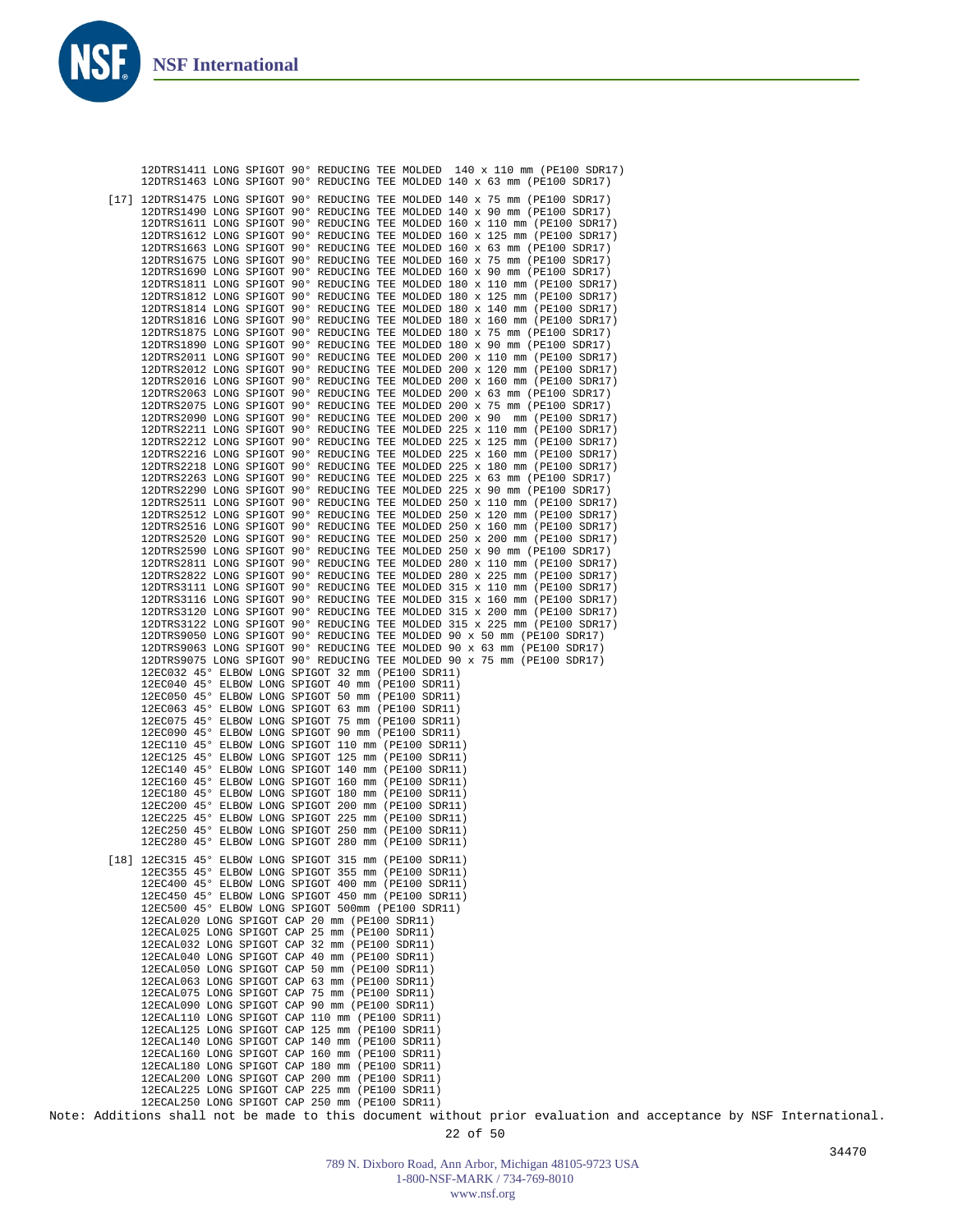**NSI** 

|  | 12DTRS1411 LONG SPIGOT 90° REDUCING TEE MOLDED 140 x 110 mm (PE100 SDR17)<br>12DTRS1463 LONG SPIGOT 90° REDUCING TEE MOLDED 140 x 63 mm (PE100 SDR17)  |
|--|--------------------------------------------------------------------------------------------------------------------------------------------------------|
|  | [17] 12DTRS1475 LONG SPIGOT 90° REDUCING TEE MOLDED 140 x 75 mm (PE100 SDR17)                                                                          |
|  | 12DTRS1490 LONG SPIGOT 90° REDUCING TEE MOLDED 140 x 90 mm (PE100 SDR17)                                                                               |
|  | 12DTRS1611 LONG SPIGOT 90° REDUCING TEE MOLDED 160 x 110 mm (PE100 SDR17)<br>12DTRS1612 LONG SPIGOT 90° REDUCING TEE MOLDED 160 x 125 mm (PE100 SDR17) |
|  | 12DTRS1663 LONG SPIGOT 90° REDUCING TEE MOLDED 160 x 63 mm (PE100 SDR17)                                                                               |
|  | 12DTRS1675 LONG SPIGOT 90° REDUCING TEE MOLDED 160 x 75 mm (PE100 SDR17)                                                                               |
|  | 12DTRS1690 LONG SPIGOT 90° REDUCING TEE MOLDED 160 x 90 mm (PE100 SDR17)                                                                               |
|  | 12DTRS1811 LONG SPIGOT 90° REDUCING TEE MOLDED 180 x 110 mm (PE100 SDR17)<br>12DTRS1812 LONG SPIGOT 90° REDUCING TEE MOLDED 180 x 125 mm (PE100 SDR17) |
|  | 12DTRS1814 LONG SPIGOT 90° REDUCING TEE MOLDED 180 x 140 mm (PE100 SDR17)                                                                              |
|  | 12DTRS1816 LONG SPIGOT 90° REDUCING TEE MOLDED 180 x 160 mm (PE100 SDR17)                                                                              |
|  | 12DTRS1875 LONG SPIGOT 90° REDUCING TEE MOLDED 180 x 75 mm (PE100 SDR17)<br>12DTRS1890 LONG SPIGOT 90° REDUCING TEE MOLDED 180 x 90 mm (PE100 SDR17)   |
|  | 12DTRS2011 LONG SPIGOT 90° REDUCING TEE MOLDED 200 x 110 mm (PE100 SDR17)                                                                              |
|  | 12DTRS2012 LONG SPIGOT 90° REDUCING TEE MOLDED 200 x 120 mm (PE100 SDR17)                                                                              |
|  | 12DTRS2016 LONG SPIGOT 90° REDUCING TEE MOLDED 200 x 160 mm (PE100 SDR17)<br>12DTRS2063 LONG SPIGOT 90° REDUCING TEE MOLDED 200 x 63 mm (PE100 SDR17)  |
|  | 12DTRS2075 LONG SPIGOT 90° REDUCING TEE MOLDED 200 x 75 mm (PE100 SDR17)                                                                               |
|  | 12DTRS2090 LONG SPIGOT 90° REDUCING TEE MOLDED 200 x 90 mm (PE100 SDR17)                                                                               |
|  | 12DTRS2211 LONG SPIGOT 90° REDUCING TEE MOLDED 225 x 110 mm (PE100 SDR17)<br>12DTRS2212 LONG SPIGOT 90° REDUCING TEE MOLDED 225 x 125 mm (PE100 SDR17) |
|  | 12DTRS2216 LONG SPIGOT 90° REDUCING TEE MOLDED 225 x 160 mm (PE100 SDR17)                                                                              |
|  | 12DTRS2218 LONG SPIGOT 90° REDUCING TEE MOLDED 225 x 180 mm (PE100 SDR17)                                                                              |
|  | 12DTRS2263 LONG SPIGOT 90° REDUCING TEE MOLDED 225 x 63 mm (PE100 SDR17)<br>12DTRS2290 LONG SPIGOT 90° REDUCING TEE MOLDED 225 x 90 mm (PE100 SDR17)   |
|  | 12DTRS2511 LONG SPIGOT 90° REDUCING TEE MOLDED 250 x 110 mm (PE100 SDR17)                                                                              |
|  | 12DTRS2512 LONG SPIGOT 90° REDUCING TEE MOLDED 250 x 120 mm (PE100 SDR17)                                                                              |
|  | 12DTRS2516 LONG SPIGOT 90° REDUCING TEE MOLDED 250 x 160 mm (PE100 SDR17)<br>12DTRS2520 LONG SPIGOT 90° REDUCING TEE MOLDED 250 x 200 mm (PE100 SDR17) |
|  | 12DTRS2590 LONG SPIGOT 90° REDUCING TEE MOLDED 250 x 90 mm (PE100 SDR17)                                                                               |
|  | 12DTRS2811 LONG SPIGOT 90° REDUCING TEE MOLDED 280 x 110 mm (PE100 SDR17)                                                                              |
|  | 12DTRS2822 LONG SPIGOT 90° REDUCING TEE MOLDED 280 x 225 mm (PE100 SDR17)<br>12DTRS3111 LONG SPIGOT 90° REDUCING TEE MOLDED 315 x 110 mm (PE100 SDR17) |
|  | 12DTRS3116 LONG SPIGOT 90° REDUCING TEE MOLDED 315 x 160 mm (PE100 SDR17)                                                                              |
|  | 12DTRS3120 LONG SPIGOT 90° REDUCING TEE MOLDED 315 x 200 mm (PE100 SDR17)                                                                              |
|  | 12DTRS3122 LONG SPIGOT 90° REDUCING TEE MOLDED 315 x 225 mm (PE100 SDR17)<br>12DTRS9050 LONG SPIGOT 90° REDUCING TEE MOLDED 90 x 50 mm (PE100 SDR17)   |
|  | 12DTRS9063 LONG SPIGOT 90° REDUCING TEE MOLDED 90 x 63 mm (PE100 SDR17)                                                                                |
|  | 12DTRS9075 LONG SPIGOT 90° REDUCING TEE MOLDED 90 x 75 mm (PE100 SDR17)<br>12EC032 45° ELBOW LONG SPIGOT 32 mm (PE100 SDR11)                           |
|  | 12EC040 45° ELBOW LONG SPIGOT 40 mm (PE100 SDR11)                                                                                                      |
|  | 12EC050 45° ELBOW LONG SPIGOT 50 mm (PE100 SDR11)                                                                                                      |
|  | 12EC063 45° ELBOW LONG SPIGOT 63 mm (PE100 SDR11)<br>12EC075 45° ELBOW LONG SPIGOT 75 mm (PE100 SDR11)                                                 |
|  | 12EC090 45° ELBOW LONG SPIGOT 90 mm (PE100 SDR11)                                                                                                      |
|  | 12EC110 45° ELBOW LONG SPIGOT 110 mm (PE100 SDR11)                                                                                                     |
|  | 12EC125 45° ELBOW LONG SPIGOT 125 mm (PE100 SDR11)<br>12EC140 45° ELBOW LONG SPIGOT 140 mm (PE100 SDR11)                                               |
|  | 12EC160 45° ELBOW LONG SPIGOT 160 mm (PE100 SDR11)                                                                                                     |
|  | 12EC180 45° ELBOW LONG SPIGOT 180 mm (PE100 SDR11)                                                                                                     |
|  | 12EC200 45° ELBOW LONG SPIGOT 200 mm (PE100 SDR11)<br>12EC225 45° ELBOW LONG SPIGOT 225 mm (PE100 SDR11)                                               |
|  | 12EC250 45° ELBOW LONG SPIGOT 250 mm (PE100 SDR11)                                                                                                     |
|  | 12EC280 45° ELBOW LONG SPIGOT 280 mm (PE100 SDR11)                                                                                                     |
|  | [18] 12EC315 45° ELBOW LONG SPIGOT 315 mm (PE100 SDR11)                                                                                                |
|  | 12EC355 45° ELBOW LONG SPIGOT 355 mm (PE100 SDR11)<br>12EC400 45° ELBOW LONG SPIGOT 400 mm (PE100 SDR11)                                               |
|  | 12EC450 45° ELBOW LONG SPIGOT 450 mm (PE100 SDR11)                                                                                                     |
|  | 12EC500 45° ELBOW LONG SPIGOT 500mm (PE100 SDR11)<br>12ECAL020 LONG SPIGOT CAP 20 mm (PE100 SDR11)                                                     |
|  | 12ECAL025 LONG SPIGOT CAP 25 mm (PE100 SDR11)                                                                                                          |
|  | 12ECAL032 LONG SPIGOT CAP 32 mm (PE100 SDR11)                                                                                                          |
|  | 12ECAL040 LONG SPIGOT CAP 40 mm (PE100 SDR11)<br>12ECAL050 LONG SPIGOT CAP 50 mm (PE100 SDR11)                                                         |
|  | 12ECAL063 LONG SPIGOT CAP 63 mm (PE100 SDR11)                                                                                                          |
|  | 12ECAL075 LONG SPIGOT CAP 75 mm (PE100 SDR11)                                                                                                          |
|  | 12ECAL090 LONG SPIGOT CAP 90 mm (PE100 SDR11)<br>12ECAL110 LONG SPIGOT CAP 110 mm (PE100 SDR11)                                                        |
|  | 12ECAL125 LONG SPIGOT CAP 125 mm (PE100 SDR11)                                                                                                         |
|  | 12ECAL140 LONG SPIGOT CAP 140 mm (PE100 SDR11)<br>12ECAL160 LONG SPIGOT CAP 160 mm (PE100 SDR11)                                                       |
|  | 12ECAL180 LONG SPIGOT CAP 180 mm (PE100 SDR11)                                                                                                         |
|  | 12ECAL200 LONG SPIGOT CAP 200 mm (PE100 SDR11)                                                                                                         |
|  | 12ECAL225 LONG SPIGOT CAP 225 mm (PE100 SDR11)<br>12ECAL250 LONG SPIGOT CAP 250 mm (PE100 SDR11)                                                       |
|  | Note: Additions shall not be made to this document without prior evaluation and acceptance by NSF International.                                       |
|  | 22 of 50                                                                                                                                               |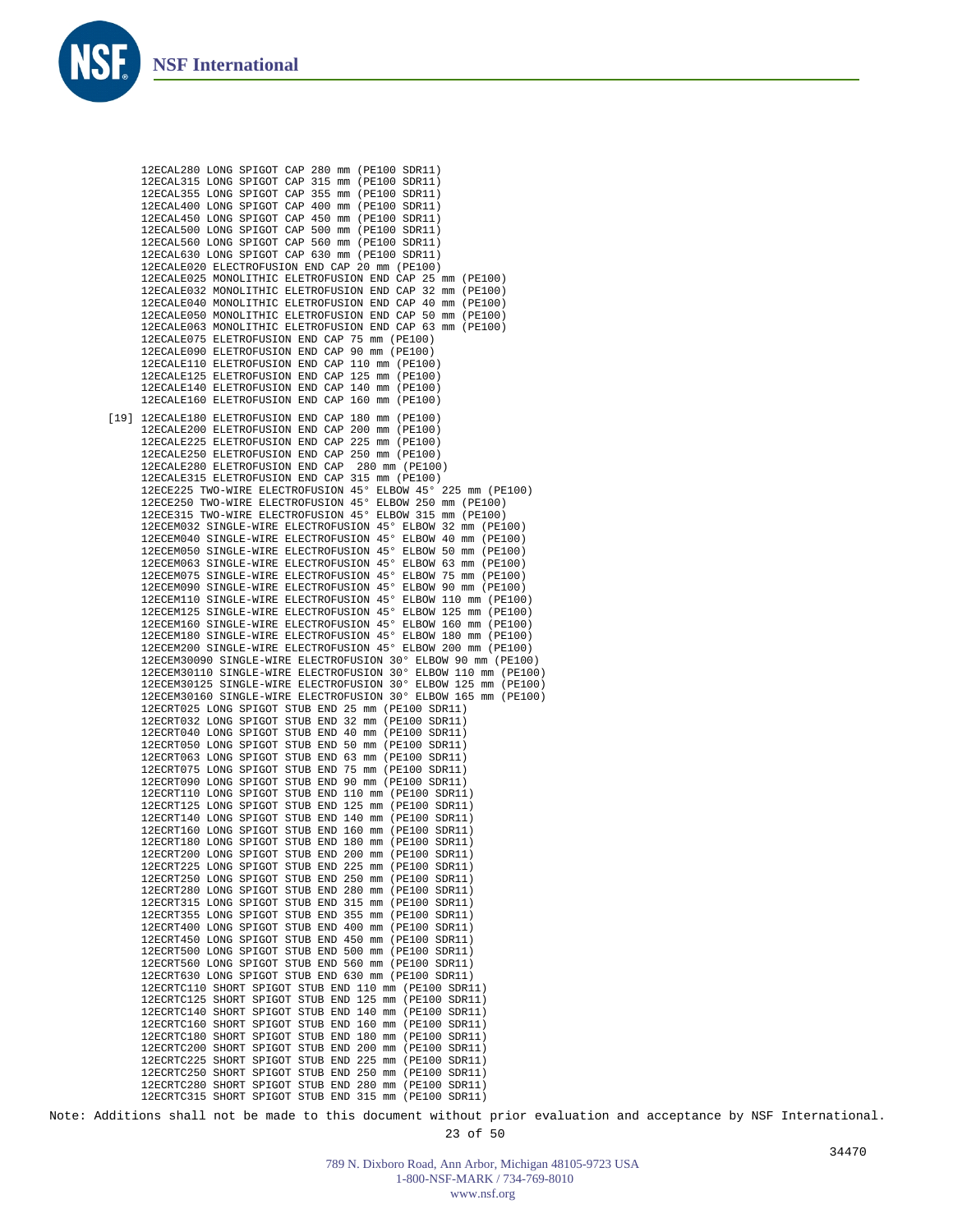

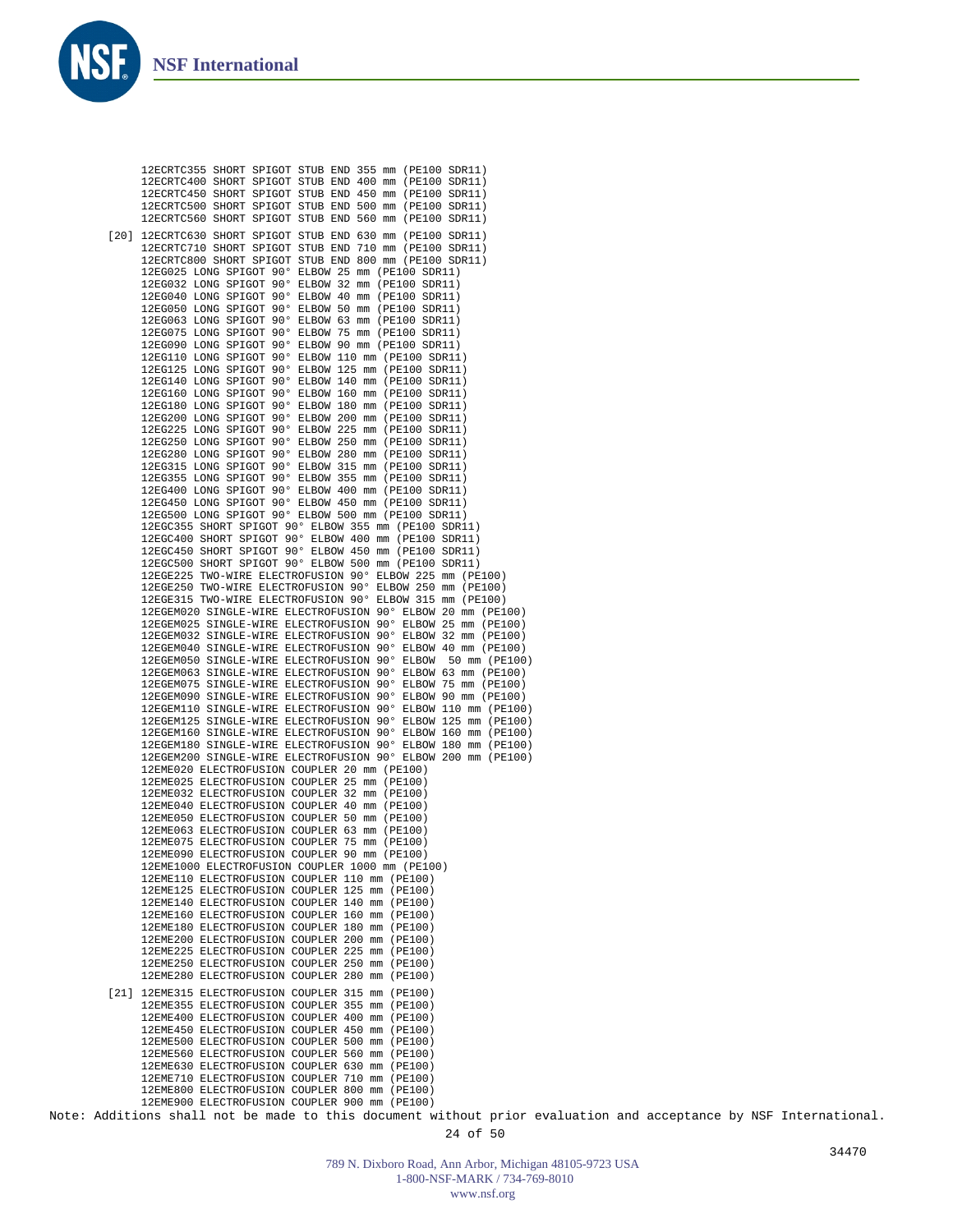

| 12ECRTC355 SHORT SPIGOT STUB END 355 mm (PE100 SDR11)<br>12ECRTC400 SHORT SPIGOT STUB END 400 mm (PE100 SDR11)<br>12ECRTC450 SHORT SPIGOT STUB END 450 mm (PE100 SDR11)<br>12ECRTC500 SHORT SPIGOT STUB END 500 mm (PE100 SDR11)<br>12ECRTC560 SHORT SPIGOT STUB END 560 mm (PE100 SDR11) |  |
|-------------------------------------------------------------------------------------------------------------------------------------------------------------------------------------------------------------------------------------------------------------------------------------------|--|
| [20] 12ECRTC630 SHORT SPIGOT STUB END 630 mm (PE100 SDR11)<br>12ECRTC710 SHORT SPIGOT STUB END 710 mm (PE100 SDR11)<br>12ECRTC800 SHORT SPIGOT STUB END 800 mm (PE100 SDR11)                                                                                                              |  |
| 12EG025 LONG SPIGOT 90° ELBOW 25 mm (PE100 SDR11)                                                                                                                                                                                                                                         |  |
| 12EG032 LONG SPIGOT 90° ELBOW 32 mm (PE100 SDR11)<br>12EG040 LONG SPIGOT 90° ELBOW 40 mm (PE100 SDR11)                                                                                                                                                                                    |  |
| 12EG050 LONG SPIGOT 90° ELBOW 50 mm (PE100 SDR11)                                                                                                                                                                                                                                         |  |
| 12EG063 LONG SPIGOT 90° ELBOW 63 mm (PE100 SDR11)<br>12EG075 LONG SPIGOT 90° ELBOW 75 mm (PE100 SDR11)                                                                                                                                                                                    |  |
| 12EG090 LONG SPIGOT 90° ELBOW 90 mm (PE100 SDR11)                                                                                                                                                                                                                                         |  |
| 12EG110 LONG SPIGOT 90° ELBOW 110 mm (PE100 SDR11)<br>12EG125 LONG SPIGOT 90° ELBOW 125 mm (PE100 SDR11)                                                                                                                                                                                  |  |
| 12EG140 LONG SPIGOT 90° ELBOW 140 mm (PE100 SDR11)                                                                                                                                                                                                                                        |  |
| 12EG160 LONG SPIGOT 90° ELBOW 160 mm (PE100 SDR11)<br>12EG180 LONG SPIGOT 90° ELBOW 180 mm (PE100 SDR11)                                                                                                                                                                                  |  |
| 12EG200 LONG SPIGOT 90° ELBOW 200 mm (PE100 SDR11)                                                                                                                                                                                                                                        |  |
| 12EG225 LONG SPIGOT 90° ELBOW 225 mm (PE100 SDR11)<br>12EG250 LONG SPIGOT 90° ELBOW 250 mm (PE100 SDR11)                                                                                                                                                                                  |  |
| 12EG280 LONG SPIGOT 90° ELBOW 280 mm (PE100 SDR11)                                                                                                                                                                                                                                        |  |
| 12EG315 LONG SPIGOT 90° ELBOW 315 mm (PE100 SDR11)<br>12EG355 LONG SPIGOT 90° ELBOW 355 mm (PE100 SDR11)                                                                                                                                                                                  |  |
| 12EG400 LONG SPIGOT 90° ELBOW 400 mm (PE100 SDR11)                                                                                                                                                                                                                                        |  |
| 12EG450 LONG SPIGOT 90° ELBOW 450 mm (PE100 SDR11)<br>12EG500 LONG SPIGOT 90° ELBOW 500 mm (PE100 SDR11)                                                                                                                                                                                  |  |
| 12EGC355 SHORT SPIGOT 90° ELBOW 355 mm (PE100 SDR11)                                                                                                                                                                                                                                      |  |
| 12EGC400 SHORT SPIGOT 90° ELBOW 400 mm (PE100 SDR11)<br>12EGC450 SHORT SPIGOT 90° ELBOW 450 mm (PE100 SDR11)                                                                                                                                                                              |  |
| 12EGC500 SHORT SPIGOT 90° ELBOW 500 mm (PE100 SDR11)                                                                                                                                                                                                                                      |  |
| 12EGE225 TWO-WIRE ELECTROFUSION 90° ELBOW 225 mm (PE100)<br>12EGE250 TWO-WIRE ELECTROFUSION 90° ELBOW 250 mm (PE100)                                                                                                                                                                      |  |
| 12EGE315 TWO-WIRE ELECTROFUSION 90° ELBOW 315 mm (PE100)                                                                                                                                                                                                                                  |  |
| 12EGEM020 SINGLE-WIRE ELECTROFUSION 90° ELBOW 20 mm (PE100)<br>12EGEM025 SINGLE-WIRE ELECTROFUSION 90° ELBOW 25 mm (PE100)                                                                                                                                                                |  |
| 12EGEM032 SINGLE-WIRE ELECTROFUSION 90° ELBOW 32 mm (PE100)                                                                                                                                                                                                                               |  |
| 12EGEM040 SINGLE-WIRE ELECTROFUSION 90° ELBOW 40 mm (PE100)<br>12EGEM050 SINGLE-WIRE ELECTROFUSION 90° ELBOW<br>50 mm (PE100)                                                                                                                                                             |  |
| 12EGEM063 SINGLE-WIRE ELECTROFUSION 90° ELBOW 63 mm (PE100)                                                                                                                                                                                                                               |  |
| 12EGEM075 SINGLE-WIRE ELECTROFUSION 90° ELBOW 75 mm (PE100)<br>12EGEM090 SINGLE-WIRE ELECTROFUSION 90° ELBOW 90 mm (PE100)                                                                                                                                                                |  |
| 12EGEM110 SINGLE-WIRE ELECTROFUSION 90° ELBOW 110 mm (PE100)                                                                                                                                                                                                                              |  |
| 12EGEM125 SINGLE-WIRE ELECTROFUSION 90° ELBOW 125 mm (PE100)<br>12EGEM160 SINGLE-WIRE ELECTROFUSION 90° ELBOW 160 mm (PE100)                                                                                                                                                              |  |
| 12EGEM180 SINGLE-WIRE ELECTROFUSION 90° ELBOW 180 mm (PE100)                                                                                                                                                                                                                              |  |
| 12EGEM200 SINGLE-WIRE ELECTROFUSION 90° ELBOW 200 mm (PE100)<br>12EME020 ELECTROFUSION COUPLER 20 mm (PE100)                                                                                                                                                                              |  |
| 12EME025 ELECTROFUSION COUPLER 25 mm (PE100)                                                                                                                                                                                                                                              |  |
| 12EME032 ELECTROFUSION COUPLER 32 mm (PE100)<br>12EME040 ELECTROFUSION COUPLER 40 mm (PE100)                                                                                                                                                                                              |  |
| 12EME050 ELECTROFUSION COUPLER 50 mm (PE100)<br>12EME063 ELECTROFUSION COUPLER 63 mm (PE100)                                                                                                                                                                                              |  |
| 12EME075 ELECTROFUSION COUPLER 75 mm (PE100)                                                                                                                                                                                                                                              |  |
| 12EME090 ELECTROFUSION COUPLER 90 mm (PE100)<br>12EME1000 ELECTROFUSION COUPLER 1000 mm (PE100)                                                                                                                                                                                           |  |
| 12EME110 ELECTROFUSION COUPLER 110 mm (PE100)                                                                                                                                                                                                                                             |  |
| 12EME125 ELECTROFUSION COUPLER 125 mm (PE100)<br>12EME140 ELECTROFUSION COUPLER 140 mm (PE100)                                                                                                                                                                                            |  |
| 12EME160 ELECTROFUSION COUPLER 160 mm (PE100)                                                                                                                                                                                                                                             |  |
| 12EME180 ELECTROFUSION COUPLER 180 mm (PE100)<br>12EME200 ELECTROFUSION COUPLER 200 mm (PE100)                                                                                                                                                                                            |  |
| 12EME225 ELECTROFUSION COUPLER 225 mm (PE100)                                                                                                                                                                                                                                             |  |
| 12EME250 ELECTROFUSION COUPLER 250 mm (PE100)<br>12EME280 ELECTROFUSION COUPLER 280 mm (PE100)                                                                                                                                                                                            |  |
| [21] 12EME315 ELECTROFUSION COUPLER 315 mm (PE100)                                                                                                                                                                                                                                        |  |
| 12EME355 ELECTROFUSION COUPLER 355 mm (PE100)                                                                                                                                                                                                                                             |  |
| 12EME400 ELECTROFUSION COUPLER 400 mm (PE100)<br>12EME450 ELECTROFUSION COUPLER 450 mm (PE100)                                                                                                                                                                                            |  |
| 12EME500 ELECTROFUSION COUPLER 500 mm (PE100)                                                                                                                                                                                                                                             |  |
| 12EME560 ELECTROFUSION COUPLER 560 mm (PE100)<br>12EME630 ELECTROFUSION COUPLER 630 mm (PE100)                                                                                                                                                                                            |  |
| 12EME710 ELECTROFUSION COUPLER 710 mm (PE100)                                                                                                                                                                                                                                             |  |
| 12EME800 ELECTROFUSION COUPLER 800 mm (PE100)<br>12EME900 ELECTROFUSION COUPLER 900 mm (PE100)                                                                                                                                                                                            |  |
| dditions shall not be made to this document without prior                                                                                                                                                                                                                                 |  |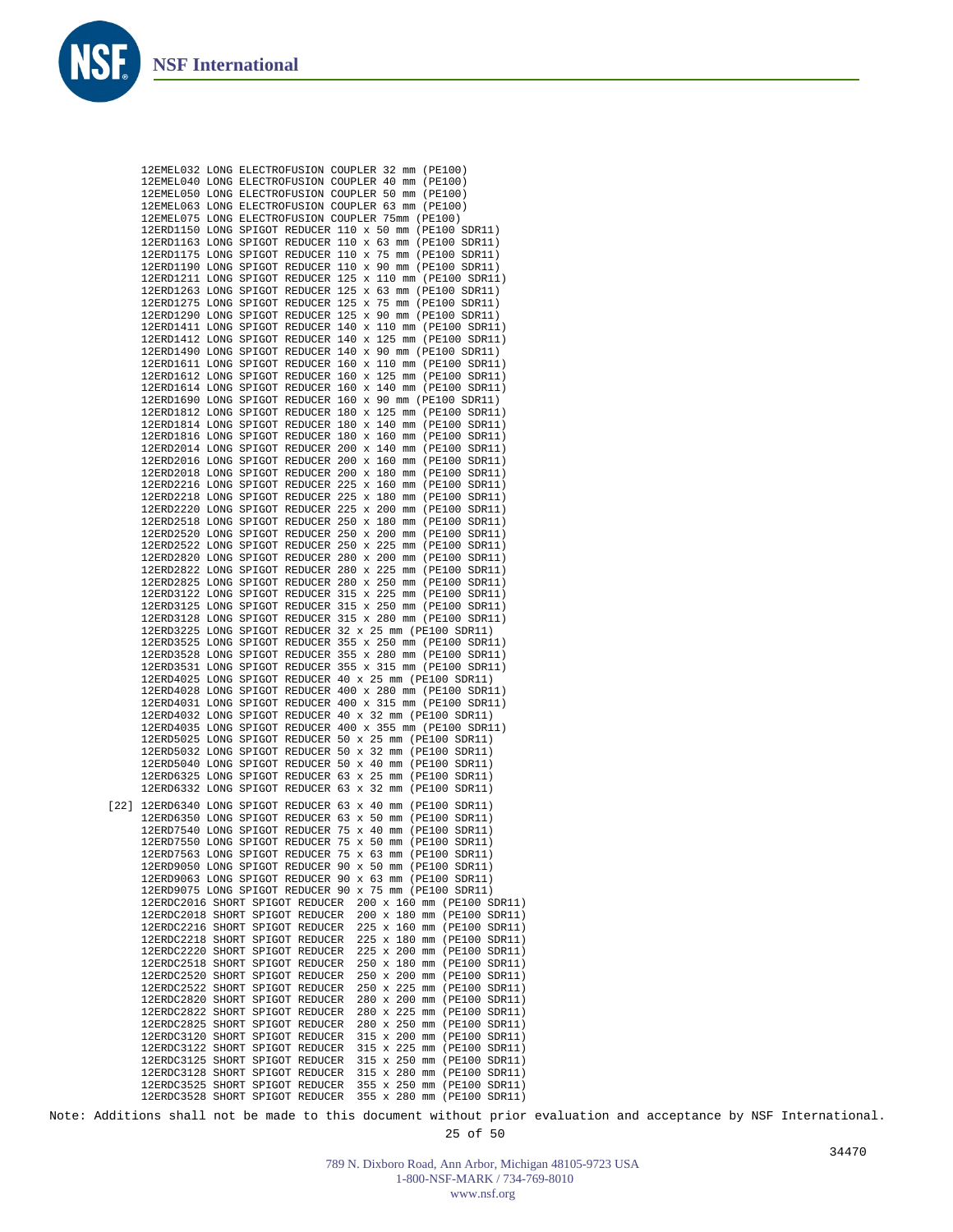

Note: Additions shall not be made to this document without prior evaluation and acceptance by NSF International.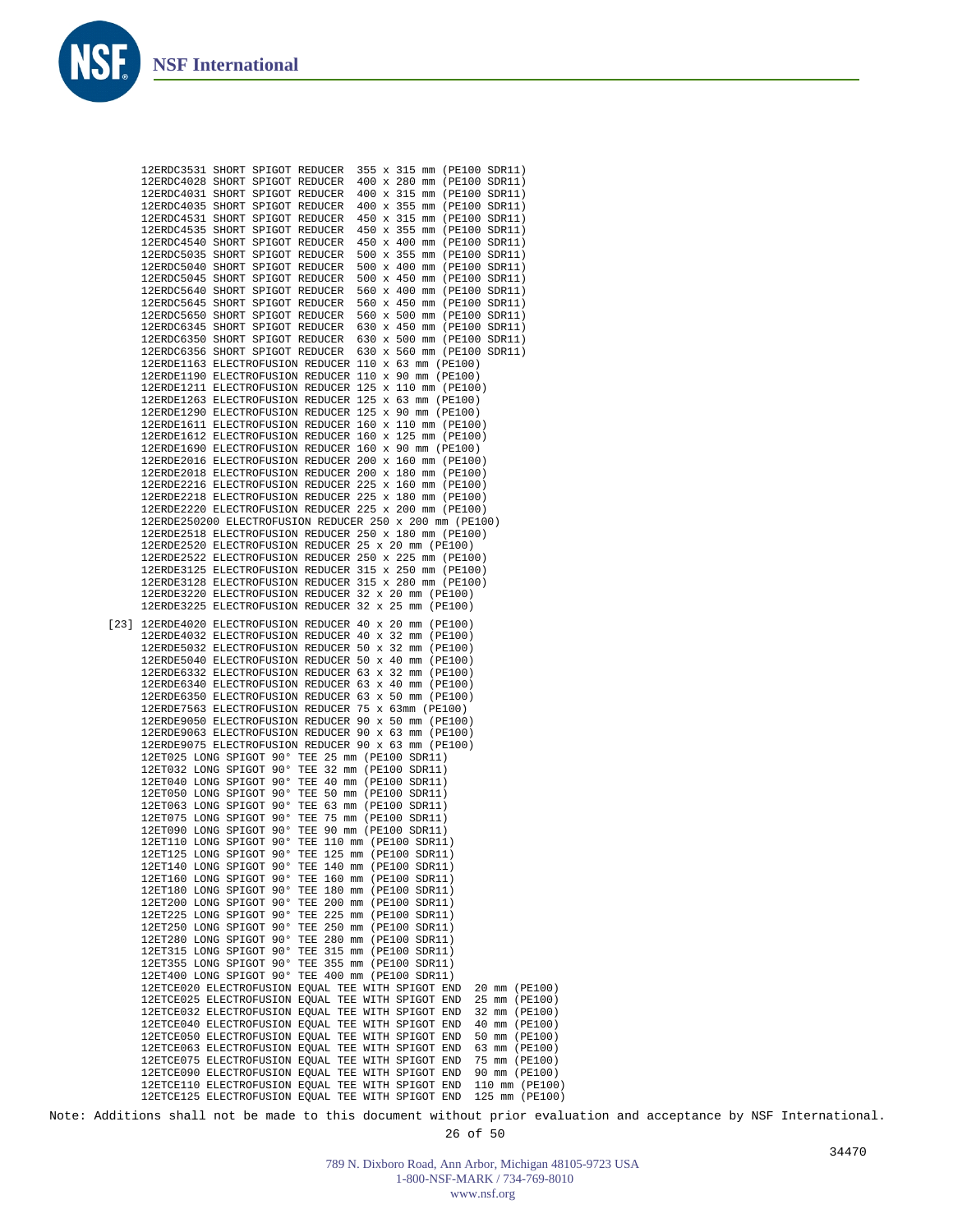

Note: Additions shall not be made to this document without prior evaluation and acceptance by NSF International.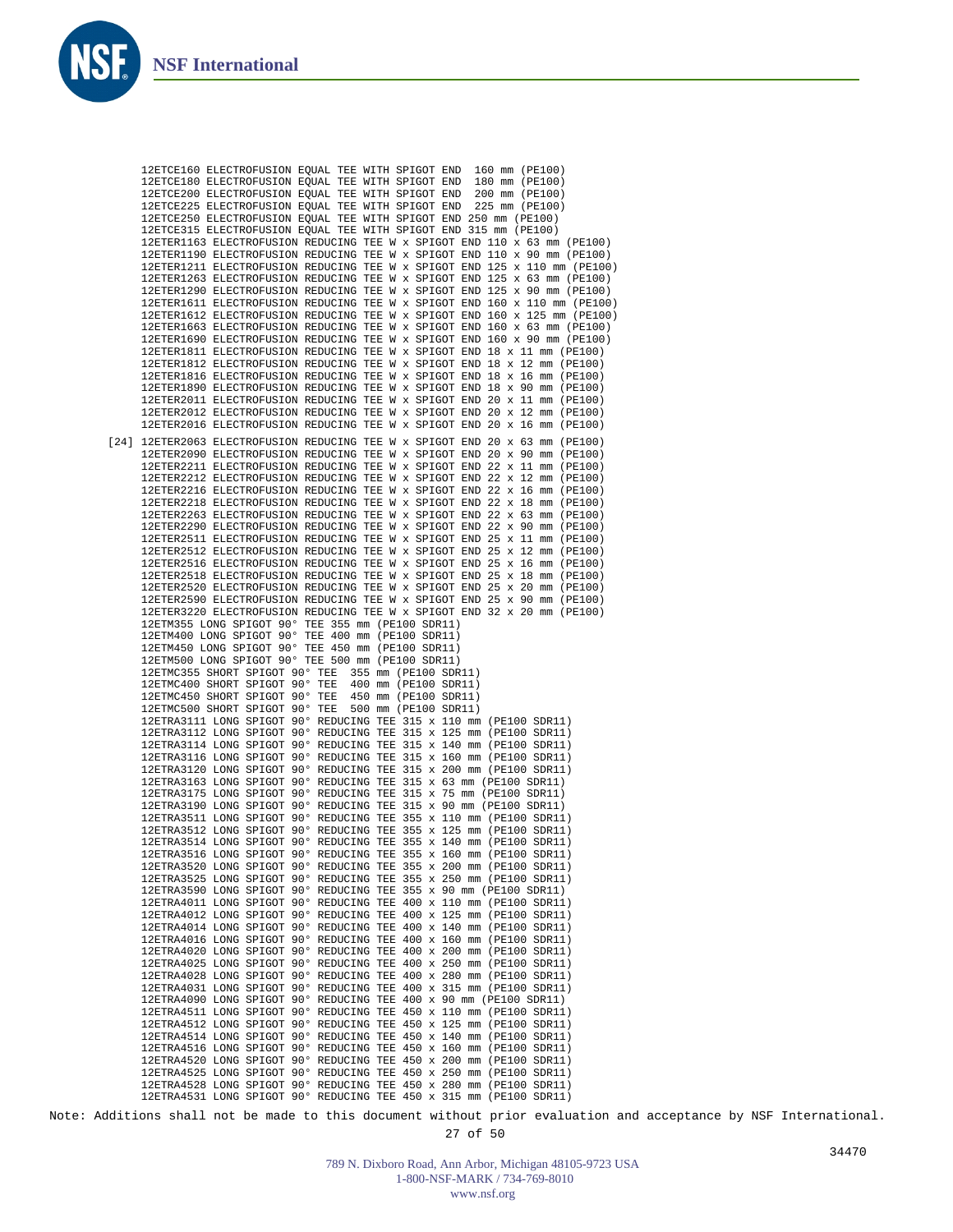**NS** 

| 12ETCE160 ELECTROFUSION EQUAL TEE WITH SPIGOT END                                                                                                    |  |  |                                              |  |  | 160 mm (PE100)                   |  |
|------------------------------------------------------------------------------------------------------------------------------------------------------|--|--|----------------------------------------------|--|--|----------------------------------|--|
| 12ETCE180 ELECTROFUSION EQUAL TEE WITH SPIGOT END                                                                                                    |  |  |                                              |  |  | 180 mm (PE100)<br>200 mm (PE100) |  |
| 12ETCE200 ELECTROFUSION EQUAL TEE WITH SPIGOT END<br>12ETCE225 ELECTROFUSION EQUAL TEE WITH SPIGOT END                                               |  |  |                                              |  |  | 225 mm (PE100)                   |  |
| 12ETCE250 ELECTROFUSION EQUAL TEE WITH SPIGOT END 250 mm (PE100)                                                                                     |  |  |                                              |  |  |                                  |  |
| 12ETCE315 ELECTROFUSION EQUAL TEE WITH SPIGOT END 315 mm (PE100)                                                                                     |  |  |                                              |  |  |                                  |  |
| 12ETER1163 ELECTROFUSION REDUCING TEE W x SPIGOT END 110 x 63 mm (PE100)                                                                             |  |  |                                              |  |  |                                  |  |
| 12ETER1190 ELECTROFUSION REDUCING TEE W x SPIGOT END 110 x 90 mm (PE100)                                                                             |  |  |                                              |  |  |                                  |  |
| 12ETER1211 ELECTROFUSION REDUCING TEE W x SPIGOT END 125 x 110 mm (PE100)                                                                            |  |  |                                              |  |  |                                  |  |
| 12ETER1263 ELECTROFUSION REDUCING TEE W x SPIGOT END 125 x 63 mm (PE100)<br>12ETER1290 ELECTROFUSION REDUCING TEE W x SPIGOT END 125 x 90 mm (PE100) |  |  |                                              |  |  |                                  |  |
| 12ETER1611 ELECTROFUSION REDUCING TEE W x SPIGOT END 160 x 110 mm (PE100)                                                                            |  |  |                                              |  |  |                                  |  |
| 12ETER1612 ELECTROFUSION REDUCING TEE W x SPIGOT END 160 x 125 mm (PE100)                                                                            |  |  |                                              |  |  |                                  |  |
| 12ETER1663 ELECTROFUSION REDUCING TEE W x SPIGOT END 160 x 63 mm (PE100)                                                                             |  |  |                                              |  |  |                                  |  |
| 12ETER1690 ELECTROFUSION REDUCING TEE W x SPIGOT END 160 x 90 mm (PE100)                                                                             |  |  |                                              |  |  |                                  |  |
| 12ETER1811 ELECTROFUSION REDUCING TEE W x SPIGOT END 18 x 11 mm (PE100)                                                                              |  |  |                                              |  |  |                                  |  |
| 12ETER1812 ELECTROFUSION REDUCING TEE W x SPIGOT END 18 x 12 mm (PE100)                                                                              |  |  |                                              |  |  |                                  |  |
| 12ETER1816 ELECTROFUSION REDUCING TEE W x SPIGOT END 18 x 16 mm (PE100)<br>12ETER1890 ELECTROFUSION REDUCING TEE W x SPIGOT END 18 x 90 mm (PE100)   |  |  |                                              |  |  |                                  |  |
| 12ETER2011 ELECTROFUSION REDUCING TEE W x SPIGOT END 20 x 11 mm (PE100)                                                                              |  |  |                                              |  |  |                                  |  |
| 12ETER2012 ELECTROFUSION REDUCING TEE W x SPIGOT END 20 x 12 mm (PE100)                                                                              |  |  |                                              |  |  |                                  |  |
| 12ETER2016 ELECTROFUSION REDUCING TEE W x SPIGOT END 20 x 16 mm (PE100)                                                                              |  |  |                                              |  |  |                                  |  |
| [24] 12ETER2063 ELECTROFUSION REDUCING TEE W x SPIGOT END 20 x 63 mm (PE100)                                                                         |  |  |                                              |  |  |                                  |  |
| 12ETER2090 ELECTROFUSION REDUCING TEE W x SPIGOT END 20 x 90 mm (PE100)                                                                              |  |  |                                              |  |  |                                  |  |
| 12ETER2211 ELECTROFUSION REDUCING TEE W x SPIGOT END 22 x 11 mm (PE100)                                                                              |  |  |                                              |  |  |                                  |  |
| 12ETER2212 ELECTROFUSION REDUCING TEE W x SPIGOT END 22 x 12 mm (PE100)                                                                              |  |  |                                              |  |  |                                  |  |
| 12ETER2216 ELECTROFUSION REDUCING TEE W x SPIGOT END 22 x 16 mm (PE100)                                                                              |  |  |                                              |  |  |                                  |  |
| 12ETER2218 ELECTROFUSION REDUCING TEE W x SPIGOT END 22 x 18 mm (PE100)<br>12ETER2263 ELECTROFUSION REDUCING TEE W x SPIGOT END 22 x 63 mm (PE100)   |  |  |                                              |  |  |                                  |  |
| 12ETER2290 ELECTROFUSION REDUCING TEE W x SPIGOT END 22 x 90 mm (PE100)                                                                              |  |  |                                              |  |  |                                  |  |
| 12ETER2511 ELECTROFUSION REDUCING TEE W x SPIGOT END 25 x 11 mm (PE100)                                                                              |  |  |                                              |  |  |                                  |  |
| 12ETER2512 ELECTROFUSION REDUCING TEE W x SPIGOT END 25 x 12 mm (PE100)                                                                              |  |  |                                              |  |  |                                  |  |
| 12ETER2516 ELECTROFUSION REDUCING TEE W x SPIGOT END 25 x 16 mm (PE100)                                                                              |  |  |                                              |  |  |                                  |  |
| 12ETER2518 ELECTROFUSION REDUCING TEE W x SPIGOT END 25 x 18 mm (PE100)                                                                              |  |  |                                              |  |  |                                  |  |
| 12ETER2520 ELECTROFUSION REDUCING TEE W x SPIGOT END 25 x 20 mm (PE100)<br>12ETER2590 ELECTROFUSION REDUCING TEE W x SPIGOT END 25 x 90 mm (PE100)   |  |  |                                              |  |  |                                  |  |
| 12ETER3220 ELECTROFUSION REDUCING TEE W x SPIGOT END 32 x 20 mm (PE100)                                                                              |  |  |                                              |  |  |                                  |  |
| 12ETM355 LONG SPIGOT 90° TEE 355 mm (PE100 SDR11)                                                                                                    |  |  |                                              |  |  |                                  |  |
| 12ETM400 LONG SPIGOT 90° TEE 400 mm (PE100 SDR11)                                                                                                    |  |  |                                              |  |  |                                  |  |
| 12ETM450 LONG SPIGOT 90° TEE 450 mm (PE100 SDR11)                                                                                                    |  |  |                                              |  |  |                                  |  |
| 12ETM500 LONG SPIGOT 90° TEE 500 mm (PE100 SDR11)                                                                                                    |  |  |                                              |  |  |                                  |  |
| 12ETMC355 SHORT SPIGOT 90° TEE<br>12ETMC400 SHORT SPIGOT 90° TEE                                                                                     |  |  | 355 mm (PE100 SDR11)<br>400 mm (PE100 SDR11) |  |  |                                  |  |
| 12ETMC450 SHORT SPIGOT 90° TEE                                                                                                                       |  |  | 450 mm (PE100 SDR11)                         |  |  |                                  |  |
| 12ETMC500 SHORT SPIGOT 90° TEE                                                                                                                       |  |  | 500 mm (PE100 SDR11)                         |  |  |                                  |  |
| 12ETRA3111 LONG SPIGOT 90° REDUCING TEE 315 x 110 mm (PE100 SDR11)                                                                                   |  |  |                                              |  |  |                                  |  |
| 12ETRA3112 LONG SPIGOT 90° REDUCING TEE 315 x 125 mm (PE100 SDR11)                                                                                   |  |  |                                              |  |  |                                  |  |
| 12ETRA3114 LONG SPIGOT 90° REDUCING TEE 315 x 140 mm (PE100 SDR11)                                                                                   |  |  |                                              |  |  |                                  |  |
| 12ETRA3116 LONG SPIGOT 90° REDUCING TEE 315 x 160 mm (PE100 SDR11)<br>12ETRA3120 LONG SPIGOT 90° REDUCING TEE 315 x 200 mm (PE100 SDR11)             |  |  |                                              |  |  |                                  |  |
| 12ETRA3163 LONG SPIGOT 90° REDUCING TEE 315 x 63 mm (PE100 SDR11)                                                                                    |  |  |                                              |  |  |                                  |  |
| 12ETRA3175 LONG SPIGOT 90° REDUCING TEE 315 x 75 mm (PE100 SDR11)                                                                                    |  |  |                                              |  |  |                                  |  |
| 12ETRA3190 LONG SPIGOT 90° REDUCING TEE 315 x 90 mm (PE100 SDR11)                                                                                    |  |  |                                              |  |  |                                  |  |
| 12ETRA3511 LONG SPIGOT 90° REDUCING TEE 355 x 110 mm (PE100 SDR11)                                                                                   |  |  |                                              |  |  |                                  |  |
| 12ETRA3512 LONG SPIGOT 90° REDUCING TEE 355 x 125 mm (PE100 SDR11)                                                                                   |  |  |                                              |  |  |                                  |  |
| 12ETRA3514 LONG SPIGOT 90° REDUCING TEE 355 x 140 mm (PE100 SDR11)<br>12ETRA3516 LONG SPIGOT 90° REDUCING TEE 355 x 160 mm (PE100 SDR11)             |  |  |                                              |  |  |                                  |  |
| 12ETRA3520 LONG SPIGOT 90° REDUCING TEE 355 x 200 mm (PE100 SDR11)                                                                                   |  |  |                                              |  |  |                                  |  |
| 12ETRA3525 LONG SPIGOT 90° REDUCING TEE 355 x 250 mm (PE100 SDR11)                                                                                   |  |  |                                              |  |  |                                  |  |
| 12ETRA3590 LONG SPIGOT 90° REDUCING TEE 355 x 90 mm (PE100 SDR11)                                                                                    |  |  |                                              |  |  |                                  |  |
| 12ETRA4011 LONG SPIGOT 90° REDUCING TEE 400 x 110 mm (PE100 SDR11)                                                                                   |  |  |                                              |  |  |                                  |  |
| 12ETRA4012 LONG SPIGOT 90° REDUCING TEE 400 x 125 mm (PE100 SDR11)                                                                                   |  |  |                                              |  |  |                                  |  |
| 12ETRA4014 LONG SPIGOT 90° REDUCING TEE 400 x 140 mm (PE100 SDR11)<br>12ETRA4016 LONG SPIGOT 90° REDUCING TEE 400 x 160 mm (PE100 SDR11)             |  |  |                                              |  |  |                                  |  |
| 12ETRA4020 LONG SPIGOT 90° REDUCING TEE 400 x 200 mm (PE100 SDR11)                                                                                   |  |  |                                              |  |  |                                  |  |
| 12ETRA4025 LONG SPIGOT 90° REDUCING TEE 400 x 250 mm (PE100 SDR11)                                                                                   |  |  |                                              |  |  |                                  |  |
| 12ETRA4028 LONG SPIGOT 90° REDUCING TEE 400 x 280 mm (PE100 SDR11)                                                                                   |  |  |                                              |  |  |                                  |  |
| 12ETRA4031 LONG SPIGOT 90° REDUCING TEE 400 x 315 mm (PE100 SDR11)                                                                                   |  |  |                                              |  |  |                                  |  |
| 12ETRA4090 LONG SPIGOT 90° REDUCING TEE 400 x 90 mm (PE100 SDR11)                                                                                    |  |  |                                              |  |  |                                  |  |
| 12ETRA4511 LONG SPIGOT 90° REDUCING TEE 450 x 110 mm (PE100 SDR11)                                                                                   |  |  |                                              |  |  |                                  |  |
| 12ETRA4512 LONG SPIGOT 90° REDUCING TEE 450 x 125 mm (PE100 SDR11)<br>12ETRA4514 LONG SPIGOT 90° REDUCING TEE 450 x 140 mm (PE100 SDR11)             |  |  |                                              |  |  |                                  |  |
| 12ETRA4516 LONG SPIGOT 90° REDUCING TEE 450 x 160 mm (PE100 SDR11)                                                                                   |  |  |                                              |  |  |                                  |  |
| 12ETRA4520 LONG SPIGOT 90° REDUCING TEE 450 x 200 mm (PE100 SDR11)                                                                                   |  |  |                                              |  |  |                                  |  |
| 12ETRA4525 LONG SPIGOT 90° REDUCING TEE 450 x 250 mm (PE100 SDR11)                                                                                   |  |  |                                              |  |  |                                  |  |
| 12ETRA4528 LONG SPIGOT 90° REDUCING TEE 450 x 280 mm (PE100 SDR11)                                                                                   |  |  |                                              |  |  |                                  |  |
| 12ETRA4531 LONG SPIGOT 90° REDUCING TEE 450 x 315 mm (PE100 SDR11)                                                                                   |  |  |                                              |  |  |                                  |  |
| ditions shall not be made to this document without prior evaluation.                                                                                 |  |  |                                              |  |  |                                  |  |

Note: Additions shall not be made to this document without prior evaluation and acceptance by NSF International.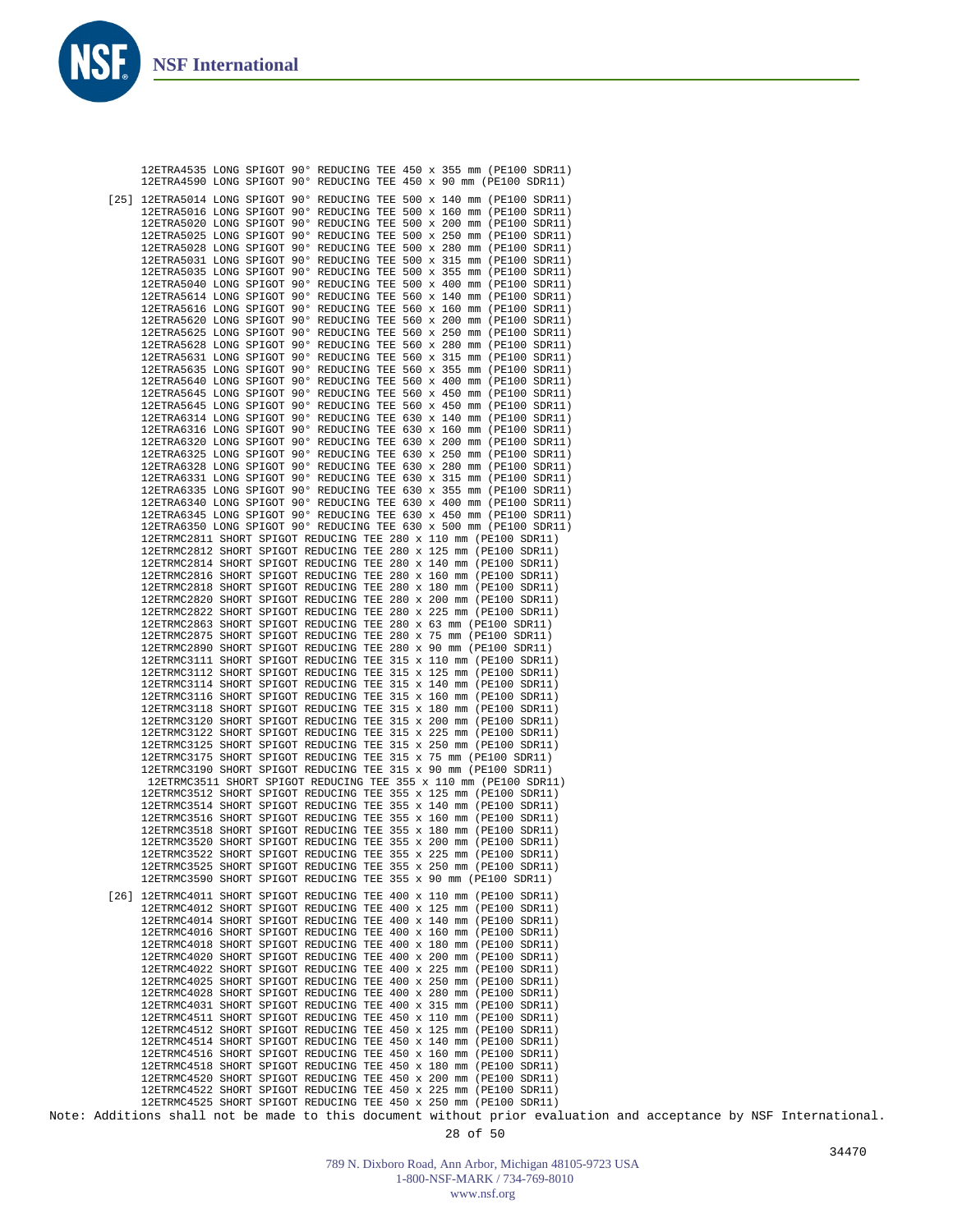**NS** 

|  | 12ETRA4535 LONG SPIGOT 90° REDUCING TEE 450 x 355 mm (PE100 SDR11)<br>12ETRA4590 LONG SPIGOT 90° REDUCING TEE 450 x 90 mm (PE100 SDR11)       |
|--|-----------------------------------------------------------------------------------------------------------------------------------------------|
|  |                                                                                                                                               |
|  | [25] 12ETRA5014 LONG SPIGOT 90° REDUCING TEE 500 x 140 mm (PE100 SDR11)<br>12ETRA5016 LONG SPIGOT 90° REDUCING TEE 500 x 160 mm (PE100 SDR11) |
|  | 12ETRA5020 LONG SPIGOT 90° REDUCING TEE 500 x 200 mm (PE100 SDR11)                                                                            |
|  | 12ETRA5025 LONG SPIGOT 90° REDUCING TEE 500 x 250 mm (PE100 SDR11)                                                                            |
|  | 12ETRA5028 LONG SPIGOT 90° REDUCING TEE 500 x 280 mm (PE100 SDR11)                                                                            |
|  | 12ETRA5031 LONG SPIGOT 90° REDUCING TEE 500 x 315 mm (PE100 SDR11)                                                                            |
|  | 12ETRA5035 LONG SPIGOT 90° REDUCING TEE 500 x 355 mm (PE100 SDR11)                                                                            |
|  | 12ETRA5040 LONG SPIGOT 90° REDUCING TEE 500 x 400 mm (PE100 SDR11)<br>12ETRA5614 LONG SPIGOT 90° REDUCING TEE 560 x 140 mm (PE100 SDR11)      |
|  | 12ETRA5616 LONG SPIGOT 90° REDUCING TEE 560 x 160 mm (PE100 SDR11)                                                                            |
|  | 12ETRA5620 LONG SPIGOT 90° REDUCING TEE 560 x 200 mm (PE100 SDR11)                                                                            |
|  | 12ETRA5625 LONG SPIGOT 90° REDUCING TEE 560 x 250 mm (PE100 SDR11)                                                                            |
|  | 12ETRA5628 LONG SPIGOT 90° REDUCING TEE 560 x 280 mm (PE100 SDR11)                                                                            |
|  | 12ETRA5631 LONG SPIGOT 90° REDUCING TEE 560 x 315 mm (PE100 SDR11)                                                                            |
|  | 12ETRA5635 LONG SPIGOT 90° REDUCING TEE 560 x 355 mm (PE100 SDR11)                                                                            |
|  | 12ETRA5640 LONG SPIGOT 90° REDUCING TEE 560 x 400 mm (PE100 SDR11)<br>12ETRA5645 LONG SPIGOT 90° REDUCING TEE 560 x 450 mm (PE100 SDR11)      |
|  | 12ETRA5645 LONG SPIGOT 90° REDUCING TEE 560 x 450 mm (PE100 SDR11)                                                                            |
|  | 12ETRA6314 LONG SPIGOT 90° REDUCING TEE 630 x 140 mm (PE100 SDR11)                                                                            |
|  | 12ETRA6316 LONG SPIGOT 90° REDUCING TEE 630 x 160 mm (PE100 SDR11)                                                                            |
|  | 12ETRA6320 LONG SPIGOT 90° REDUCING TEE 630 x 200 mm (PE100 SDR11)                                                                            |
|  | 12ETRA6325 LONG SPIGOT 90° REDUCING TEE 630 x 250 mm (PE100 SDR11)                                                                            |
|  | 12ETRA6328 LONG SPIGOT 90° REDUCING TEE 630 x 280 mm (PE100 SDR11)                                                                            |
|  | 12ETRA6331 LONG SPIGOT 90° REDUCING TEE 630 x 315 mm (PE100 SDR11)<br>12ETRA6335 LONG SPIGOT 90° REDUCING TEE 630 x 355 mm (PE100 SDR11)      |
|  | 12ETRA6340 LONG SPIGOT 90° REDUCING TEE 630 x 400 mm (PE100 SDR11)                                                                            |
|  | 12ETRA6345 LONG SPIGOT 90° REDUCING TEE 630 x 450 mm (PE100 SDR11)                                                                            |
|  | 12ETRA6350 LONG SPIGOT 90° REDUCING TEE 630 x 500 mm (PE100 SDR11)                                                                            |
|  | 12ETRMC2811 SHORT SPIGOT REDUCING TEE 280 x 110 mm (PE100 SDR11)                                                                              |
|  | 12ETRMC2812 SHORT SPIGOT REDUCING TEE 280 x 125 mm (PE100 SDR11)                                                                              |
|  | 12ETRMC2814 SHORT SPIGOT REDUCING TEE 280 x 140 mm (PE100 SDR11)                                                                              |
|  | 12ETRMC2816 SHORT SPIGOT REDUCING TEE 280 x 160 mm (PE100 SDR11)                                                                              |
|  | 12ETRMC2818 SHORT SPIGOT REDUCING TEE 280 x 180 mm (PE100 SDR11)<br>12ETRMC2820 SHORT SPIGOT REDUCING TEE 280 x 200 mm (PE100 SDR11)          |
|  | 12ETRMC2822 SHORT SPIGOT REDUCING TEE 280 x 225 mm (PE100 SDR11)                                                                              |
|  | 12ETRMC2863 SHORT SPIGOT REDUCING TEE 280 x 63 mm (PE100 SDR11)                                                                               |
|  | 12ETRMC2875 SHORT SPIGOT REDUCING TEE 280 x 75 mm (PE100 SDR11)                                                                               |
|  | 12ETRMC2890 SHORT SPIGOT REDUCING TEE 280 x 90 mm (PE100 SDR11)                                                                               |
|  | 12ETRMC3111 SHORT SPIGOT REDUCING TEE 315 x 110 mm (PE100 SDR11)                                                                              |
|  | 12ETRMC3112 SHORT SPIGOT REDUCING TEE 315 x 125 mm (PE100 SDR11)                                                                              |
|  | 12ETRMC3114 SHORT SPIGOT REDUCING TEE 315 x 140 mm (PE100 SDR11)<br>12ETRMC3116 SHORT SPIGOT REDUCING TEE 315 x 160 mm (PE100 SDR11)          |
|  | 12ETRMC3118 SHORT SPIGOT REDUCING TEE 315 x 180 mm (PE100 SDR11)                                                                              |
|  | 12ETRMC3120 SHORT SPIGOT REDUCING TEE 315 x 200 mm (PE100 SDR11)                                                                              |
|  | 12ETRMC3122 SHORT SPIGOT REDUCING TEE 315 x 225 mm (PE100 SDR11)                                                                              |
|  | 12ETRMC3125 SHORT SPIGOT REDUCING TEE 315 x 250 mm (PE100 SDR11)                                                                              |
|  | 12ETRMC3175 SHORT SPIGOT REDUCING TEE 315 x 75 mm (PE100 SDR11)                                                                               |
|  | 12ETRMC3190 SHORT SPIGOT REDUCING TEE 315 x 90 mm (PE100 SDR11)                                                                               |
|  | 12ETRMC3511 SHORT SPIGOT REDUCING TEE 355 x 110 mm (PE100 SDR11)<br>12ETRMC3512 SHORT SPIGOT REDUCING TEE 355 x 125 mm (PE100 SDR11)          |
|  | 12ETRMC3514 SHORT SPIGOT REDUCING TEE 355 x 140 mm (PE100 SDR11)                                                                              |
|  | 12ETRMC3516 SHORT SPIGOT REDUCING TEE 355 x 160 mm (PE100 SDR11)                                                                              |
|  | 12ETRMC3518 SHORT SPIGOT REDUCING TEE 355 x 180 mm (PE100 SDR11)                                                                              |
|  | 12ETRMC3520 SHORT SPIGOT REDUCING TEE 355 x 200 mm (PE100 SDR11)                                                                              |
|  | 12ETRMC3522 SHORT SPIGOT REDUCING TEE 355 x 225 mm (PE100 SDR11)                                                                              |
|  | 12ETRMC3525 SHORT SPIGOT REDUCING TEE 355 x 250 mm (PE100 SDR11)                                                                              |
|  | 12ETRMC3590 SHORT SPIGOT REDUCING TEE 355 x 90 mm (PE100 SDR11)                                                                               |
|  | [26] 12ETRMC4011 SHORT SPIGOT REDUCING TEE 400 x 110 mm (PE100 SDR11)                                                                         |
|  | 12ETRMC4012 SHORT SPIGOT REDUCING TEE 400 x 125 mm (PE100 SDR11)                                                                              |
|  | 12ETRMC4014 SHORT SPIGOT REDUCING TEE 400 x 140 mm (PE100 SDR11)                                                                              |
|  | 12ETRMC4016 SHORT SPIGOT REDUCING TEE 400 x 160 mm (PE100 SDR11)                                                                              |
|  | 12ETRMC4018 SHORT SPIGOT REDUCING TEE 400 x 180 mm (PE100 SDR11)<br>12ETRMC4020 SHORT SPIGOT REDUCING TEE 400 x 200 mm (PE100 SDR11)          |
|  | 12ETRMC4022 SHORT SPIGOT REDUCING TEE 400 x 225 mm (PE100 SDR11)                                                                              |
|  | 12ETRMC4025 SHORT SPIGOT REDUCING TEE 400 x 250 mm (PE100 SDR11)                                                                              |
|  | 12ETRMC4028 SHORT SPIGOT REDUCING TEE 400 x 280 mm (PE100 SDR11)                                                                              |
|  | 12ETRMC4031 SHORT SPIGOT REDUCING TEE 400 x 315 mm (PE100 SDR11)                                                                              |
|  | 12ETRMC4511 SHORT SPIGOT REDUCING TEE 450 x 110 mm (PE100 SDR11)                                                                              |
|  | 12ETRMC4512 SHORT SPIGOT REDUCING TEE 450 x 125 mm (PE100 SDR11)                                                                              |
|  | 12ETRMC4514 SHORT SPIGOT REDUCING TEE 450 x 140 mm (PE100 SDR11)                                                                              |
|  | 12ETRMC4516 SHORT SPIGOT REDUCING TEE 450 x 160 mm (PE100 SDR11)<br>12ETRMC4518 SHORT SPIGOT REDUCING TEE 450 x 180 mm (PE100 SDR11)          |
|  | 12ETRMC4520 SHORT SPIGOT REDUCING TEE 450 x 200 mm (PE100 SDR11)                                                                              |
|  | 12ETRMC4522 SHORT SPIGOT REDUCING TEE 450 x 225 mm (PE100 SDR11)                                                                              |
|  | 12ETRMC4525 SHORT SPIGOT REDUCING TEE 450 x 250 mm (PE100 SDR11)                                                                              |
|  |                                                                                                                                               |
|  | Note: Additions shall not be made to this document without prior evaluation and acceptance by NSF International.                              |

789 N. Dixboro Road, Ann Arbor, Michigan 48105-9723 USA 1-800-NSF-MARK / 734-769-8010 www.nsf.org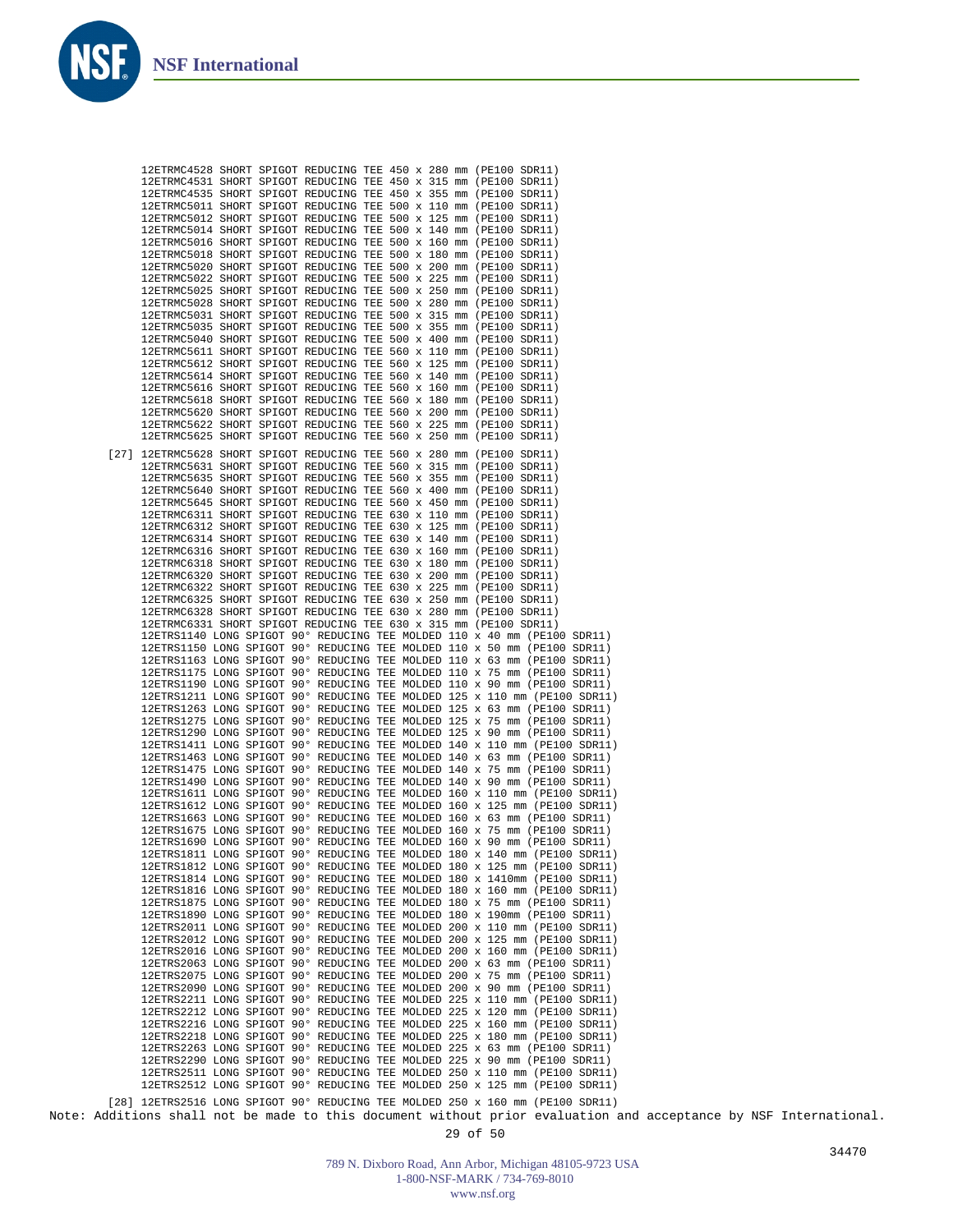

Note: Additions shall not be made to this document without prior evaluation and acceptance by NSF International.

789 N. Dixboro Road, Ann Arbor, Michigan 48105-9723 USA 1-800-NSF-MARK / 734-769-8010 www.nsf.org

29 of 50

34470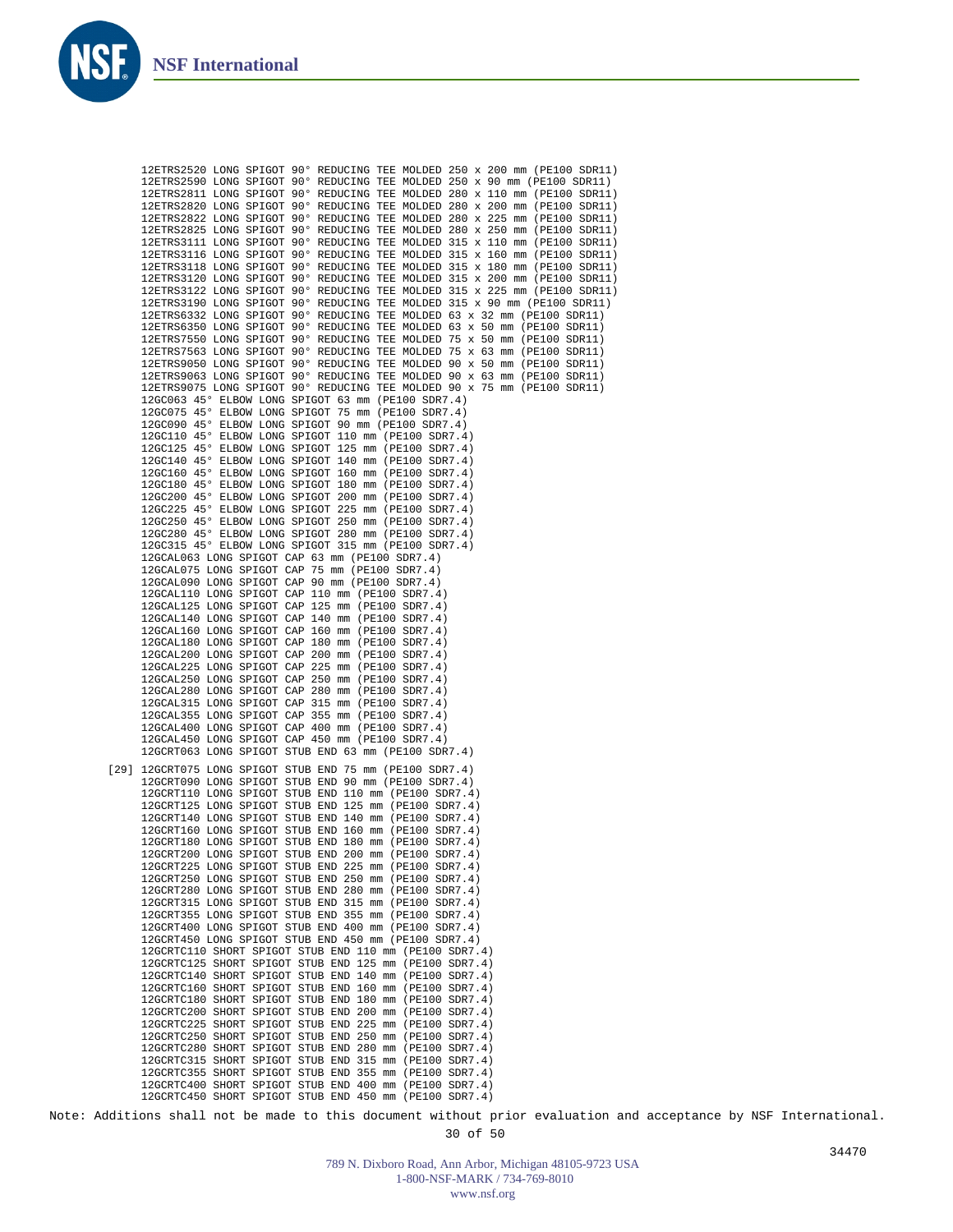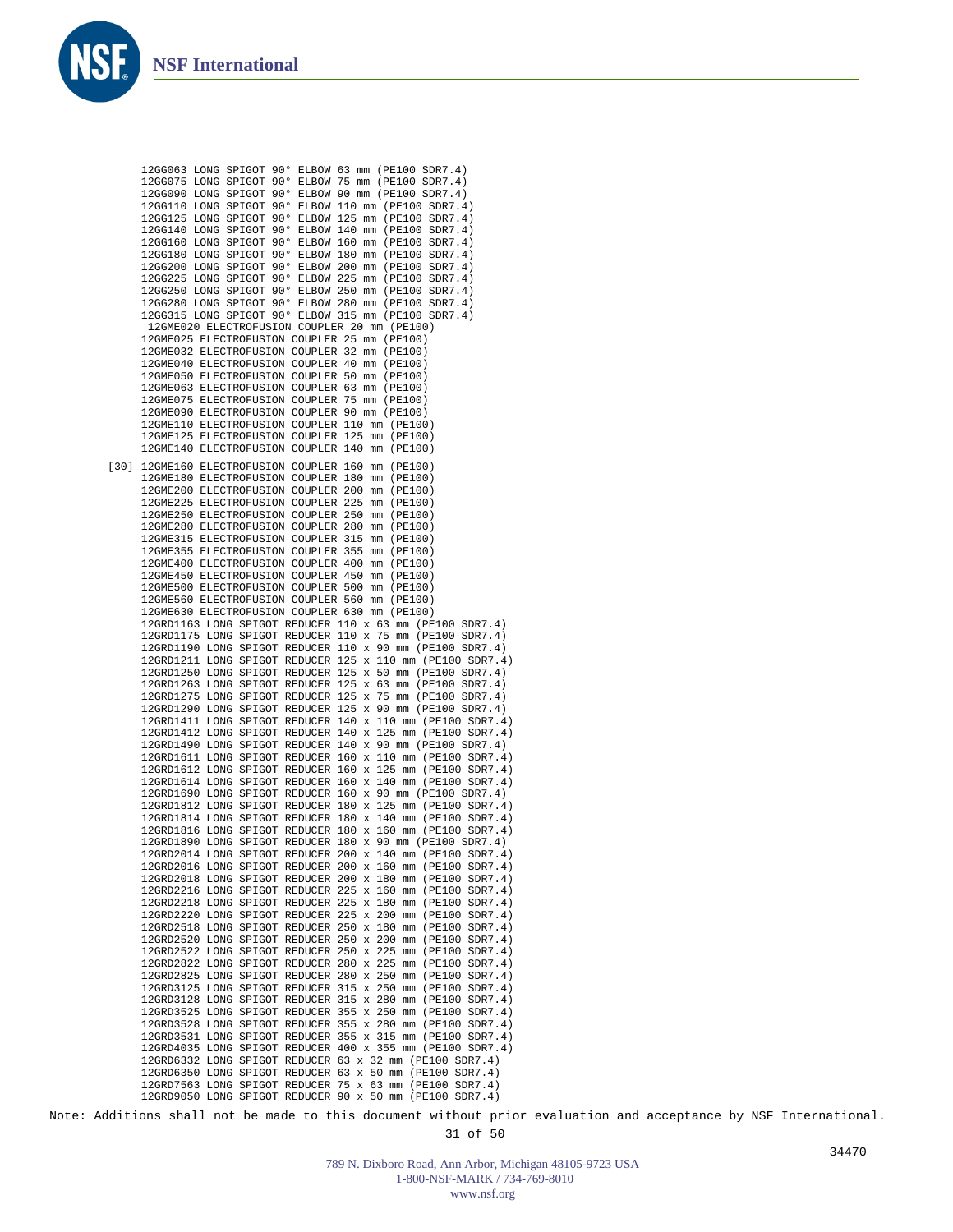|      |  | 12GG063 LONG SPIGOT 90° ELBOW 63 mm (PE100 SDR7.4)        |
|------|--|-----------------------------------------------------------|
|      |  | 12GG075 LONG SPIGOT 90° ELBOW 75 mm (PE100 SDR7.4)        |
|      |  | 12GG090 LONG SPIGOT 90° ELBOW 90 mm (PE100 SDR7.4)        |
|      |  | 12GG110 LONG SPIGOT 90° ELBOW 110 mm (PE100 SDR7.4)       |
|      |  |                                                           |
|      |  | 12GG125 LONG SPIGOT 90° ELBOW 125 mm (PE100 SDR7.4)       |
|      |  | 12GG140 LONG SPIGOT 90° ELBOW 140 mm (PE100 SDR7.4)       |
|      |  | 12GG160 LONG SPIGOT 90° ELBOW 160 mm (PE100 SDR7.4)       |
|      |  | 12GG180 LONG SPIGOT 90° ELBOW 180 mm (PE100 SDR7.4)       |
|      |  | 12GG200 LONG SPIGOT 90° ELBOW 200 mm (PE100 SDR7.4)       |
|      |  | 12GG225 LONG SPIGOT 90° ELBOW 225 mm (PE100 SDR7.4)       |
|      |  | 12GG250 LONG SPIGOT 90° ELBOW 250 mm (PE100 SDR7.4)       |
|      |  | 12GG280 LONG SPIGOT 90° ELBOW 280 mm (PE100 SDR7.4)       |
|      |  | 12GG315 LONG SPIGOT 90° ELBOW 315 mm (PE100 SDR7.4)       |
|      |  | 12GME020 ELECTROFUSION COUPLER 20 mm (PE100)              |
|      |  | 12GME025 ELECTROFUSION COUPLER 25 mm (PE100)              |
|      |  | 12GME032 ELECTROFUSION COUPLER 32 mm (PE100)              |
|      |  | 12GME040 ELECTROFUSION COUPLER 40 mm (PE100)              |
|      |  | 12GME050 ELECTROFUSION COUPLER 50 mm (PE100)              |
|      |  | 12GME063 ELECTROFUSION COUPLER 63 mm (PE100)              |
|      |  | 12GME075 ELECTROFUSION COUPLER 75 mm (PE100)              |
|      |  | 12GME090 ELECTROFUSION COUPLER 90 mm (PE100)              |
|      |  |                                                           |
|      |  | 12GME110 ELECTROFUSION COUPLER 110 mm (PE100)             |
|      |  | 12GME125 ELECTROFUSION COUPLER 125 mm (PE100)             |
|      |  | 12GME140 ELECTROFUSION COUPLER 140 mm (PE100)             |
| [30] |  | 12GME160 ELECTROFUSION COUPLER 160 mm (PE100)             |
|      |  | 12GME180 ELECTROFUSION COUPLER 180 mm (PE100)             |
|      |  | 12GME200 ELECTROFUSION COUPLER 200 mm (PE100)             |
|      |  | 12GME225 ELECTROFUSION COUPLER 225 mm (PE100)             |
|      |  | 12GME250 ELECTROFUSION COUPLER 250 mm (PE100)             |
|      |  | 12GME280 ELECTROFUSION COUPLER 280 mm (PE100)             |
|      |  | 12GME315 ELECTROFUSION COUPLER 315 mm (PE100)             |
|      |  | 12GME355 ELECTROFUSION COUPLER 355 mm (PE100)             |
|      |  | 12GME400 ELECTROFUSION COUPLER 400 mm (PE100)             |
|      |  | 12GME450 ELECTROFUSION COUPLER 450 mm (PE100)             |
|      |  |                                                           |
|      |  | 12GME500 ELECTROFUSION COUPLER 500 mm (PE100)             |
|      |  | 12GME560 ELECTROFUSION COUPLER 560 mm (PE100)             |
|      |  | 12GME630 ELECTROFUSION COUPLER 630 mm (PE100)             |
|      |  | 12GRD1163 LONG SPIGOT REDUCER 110 x 63 mm (PE100 SDR7.4)  |
|      |  | 12GRD1175 LONG SPIGOT REDUCER 110 x 75 mm (PE100 SDR7.4)  |
|      |  | 12GRD1190 LONG SPIGOT REDUCER 110 x 90 mm (PE100 SDR7.4)  |
|      |  | 12GRD1211 LONG SPIGOT REDUCER 125 x 110 mm (PE100 SDR7.4) |
|      |  | 12GRD1250 LONG SPIGOT REDUCER 125 x 50 mm (PE100 SDR7.4)  |
|      |  | 12GRD1263 LONG SPIGOT REDUCER 125 x 63 mm (PE100 SDR7.4)  |
|      |  | 12GRD1275 LONG SPIGOT REDUCER 125 x 75 mm (PE100 SDR7.4)  |
|      |  | 12GRD1290 LONG SPIGOT REDUCER 125 x 90 mm (PE100 SDR7.4)  |
|      |  | 12GRD1411 LONG SPIGOT REDUCER 140 x 110 mm (PE100 SDR7.4) |
|      |  | 12GRD1412 LONG SPIGOT REDUCER 140 x 125 mm (PE100 SDR7.4) |
|      |  | 12GRD1490 LONG SPIGOT REDUCER 140 x 90 mm (PE100 SDR7.4)  |
|      |  | 12GRD1611 LONG SPIGOT REDUCER 160 x 110 mm (PE100 SDR7.4) |
|      |  | 12GRD1612 LONG SPIGOT REDUCER 160 x 125 mm (PE100 SDR7.4) |
|      |  | 12GRD1614 LONG SPIGOT REDUCER 160 x 140 mm (PE100 SDR7.4) |
|      |  | 12GRD1690 LONG SPIGOT REDUCER 160 x 90 mm (PE100 SDR7.4)  |
|      |  | 12GRD1812 LONG SPIGOT REDUCER 180 x 125 mm (PE100 SDR7.4) |
|      |  | 12GRD1814 LONG SPIGOT REDUCER 180 x 140 mm (PE100 SDR7.4) |
|      |  | 12GRD1816 LONG SPIGOT REDUCER 180 x 160 mm (PE100 SDR7.4) |
|      |  | 12GRD1890 LONG SPIGOT REDUCER 180 x 90 mm (PE100 SDR7.4)  |
|      |  | 12GRD2014 LONG SPIGOT REDUCER 200 x 140 mm (PE100 SDR7.4) |
|      |  | 12GRD2016 LONG SPIGOT REDUCER 200 x 160 mm (PE100 SDR7.4) |
|      |  | 12GRD2018 LONG SPIGOT REDUCER 200 x 180 mm (PE100 SDR7.4) |
|      |  | 12GRD2216 LONG SPIGOT REDUCER 225 x 160 mm (PE100 SDR7.4) |
|      |  |                                                           |
|      |  | 12GRD2218 LONG SPIGOT REDUCER 225 x 180 mm (PE100 SDR7.4) |
|      |  | 12GRD2220 LONG SPIGOT REDUCER 225 x 200 mm (PE100 SDR7.4) |
|      |  | 12GRD2518 LONG SPIGOT REDUCER 250 x 180 mm (PE100 SDR7.4) |
|      |  | 12GRD2520 LONG SPIGOT REDUCER 250 x 200 mm (PE100 SDR7.4) |
|      |  | 12GRD2522 LONG SPIGOT REDUCER 250 x 225 mm (PE100 SDR7.4) |
|      |  | 12GRD2822 LONG SPIGOT REDUCER 280 x 225 mm (PE100 SDR7.4) |
|      |  | 12GRD2825 LONG SPIGOT REDUCER 280 x 250 mm (PE100 SDR7.4) |
|      |  | 12GRD3125 LONG SPIGOT REDUCER 315 x 250 mm (PE100 SDR7.4) |
|      |  | 12GRD3128 LONG SPIGOT REDUCER 315 x 280 mm (PE100 SDR7.4) |
|      |  | 12GRD3525 LONG SPIGOT REDUCER 355 x 250 mm (PE100 SDR7.4) |
|      |  | 12GRD3528 LONG SPIGOT REDUCER 355 x 280 mm (PE100 SDR7.4) |
|      |  | 12GRD3531 LONG SPIGOT REDUCER 355 x 315 mm (PE100 SDR7.4) |
|      |  | 12GRD4035 LONG SPIGOT REDUCER 400 x 355 mm (PE100 SDR7.4) |
|      |  | 12GRD6332 LONG SPIGOT REDUCER 63 x 32 mm (PE100 SDR7.4)   |
|      |  | 12GRD6350 LONG SPIGOT REDUCER 63 x 50 mm (PE100 SDR7.4)   |
|      |  | 12GRD7563 LONG SPIGOT REDUCER 75 x 63 mm (PE100 SDR7.4)   |
|      |  | 12GRD9050 LONG SPIGOT REDUCER 90 x 50 mm (PE100 SDR7.4)   |
|      |  |                                                           |

Note: Additions shall not be made to this document without prior evaluation and acceptance by NSF International. 31 of 50

> 789 N. Dixboro Road, Ann Arbor, Michigan 48105-9723 USA 1-800-NSF-MARK / 734-769-8010 www.nsf.org

34470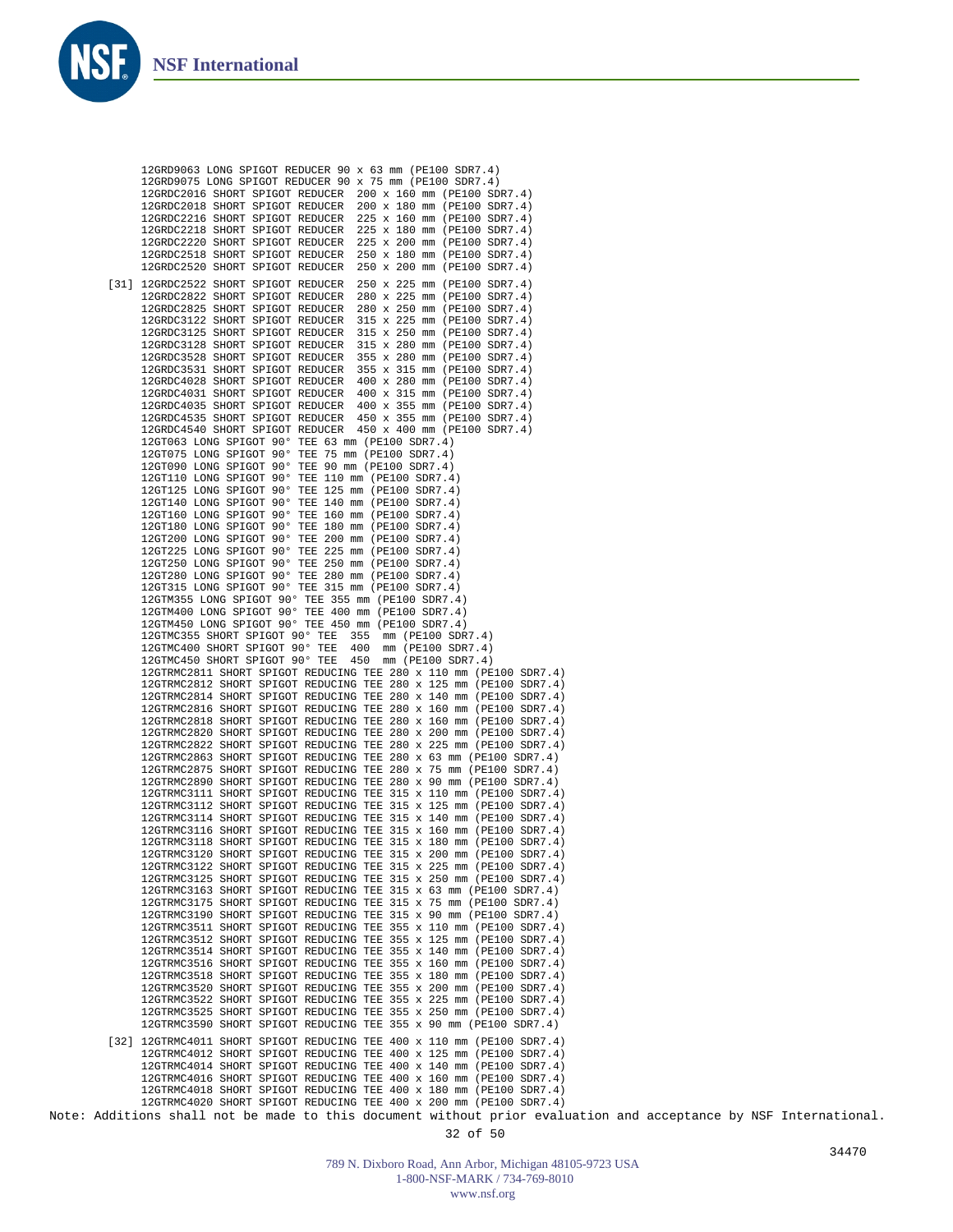Note: Additions shall not be made to this document without prior evaluation and acceptance by NSF International. 32 of 50 12GRD9063 LONG SPIGOT REDUCER 90 x 63 mm (PE100 SDR7.4) 12GRD9075 LONG SPIGOT REDUCER 90 x 75 mm (PE100 SDR7.4) 12GRDC2016 SHORT SPIGOT REDUCER 200 x 160 mm (PE100 SDR7.4) 12GRDC2018 SHORT SPIGOT REDUCER 200 x 180 mm (PE100 SDR7.4) 12GRDC2216 SHORT SPIGOT REDUCER 225 x 160 mm (PE100 SDR7.4) 12GRDC2218 SHORT SPIGOT REDUCER 225 x 180 mm (PE100 SDR7.4) 12GRDC2220 SHORT SPIGOT REDUCER 12GRDC2518 SHORT SPIGOT REDUCER 250 x 180 mm (PE100 SDR7.4) 12GRDC2520 SHORT SPIGOT REDUCER 250 x 200 mm (PE100 SDR7.4) 12GRDC2522 SHORT SPIGOT REDUCER 250 x 225 mm (PE100 SDR7.4) [31] 12GRDC2822 SHORT SPIGOT REDUCER 280 x 225 mm (PE100 SDR7.4) 12GRDC2825 SHORT SPIGOT REDUCER 280 x 250 mm (PE100 SDR7.4) 12GRDC3122 SHORT SPIGOT REDUCER 12GRDC3125 SHORT SPIGOT REDUCER 315 x 250 mm (PE100 SDR7.4) 12GRDC3128 SHORT SPIGOT REDUCER 12GRDC3528 SHORT SPIGOT REDUCER 355 x 280 mm (PE100 SDR7.4) 12GRDC3531 SHORT SPIGOT REDUCER 355 x 315 mm (PE100 SDR7.4) 12GRDC4028 SHORT SPIGOT REDUCER<br>12GRDC4031 SHORT SPIGOT REDUCER 400 x 315 mm (PE100 SDR7.4) 12GRDC4035 SHORT SPIGOT REDUCER 400 x 355 mm (PE100 SDR7.4) 12GRDC4535 SHORT SPIGOT REDUCER 450 x 355 mm (PE100 SDR7.4) 12GRDC4540 SHORT SPIGOT REDUCER 450 x 400 mm (PE100 SDR7.4) 12GT063 LONG SPIGOT 90° TEE 63 mm (PE100 SDR7.4) 12GT075 LONG SPIGOT 90° TEE 75 mm (PE100 SDR7.4) 12GT090 LONG SPIGOT 90° TEE 90 mm (PE100 SDR7.4) 12GT110 LONG SPIGOT 90° TEE 110 mm (PE100 SDR7.4) 12GT125 LONG SPIGOT 90° TEE 125 mm (PE100 SDR7.4) 12GT140 LONG SPIGOT 90° TEE 140 mm (PE100 SDR7.4) 12GT160 LONG SPIGOT 90° TEE 160 mm (PE100 SDR7.4) 12GT180 LONG SPIGOT 90° TEE 180 mm (PE100 SDR7.4) 12GT200 LONG SPIGOT 90° TEE 200 mm (PE100 SDR7.4) 12GT225 LONG SPIGOT 90° TEE 225 mm (PE100 SDR7.4) 12GT250 LONG SPIGOT 90° TEE 250 mm (PE100 SDR7.4) 12GT280 LONG SPIGOT 90° TEE 280 mm (PE100 SDR7.4) 12GT315 LONG SPIGOT 90° TEE 315 mm (PE100 SDR7.4) 12GTM355 LONG SPIGOT 90° TEE 355 mm (PE100 SDR7.4) 12GTM400 LONG SPIGOT 90° TEE 400 mm (PE100 SDR7.4) 12GTM450 LONG SPIGOT 90° TEE 450 mm (PE100 SDR7.4) 12GTMC355 SHORT SPIGOT 90° TEE 355 mm (PE100 SDR7.4) 12GTMC400 SHORT SPIGOT 90° TEE 400 mm (PE100 SDR7.4) 12GTMC450 SHORT SPIGOT 90° TEE 450 mm (PE100 SDR7.4) 12GTRMC2811 SHORT SPIGOT REDUCING TEE 280 x 110 mm (PE100 SDR7.4) 12GTRMC2812 SHORT SPIGOT REDUCING TEE 280 x 125 mm (PE100 SDR7.4) 12GTRMC2814 SHORT SPIGOT REDUCING TEE 280 x 140 mm (PE100 SDR7.4) 12GTRMC2816 SHORT SPIGOT REDUCING TEE 280 x 160 mm (PE100 SDR7.4) 12GTRMC2818 SHORT SPIGOT REDUCING TEE 280 x 160 mm (PE100 SDR7.4) 12GTRMC2820 SHORT SPIGOT REDUCING TEE 280 x 200 mm (PE100 SDR7.4) 12GTRMC2822 SHORT SPIGOT REDUCING TEE 280 x 225 mm (PE100 SDR7.4) 12GTRMC2863 SHORT SPIGOT REDUCING TEE 280 x 63 mm (PE100 SDR7.4) 12GTRMC2875 SHORT SPIGOT REDUCING TEE 280 x 75 mm (PE100 SDR7.4) 12GTRMC2890 SHORT SPIGOT REDUCING TEE 280 x 90 mm (PE100 SDR7.4) 12GTRMC3111 SHORT SPIGOT REDUCING TEE 315 x 110 mm (PE100 SDR7.4) 12GTRMC3112 SHORT SPIGOT REDUCING TEE 315 x 125 mm (PE100 SDR7.4) 12GTRMC3114 SHORT SPIGOT REDUCING TEE 315 x 140 mm (PE100 SDR7.4) 12GTRMC3116 SHORT SPIGOT REDUCING TEE 315 x 160 mm (PE100 SDR7.4) 12GTRMC3118 SHORT SPIGOT REDUCING TEE 315 x 180 mm (PE100 SDR7.4) 12GTRMC3120 SHORT SPIGOT REDUCING TEE 315 x 200 mm (PE100 SDR7.4) 12GTRMC3122 SHORT SPIGOT REDUCING TEE 315 x 225 mm (PE100 SDR7.4) 12GTRMC3125 SHORT SPIGOT REDUCING TEE 315 x 250 mm (PE100 SDR7.4) 12GTRMC3163 SHORT SPIGOT REDUCING TEE 315 x 63 mm (PE100 SDR7.4) 12GTRMC3175 SHORT SPIGOT REDUCING TEE 315 x 75 mm (PE100 SDR7.4) 12GTRMC3190 SHORT SPIGOT REDUCING TEE 315 x 90 mm (PE100 SDR7.4) 12GTRMC3511 SHORT SPIGOT REDUCING TEE 355 x 110 mm (PE100 SDR7.4) 12GTRMC3512 SHORT SPIGOT REDUCING TEE 355 x 125 mm (PE100 SDR7.4) 12GTRMC3514 SHORT SPIGOT REDUCING TEE 355 x 140 mm (PE100 SDR7.4) 12GTRMC3516 SHORT SPIGOT REDUCING TEE 355 x 160 mm (PE100 SDR7.4) 12GTRMC3518 SHORT SPIGOT REDUCING TEE 355 x 180 mm (PE100 SDR7.4) 12GTRMC3520 SHORT SPIGOT REDUCING TEE 355 x 200 mm (PE100 SDR7.4) 12GTRMC3522 SHORT SPIGOT REDUCING TEE 355 x 225 mm (PE100 SDR7.4) 12GTRMC3525 SHORT SPIGOT REDUCING TEE 355 x 250 mm (PE100 SDR7.4) 12GTRMC3590 SHORT SPIGOT REDUCING TEE 355 x 90 mm (PE100 SDR7.4) 12GTRMC4011 SHORT SPIGOT REDUCING TEE 400 x 110 mm (PE100 SDR7.4) [32]12GTRMC4012 SHORT SPIGOT REDUCING TEE 400 x 125 mm (PE100 SDR7.4) 12GTRMC4014 SHORT SPIGOT REDUCING TEE 400 x 140 mm (PE100 SDR7.4) 12GTRMC4016 SHORT SPIGOT REDUCING TEE 400 x 160 mm (PE100 SDR7.4) 12GTRMC4018 SHORT SPIGOT REDUCING TEE 400 x 180 mm (PE100 SDR7.4) 12GTRMC4020 SHORT SPIGOT REDUCING TEE 400 x 200 mm (PE100 SDR7.4)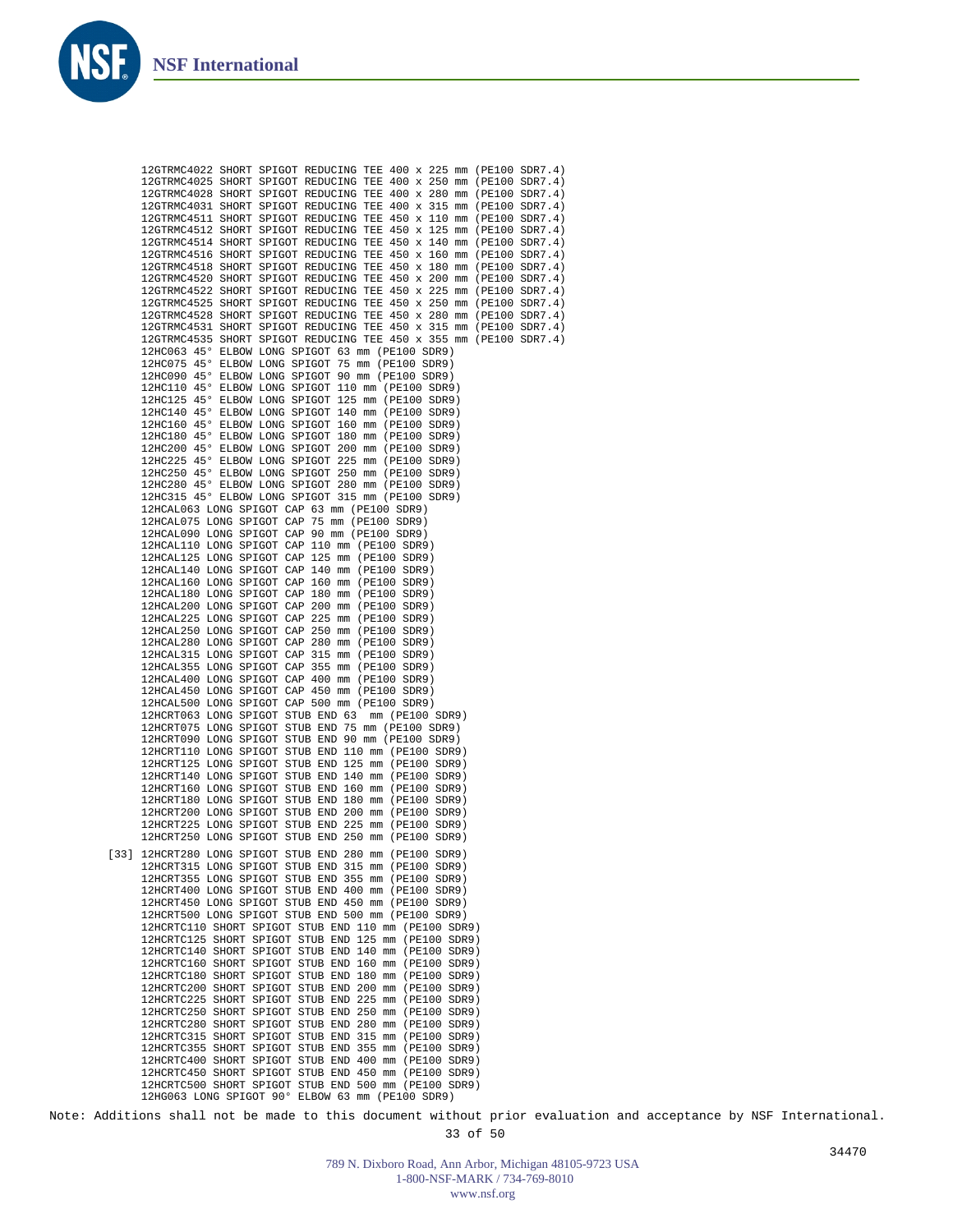

| 12GTRMC4022 SHORT SPIGOT REDUCING TEE 400 x 225 mm (PE100 SDR7.4)                                                                      |
|----------------------------------------------------------------------------------------------------------------------------------------|
| 12GTRMC4025 SHORT SPIGOT REDUCING TEE 400 x 250 mm (PE100 SDR7.4)                                                                      |
| 12GTRMC4028 SHORT SPIGOT REDUCING TEE 400 x 280 mm (PE100 SDR7.4)<br>12GTRMC4031 SHORT SPIGOT REDUCING TEE 400 x 315 mm (PE100 SDR7.4) |
| 12GTRMC4511 SHORT SPIGOT REDUCING TEE 450 x 110 mm (PE100 SDR7.4)                                                                      |
| 12GTRMC4512 SHORT SPIGOT REDUCING TEE 450 x 125 mm (PE100 SDR7.4)                                                                      |
| 12GTRMC4514 SHORT SPIGOT REDUCING TEE 450 x 140 mm (PE100 SDR7.4)                                                                      |
| 12GTRMC4516 SHORT SPIGOT REDUCING TEE 450 x 160 mm (PE100 SDR7.4)                                                                      |
| 12GTRMC4518 SHORT SPIGOT REDUCING TEE 450 x 180 mm (PE100 SDR7.4)                                                                      |
| 12GTRMC4520 SHORT SPIGOT REDUCING TEE 450 x 200 mm (PE100 SDR7.4)<br>12GTRMC4522 SHORT SPIGOT REDUCING TEE 450 x 225 mm (PE100 SDR7.4) |
| 12GTRMC4525 SHORT SPIGOT REDUCING TEE 450 x 250 mm (PE100 SDR7.4)                                                                      |
| 12GTRMC4528 SHORT SPIGOT REDUCING TEE 450 x 280 mm (PE100 SDR7.4)                                                                      |
| 12GTRMC4531 SHORT SPIGOT REDUCING TEE 450 x 315 mm (PE100 SDR7.4)                                                                      |
| 12GTRMC4535 SHORT SPIGOT REDUCING TEE 450 x 355 mm (PE100 SDR7.4)                                                                      |
| 12HC063 45° ELBOW LONG SPIGOT 63 mm (PE100 SDR9)                                                                                       |
| 12HC075 45° ELBOW LONG SPIGOT 75 mm (PE100 SDR9)<br>12HC090 45° ELBOW LONG SPIGOT 90 mm (PE100 SDR9)                                   |
| 12HC110 45° ELBOW LONG SPIGOT 110 mm (PE100 SDR9)                                                                                      |
| 12HC125 45° ELBOW LONG SPIGOT 125 mm (PE100 SDR9)                                                                                      |
| 12HC140 45° ELBOW LONG SPIGOT 140 mm (PE100 SDR9)                                                                                      |
| 12HC160 45° ELBOW LONG SPIGOT 160 mm (PE100 SDR9)                                                                                      |
| 12HC180 45° ELBOW LONG SPIGOT 180 mm (PE100 SDR9)                                                                                      |
| 12HC200 45° ELBOW LONG SPIGOT 200 mm (PE100 SDR9)<br>12HC225 45° ELBOW LONG SPIGOT 225 mm (PE100 SDR9)                                 |
| 12HC250 45° ELBOW LONG SPIGOT 250 mm (PE100 SDR9)                                                                                      |
| 12HC280 45° ELBOW LONG SPIGOT 280 mm (PE100 SDR9)                                                                                      |
| 12HC315 45° ELBOW LONG SPIGOT 315 mm (PE100 SDR9)                                                                                      |
| 12HCAL063 LONG SPIGOT CAP 63 mm (PE100 SDR9)                                                                                           |
| 12HCAL075 LONG SPIGOT CAP 75 mm (PE100 SDR9)                                                                                           |
| 12HCAL090 LONG SPIGOT CAP 90 mm (PE100 SDR9)<br>12HCAL110 LONG SPIGOT CAP 110 mm (PE100 SDR9)                                          |
| 12HCAL125 LONG SPIGOT CAP 125 mm (PE100 SDR9)                                                                                          |
| 12HCAL140 LONG SPIGOT CAP 140 mm (PE100 SDR9)                                                                                          |
| 12HCAL160 LONG SPIGOT CAP 160 mm (PE100 SDR9)                                                                                          |
| 12HCAL180 LONG SPIGOT CAP 180 mm (PE100 SDR9)<br>12HCAL200 LONG SPIGOT CAP 200 mm (PE100 SDR9)                                         |
| 12HCAL225 LONG SPIGOT CAP 225 mm (PE100 SDR9)                                                                                          |
| 12HCAL250 LONG SPIGOT CAP 250 mm (PE100 SDR9)                                                                                          |
| 12HCAL280 LONG SPIGOT CAP 280 mm (PE100 SDR9)                                                                                          |
| 12HCAL315 LONG SPIGOT CAP 315 mm (PE100 SDR9)                                                                                          |
| 12HCAL355 LONG SPIGOT CAP 355 mm (PE100 SDR9)                                                                                          |
| 12HCAL400 LONG SPIGOT CAP 400 mm (PE100 SDR9)<br>12HCAL450 LONG SPIGOT CAP 450 mm (PE100 SDR9)                                         |
| 12HCAL500 LONG SPIGOT CAP 500 mm (PE100 SDR9)                                                                                          |
| 12HCRT063 LONG SPIGOT STUB END 63 mm (PE100 SDR9)                                                                                      |
| 12HCRT075 LONG SPIGOT STUB END 75 mm (PE100 SDR9)                                                                                      |
| 12HCRT090 LONG SPIGOT STUB END 90 mm (PE100 SDR9)                                                                                      |
| 12HCRT110 LONG SPIGOT STUB END 110 mm (PE100 SDR9)<br>12HCRT125 LONG SPIGOT STUB END 125 mm (PE100 SDR9)                               |
| 12HCRT140 LONG SPIGOT STUB END 140 mm (PE100 SDR9)                                                                                     |
| 12HCRT160 LONG SPIGOT STUB END 160 mm (PE100 SDR9)                                                                                     |
| 12HCRT180 LONG SPIGOT STUB END 180 mm (PE100 SDR9)                                                                                     |
| 12HCRT200 LONG SPIGOT STUB END 200 mm (PE100 SDR9)<br>12HCRT225 LONG SPIGOT STUB END 225 mm (PE100 SDR9)                               |
| 12HCRT250 LONG SPIGOT STUB END 250 mm (PE100 SDR9)                                                                                     |
| [33] 12HCRT280 LONG SPIGOT STUB END 280 mm (PE100 SDR9)                                                                                |
| 12HCRT315 LONG SPIGOT STUB END 315 mm (PE100 SDR9)                                                                                     |
| 12HCRT355 LONG SPIGOT STUB END 355 mm (PE100 SDR9)                                                                                     |
| 12HCRT400 LONG SPIGOT STUB END 400 mm (PE100 SDR9)                                                                                     |
| 12HCRT450 LONG SPIGOT STUB END 450 mm (PE100 SDR9)                                                                                     |
| 12HCRT500 LONG SPIGOT STUB END 500 mm (PE100 SDR9)<br>12HCRTC110 SHORT SPIGOT STUB END 110 mm (PE100 SDR9)                             |
| 12HCRTC125 SHORT SPIGOT STUB END 125 mm (PE100 SDR9)                                                                                   |
| 12HCRTC140 SHORT SPIGOT STUB END 140 mm (PE100 SDR9)                                                                                   |
| 12HCRTC160 SHORT SPIGOT STUB END 160 mm (PE100 SDR9)                                                                                   |
| 12HCRTC180 SHORT SPIGOT STUB END 180 mm (PE100 SDR9)                                                                                   |
| 12HCRTC200 SHORT SPIGOT STUB END 200 mm (PE100 SDR9)<br>12HCRTC225 SHORT SPIGOT STUB END 225 mm (PE100 SDR9)                           |
| 12HCRTC250 SHORT SPIGOT STUB END 250 mm (PE100 SDR9)                                                                                   |
| 12HCRTC280 SHORT SPIGOT STUB END 280 mm (PE100 SDR9)                                                                                   |
| 12HCRTC315 SHORT SPIGOT STUB END 315 mm (PE100 SDR9)                                                                                   |
| 12HCRTC355 SHORT SPIGOT STUB END 355 mm (PE100 SDR9)<br>12HCRTC400 SHORT SPIGOT STUB END 400 mm (PE100 SDR9)                           |
| 12HCRTC450 SHORT SPIGOT STUB END 450 mm (PE100 SDR9)                                                                                   |
| 12HCRTC500 SHORT SPIGOT STUB END 500 mm (PE100 SDR9)                                                                                   |
| 12HG063 LONG SPIGOT 90° ELBOW 63 mm (PE100 SDR9)                                                                                       |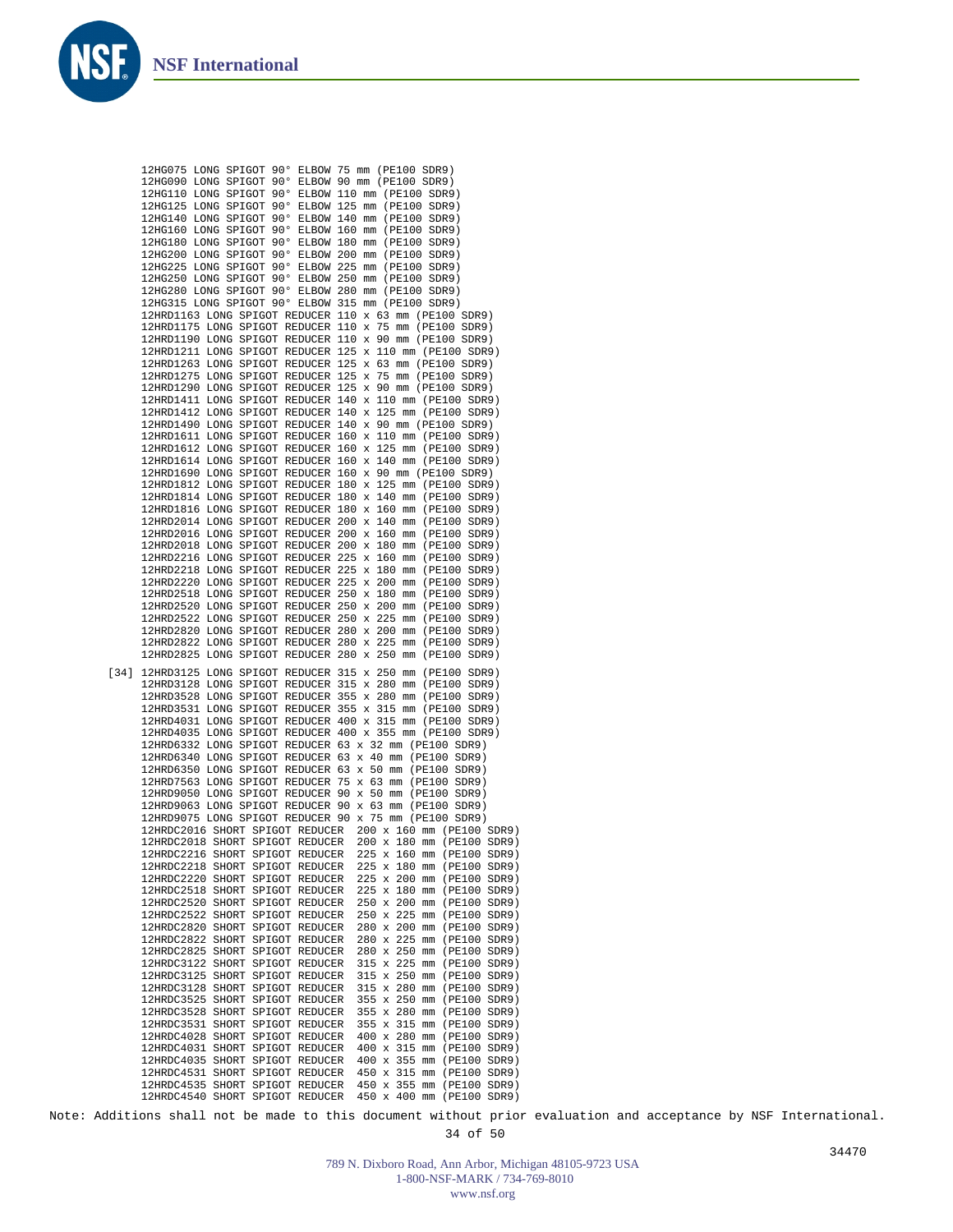12HG075 LONG SPIGOT 90° ELBOW 75 mm (PE100 SDR9)



Note: Additions shall not be made to this document without prior evaluation and acceptance by NSF International.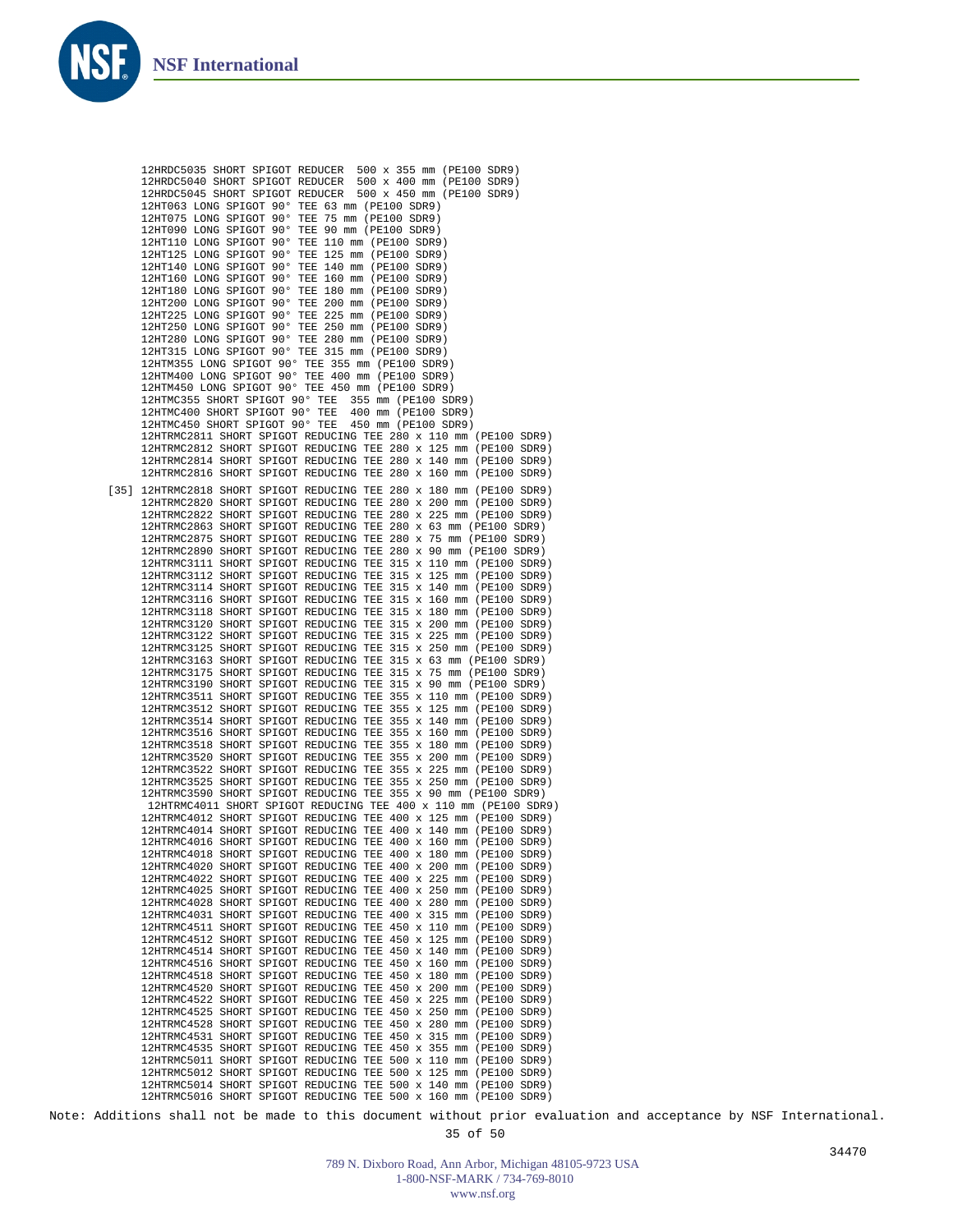![](_page_34_Picture_1.jpeg)

Note: Additions shall not be made to this document without prior evaluation and acceptance by NSF International.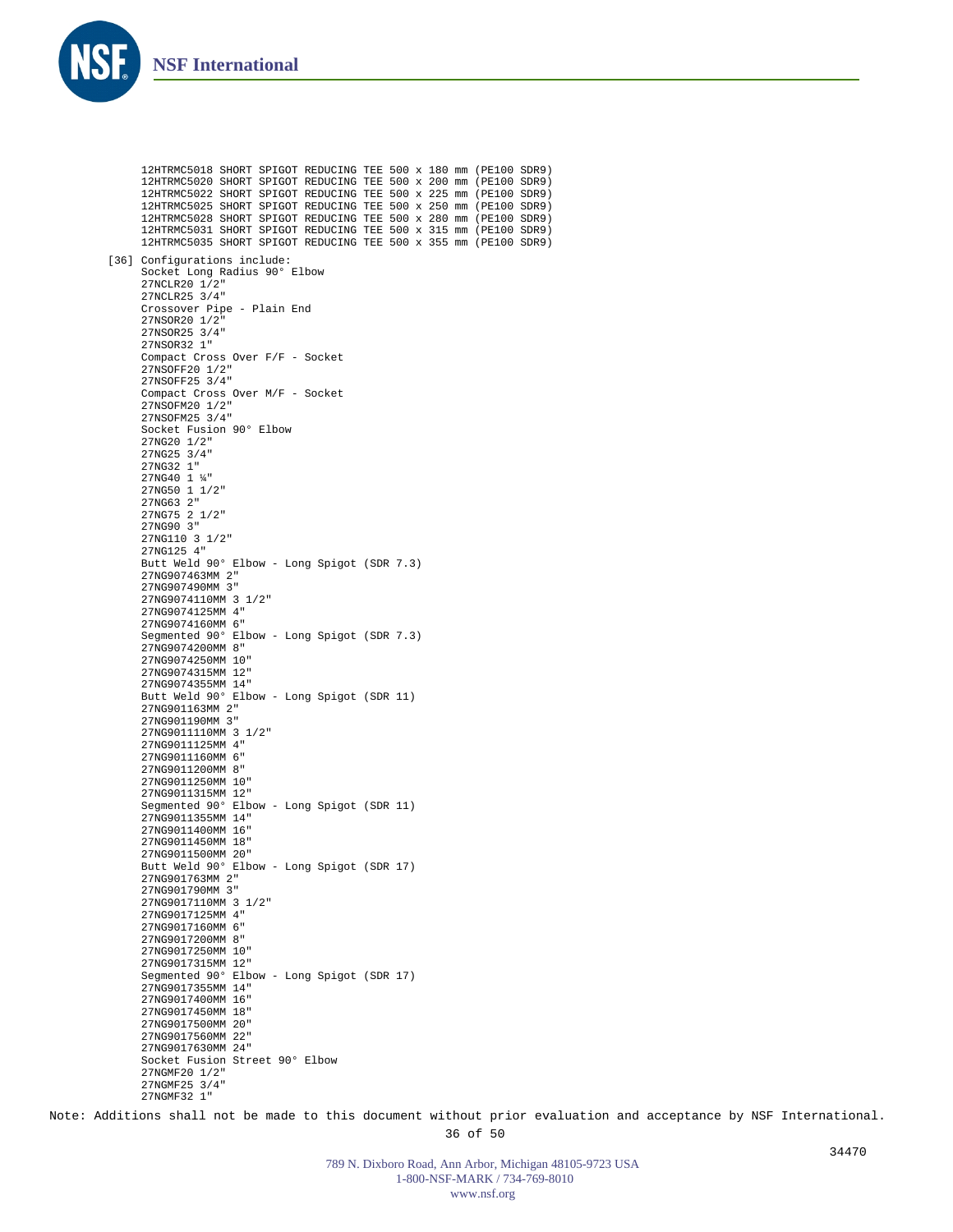![](_page_35_Picture_0.jpeg)

12HTRMC5018 SHORT SPIGOT REDUCING TEE 500 x 180 mm (PE100 SDR9) 12HTRMC5020 SHORT SPIGOT REDUCING TEE 500 x 200 mm (PE100 SDR9) 12HTRMC5022 SHORT SPIGOT REDUCING TEE 500 x 225 mm (PE100 SDR9) 12HTRMC5025 SHORT SPIGOT REDUCING TEE 500 x 250 mm (PE100 SDR9) 12HTRMC5028 SHORT SPIGOT REDUCING TEE 500 x 280 mm (PE100 SDR9) 12HTRMC5031 SHORT SPIGOT REDUCING TEE 500 x 315 mm (PE100 SDR9) 12HTRMC5035 SHORT SPIGOT REDUCING TEE 500 x 355 mm (PE100 SDR9) [36] Configurations include: Socket Long Radius 90° Elbow 27NCLR20 1/2" 27NCLR25 3/4" Crossover Pipe - Plain End 27NSOR20 1/2" 27NSOR25 3/4" 27NSOR32 1" Compact Cross Over F/F - Socket 27NSOFF20 1/2" 27NSOFF25 3/4" Compact Cross Over M/F - Socket 27NSOFM20 1/2" 27NSOFM25 3/4" Socket Fusion 90° Elbow 27NG20 1/2" 27NG25 3/4" 27NG32 1" 27NG40 1 ¼" 27NG50 1 1/2" 27NG63 2" 27NG75 2 1/2" 27NG90 3" 27NG110 3 1/2" 27NG125 4" Butt Weld 90° Elbow - Long Spigot (SDR 7.3) 27NG907463MM 2" 27NG907490MM 3" 27NG9074110MM 3 1/2" 27NG9074125MM 4" 27NG9074160MM 6" Segmented 90° Elbow - Long Spigot (SDR 7.3) 27NG9074200MM 8" 27NG9074250MM 10" 27NG9074315MM 12" 27NG9074355MM 14" Butt Weld 90° Elbow - Long Spigot (SDR 11) 27NG901163MM 2" 27NG901190MM 3" 27NG9011110MM 3 1/2" 27NG9011125MM 4" 27NG9011160MM 6" 27NG9011200MM 8" 27NG9011250MM 10" 27NG9011315MM 12" Segmented 90° Elbow - Long Spigot (SDR 11) 27NG9011355MM 14" 27NG9011400MM 16" 27NG9011450MM 18" 27NG9011500MM 20" Butt Weld 90° Elbow - Long Spigot (SDR 17) 27NG901763MM 2" 27NG901790MM 3" 27NG9017110MM 3 1/2" 27NG9017125MM 4" 27NG9017160MM 6" 27NG9017200MM 8" 27NG9017250MM 10" 27NG9017315MM 12" Segmented 90° Elbow - Long Spigot (SDR 17) 27NG9017355MM 14" 27NG9017400MM 16" 27NG9017450MM 18" 27NG9017500MM 20" 27NG9017560MM 22" 27NG9017630MM 24" Socket Fusion Street 90° Elbow 27NGMF20 1/2" 27NGMF25 3/4" 27NGMF32 1"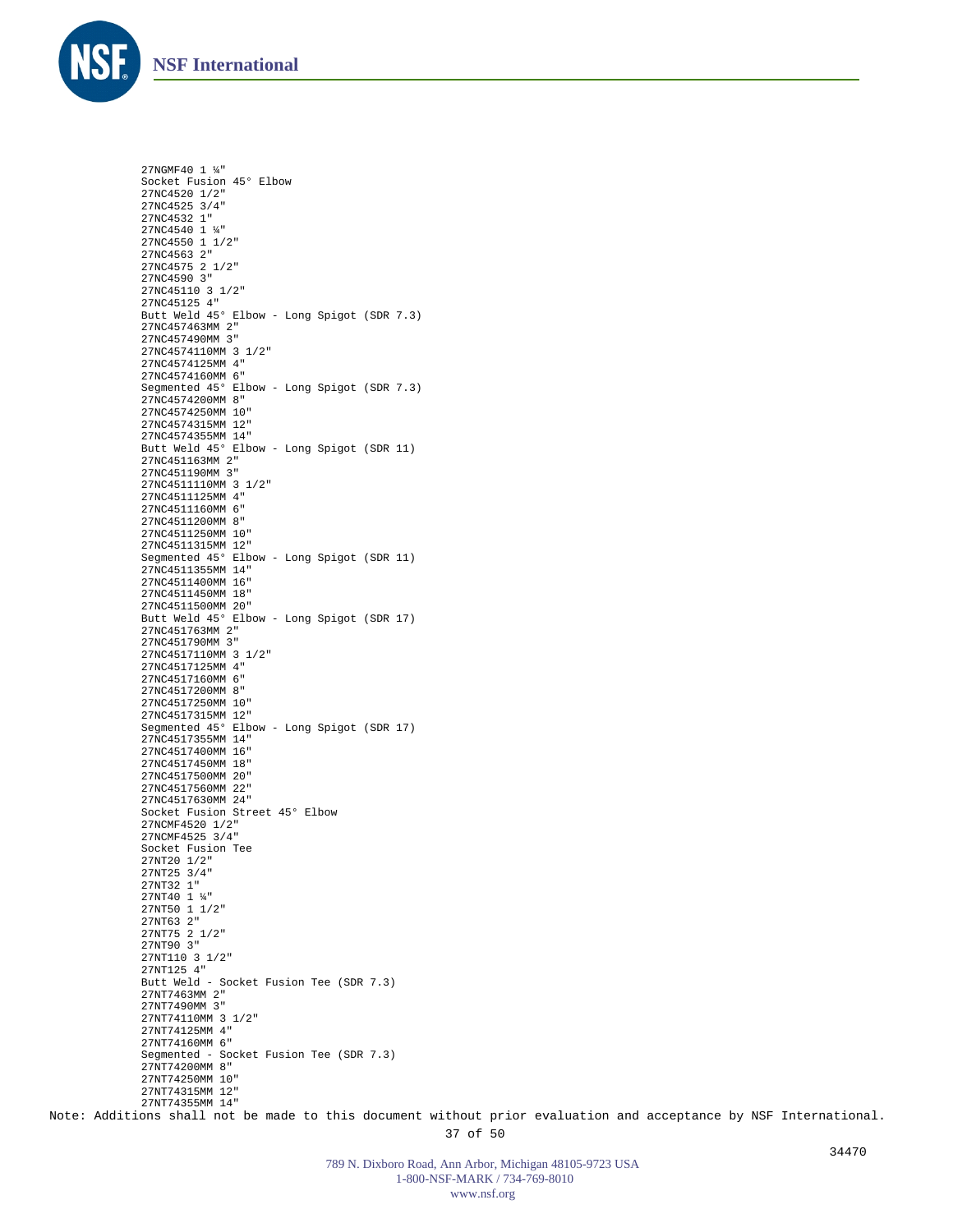![](_page_36_Picture_0.jpeg)

27NGMF40 1 ¼" Socket Fusion 45° Elbow 27NC4520 1/2" 27NC4525 3/4" 27NC4532 1" 27NC4540 1 ¼" 27NC4550 1 1/2" 27NC4563 2" 27NC4575 2 1/2" 27NC4590 3" 27NC45110 3 1/2" 27NC45125 4" Butt Weld 45° Elbow - Long Spigot (SDR 7.3) 27NC457463MM 2" 27NC457490MM 3" 27NC4574110MM 3 1/2" 27NC4574125MM 4" 27NC4574160MM 6" Segmented 45° Elbow - Long Spigot (SDR 7.3) 27NC4574200MM 8" 27NC4574250MM 10" 27NC4574315MM 12" 27NC4574355MM 14" Butt Weld 45° Elbow - Long Spigot (SDR 11) 27NC451163MM 2" 27NC451190MM 3" 27NC4511110MM 3 1/2" 27NC4511125MM 4" 27NC4511160MM 6" 27NC4511200MM 8" 27NC4511250MM 10" 27NC4511315MM 12" Segmented 45° Elbow - Long Spigot (SDR 11) 27NC4511355MM 14" 27NC4511400MM 16" 27NC4511450MM 18" 27NC4511500MM 20" Butt Weld 45° Elbow - Long Spigot (SDR 17) 27NC451763MM 2" 27NC451790MM 3" 27NC4517110MM 3 1/2" 27NC4517125MM 4" 27NC4517160MM 6" 27NC4517200MM 8" 27NC4517250MM 10" 27NC4517315MM 12" Segmented 45° Elbow - Long Spigot (SDR 17) 27NC4517355MM 14" 27NC4517400MM 16" 27NC4517450MM 18" 27NC4517500MM 20" 27NC4517560MM 22" 27NC4517630MM 24" Socket Fusion Street 45° Elbow 27NCMF4520 1/2" 27NCMF4525 3/4" Socket Fusion Tee 27NT20 1/2" 27NT25 3/4" 27NT32 1" 27NT40 1 ¼" 27NT50 1 1/2" 27NT63 2" 27NT75 2 1/2" 27NT90 3" 27NT110 3 1/2" 27NT125 4" Butt Weld - Socket Fusion Tee (SDR 7.3) 27NT7463MM 2" 27NT7490MM 3" 27NT74110MM 3 1/2" 27NT74125MM 4" 27NT74160MM 6" Segmented - Socket Fusion Tee (SDR 7.3) 27NT74200MM 8" 27NT74250MM 10" 27NT74315MM 12" 27NT74355MM 14"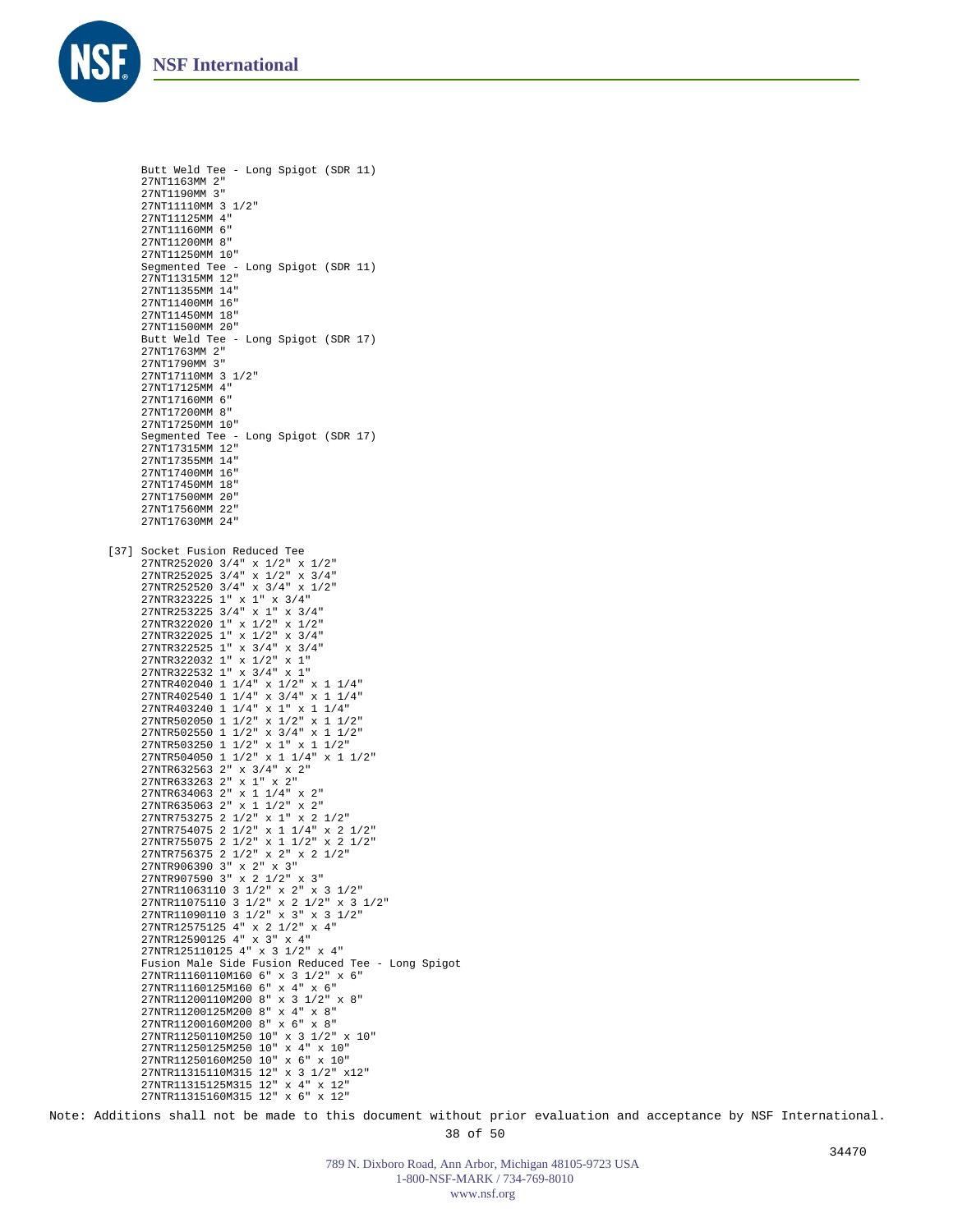![](_page_37_Picture_0.jpeg)

```
Butt Weld Tee - Long Spigot (SDR 11)
     27NT1163MM 2"
     27NT1190MM 3"
     27NT11110MM 3 1/2"
     27NT11125MM 4"
     27NT11160MM 6"
     27NT11200MM 8"
     27NT11250MM 10"
     Segmented Tee - Long Spigot (SDR 11)
     27NT11315MM 12"
     27NT11355MM 14"
     27NT11400MM 16"
     27NT11450MM 18"
     27NT11500MM 20"
     Butt Weld Tee - Long Spigot (SDR 17)
     27NT1763MM 2"
     27NT1790MM 3"
     27NT17110MM 3 1/2"
     27NT17125MM 4"
     27NT17160MM 6"
     27NT17200MM 8"
     27NT17250MM 10"
     SANISTIZING THE - Long Spigot (SDR 17)
     27NT17315MM 12"
     27NT17355MM 14"
     27NT17400MM 16"
     27NT17450MM 18"
     27NT17500MM 20"
     27NT17560MM 22"
     27NT17630MM 24"
[37] Socket Fusion Reduced Tee
     27NTR252020 3/4" x 1/2" x 1/2"
     27NTR252025 3/4" x 1/2" x 3/4"
     27NTR252520 3/4" x 3/4" x 1/2"
     27NTR323225 1" x 1" x 3/4"
     27NTR253225 3/4" x 1" x 3/4"
      27NTR322020 1" x 1/2" x 1/2"
27NTR322025 1" x 1/2" x 3/4"
      27NTR322525 1" x 3/4" x 3/4"
27NTR322032 1" x 1/2" x 1"
     27NTR322532 1" x 3/4" x 1"
      27NTR402040 1 1/4" x 1/2" x 1 1/4"
27NTR402540 1 1/4" x 3/4" x 1 1/4"
     27NTR403240 1 1/4" x 1" x 1 1/4"
      27NTR502050 1 1/2" x 1/2" x 1 1/2"
27NTR502550 1 1/2" x 3/4" x 1 1/2"
     27NTR503250 1 1/2" x 1" x 1 1/2"
     27NTR504050 1 1/2" x 1 1/4" x 1 1/2"
      27NTR632563 2" x 3/4" x 2"
27NTR633263 2" x 1" x 2"
27NTR634063 2" x 1 1/4" x 2"
     27NTR635063 2" x 1 1/2" x 2"
     27NTR753275 2 1/2" x 1" x 2 1/2"
      27NTR754075 2 1/2" x 1 1/4" x 2 1/2"
27NTR755075 2 1/2" x 1 1/2" x 2 1/2"
     27NTR756375 2 1/2" x 2" x 2 1/2"
      27NTR906390 3" x 2" x 3"
27NTR907590 3" x 2 1/2" x 3"
     27NTR11063110 3 1/2" x 2" x 3 1/2"
     27NTR11075110 3 1/2" x 2 1/2" x 3 1/2"
     27NTR11090110 3 1/2" x 3" x 3 1/2"
      27NTR12575125 4" x 2 1/2" x 4"
27NTR12590125 4" x 3" x 4"
     27NTR125110125 4" x 3 1/2" x 4"
     Fusion Male Side Fusion Reduced Tee - Long Spigot
     27NTR11160110M160 6" x 3 1/2" x 6"
     27NTR11160125M160 6" x 4" x 6"
     27NTR11200110M200 8" x 3 1/2" x 8"
      27NTR11200125M200 8" x 4" x 8"
27NTR11200160M200 8" x 6" x 8"
     27NTR11250110M250 10" x 3 1/2" x 10"
     27NTR11250125M250 10" x 4" x 10"
     27NTR11250160M250 10" x 6" x 10"
     27NTR11315110M315 12" x 3 1/2" x12"
     27NTR11315125M315 12" x 4" x 12"
     27NTR11315160M315 12" x 6" x 12"
```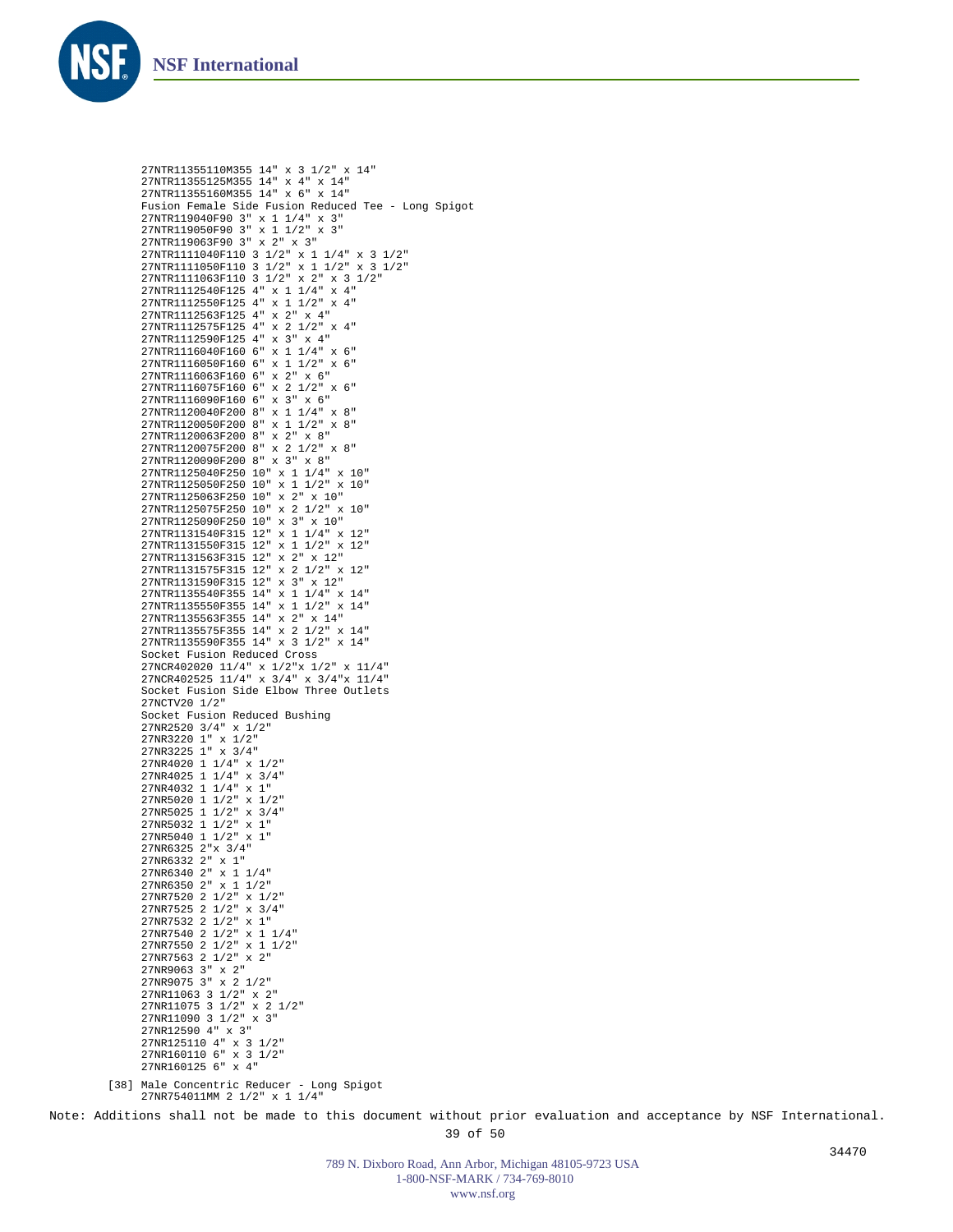![](_page_38_Picture_0.jpeg)

```
27NTR11355110M355 14" x 3 1/2" x 14"
     27NTR11355125M355 14" x 4" x 14"
27NTR11355160M355 14" x 6" x 14"
     Fusion Female Side Fusion Reduced Tee - Long Spigot
     27NTR119040F90 3" x 1 1/4" x 3"
     27NTR119050F90 3" x 1 1/2" x 3"
27NTR119063F90 3" x 2" x 3"
     27NTR1111040F110 3 1/2" x 1 1/4" x 3 1/2"
     27NTR1111050F110 3 1/2" x 1 1/2" x 3 1/2"
     27NTR1111063F110 3 1/2" x 2" x 3 1/2"
     27NTR1112540F125 4" x 1 1/4" x 4"
     27NTR1112550F125 4" x 1 1/2" x 4"
     27NTR1112563F125 4" x 2" x 4"
     27NTR1112575F125 4" x 2 1/2" x 4"
     27NTR1112590F125 4" x 3" x 4"
27NTR1116040F160 6" x 1 1/4" x 6"
     27NTR1116050F160 6" x 1 1/2" x 6"
27NTR1116063F160 6" x 2" x 6"
     27NTR1116075F160 6" x 2 1/2" x 6"
     27NTR1116090F160 6" x 3" x 6"
     27NTR1120040F200 8" x 1 1/4" x 8"
     27NTR1120050F200 8" x 1 1/2" x 8"
     27NTR1120063F200 8" x 2" x 8"
     27NTR1120075F200 8" x 2 1/2" x 8"
     27NTR1120090F200 8" x 3" x 8"
     27NTR1125040F250 10" x 1 1/4" x 10"
     27NTR1125050F250 10" x 1 1/2" x 10"
     27NTR1125063F250 10" x 2" x 10"
     27NTR1125075F250 10" x 2 1/2" x 10"
     27NTR1125090F250 10" x 3" x 10"
     27NTR1131540F315 12" x 1 1/4" x 12"
     27NTR1131550F315 12" x 1 1/2" x 12"
     27NTR1131563F315 12" x 2" x 12"
     27NTR1131575F315 12" x 2 1/2" x 12"
     27NTR1131590F315 12" x 3" x 12"
     27NTR1135540F355 14" x 1 1/4" x 14"
     27NTR1135550F355 14" x 1 1/2" x 14"
     27NTR1135563F355 14" x 2" x 14"
     27NTR1135575F355 14" x 2 1/2" x 14"
     27NTR1135590F355 14" x 3 1/2" x 14"
     Socket Fusion Reduced Cross
     27NCR402020 11/4" x 1/2"x 1/2" x 11/4"
27NCR402525 11/4" x 3/4" x 3/4"x 11/4"
     Socket Fusion Side Elbow Three Outlets
     27NCTV20 1/2"
     Socket Fusion Reduced Bushing
     27NR2520 3/4" x 1/2"
     27NR3220 1" x 1/2"
27NR3225 1" x 3/4"
     27NR4020 1 1/4" x 1/2"
27NR4025 1 1/4" x 3/4"
     27NR4032 1 1/4" x 1"
     27NR5020 1 1/2" x 1/2"
     27NR5025 1 1/2" x 3/4"
     27NR5032 1 1/2" x 1"
     27NR5040 1 1/2" x 1"
     27NR6325 2"x 3/4"
     27NR6332 2" x 1"
27NR6340 2" x 1 1/4"
     27NR6350 2" x 1 1/2"
     27NR7520 2 1/2" x 1/2"
     27NR7525 2 1/2" x 3/4"
     27NR7532 2 1/2" x 1"
     27NR7540 2 1/2" x 1 1/4"
     27NR7550 2 1/2" x 1 1/2"
     27NR7563 2 1/2" x 2"
     27NR9063 3" x 2"
27NR9075 3" x 2 1/2"
     27NR11063 3 1/2" x 2"
     27NR11075 3 1/2" x 2 1/2"
     27NR11090 3 1/2" x 3"
     27NR12590 4" x 3"
     27NR125110 4" x 3 1/2"
27NR160110 6" x 3 1/2"
     27NR160125 6" x 4"
[38] Male Concentric Reducer - Long Spigot
     27NR754011MM 2 1/2" x 1 1/4"
```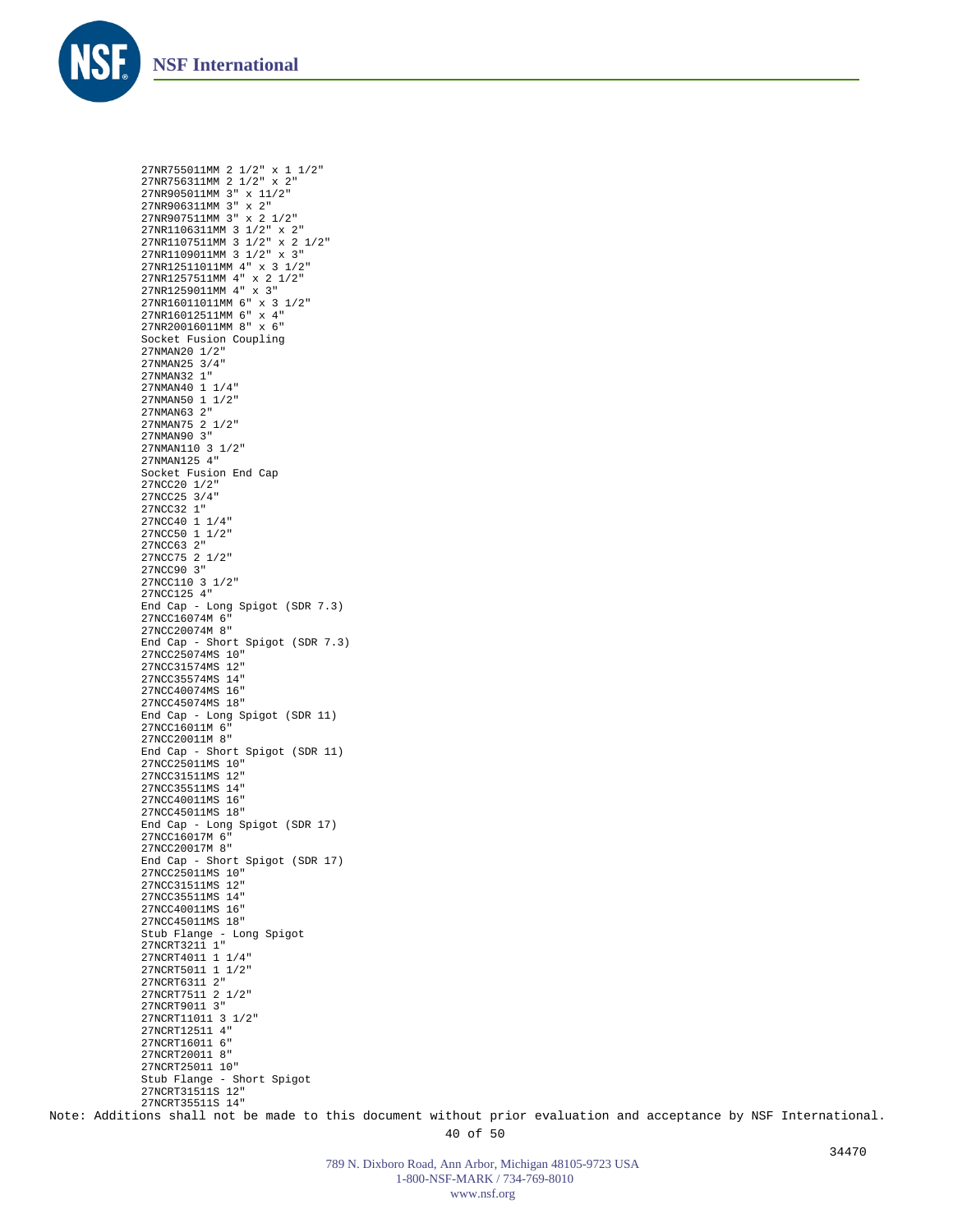![](_page_39_Picture_0.jpeg)

27NR755011MM 2 1/2" x 1 1/2" 27NR756311MM 2 1/2" x 2" 27NR905011MM 3" x 11/2" 27NR906311MM 3" x 2" 27NR907511MM 3" x 2 1/2" 27NR1106311MM 3 1/2" x 2" 27NR1107511MM 3 1/2" x 2 1/2" 27NR1109011MM 3 1/2" x 3" 27NR12511011MM 4" x 3 1/2" 27NR1257511MM 4" x 2 1/2" 27NR1259011MM 4" x 3" 27NR16011011MM 6" x 3 1/2" 27NR16012511MM 6" x 4" 27NR20016011MM 8" x 6" Socket Fusion Coupling 27NMAN20 1/2" 27NMAN25 3/4" 27NMAN32 1" 27NMAN40 1 1/4" 27NMAN50 1 1/2" 27NMAN63 2" 27NMAN75 2 1/2" 27NMAN90 3" 27NMAN110 3 1/2" 27NMAN125 4" Socket Fusion End Cap 27NCC20 1/2" 27NCC25 3/4" 27NCC32 1" 27NCC40 1 1/4" 27NCC50 1 1/2" 27NCC63 2" 27NCC75 2 1/2" 27NCC90 3" 27NCC110 3 1/2" 27NCC125 4" End Cap - Long Spigot (SDR 7.3) 27NCC16074M 6" 27NCC20074M 8" End Cap - Short Spigot (SDR 7.3) 27NCC25074MS 10" 27NCC31574MS 12" 27NCC35574MS 14" 27NCC40074MS 16" 27NCC45074MS 18" End Cap - Long Spigot (SDR 11) 27NCC16011M 6" 27NCC20011M 8" End Cap - Short Spigot (SDR 11) 27NCC25011MS 10" 27NCC31511MS 12" 27NCC35511MS 14" 27NCC40011MS 16" 27NCC45011MS 18" End Cap - Long Spigot (SDR 17) 27NCC16017M 6" 27NCC20017M 8" End Cap - Short Spigot (SDR 17) 27NCC25011MS 10" 27NCC31511MS 12" 27NCC35511MS 14" 27NCC40011MS 16" 27NCC45011MS 18" Stub Flange - Long Spigot 27NCRT3211 1" 27NCRT4011 1 1/4" 27NCRT5011 1 1/2" 27NCRT6311 2" 27NCRT7511 2 1/2" 27NCRT9011 3" 27NCRT11011 3 1/2" 27NCRT12511 4" 27NCRT16011 6" 27NCRT20011 8" 27NCRT25011 10" Stub Flange - Short Spigot 27NCRT31511S 12" 27NCRT35511S 14"

Note: Additions shall not be made to this document without prior evaluation and acceptance by NSF International.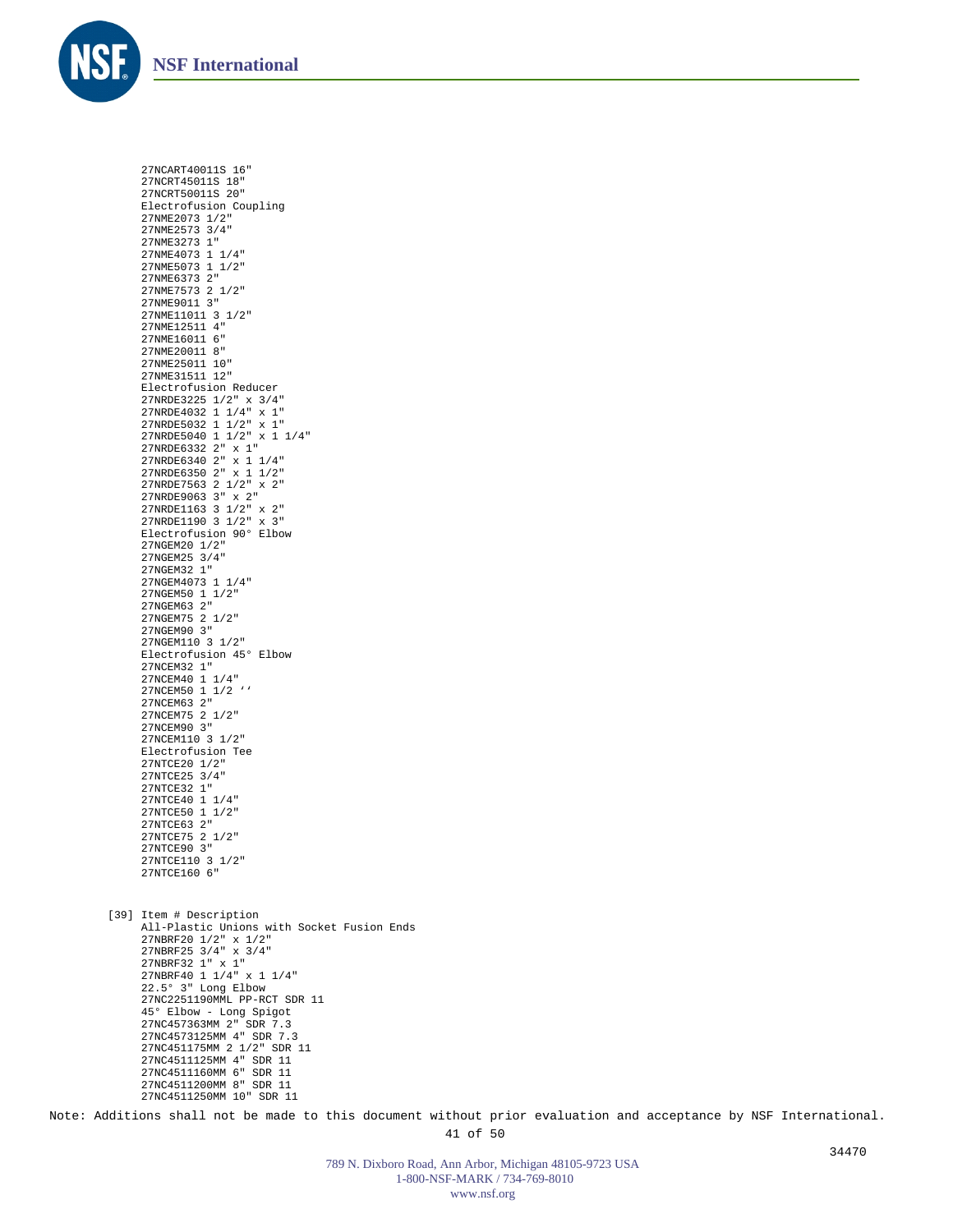![](_page_40_Picture_0.jpeg)

27NCART40011S 16" 27NCRT45011S 18" 27NCRT50011S 20" Electrofusion Coupling 27NME2073 1/2" 27NME2573 3/4" 27NME3273 1" 27NME4073 1 1/4" 27NME5073 1 1/2" 27NME6373 2" 27NME7573 2 1/2" 27NME9011 3" 27NME11011 3 1/2" 27NME12511 4" 27NME16011 6" 27NME20011 8" 27NME25011 10" 27NME31511 12" Electrofusion Reducer 27NRDE3225 1/2" x 3/4" 27NRDE4032 1 1/4" x 1" 27NRDE5032 1 1/2" x 1" 27NRDE5040 1 1/2" x 1 1/4" 27NRDE6332 2" x 1" 27NRDE6340 2" x 1 1/4" 27NRDE6350 2" x 1 1/2" 27NRDE7563 2 1/2" x 2" 27NRDE9063 3" x 2" 27NRDE1163 3 1/2" x 2" 27NRDE1190 3 1/2" x 3" Electrofusion 90° Elbow 27NGEM20 1/2" 27NGEM25 3/4" 27NGEM32 1" 27NGEM4073 1 1/4" 27NGEM50 1 1/2" 27NGEM63 2" 27NGEM75 2 1/2" 27NGEM90 3" 27NGEM110 3 1/2" Electrofusion 45° Elbow 27NCEM32 1" 27NCEM40 1 1/4" 27NCEM50 1 1/2 '' 27NCEM63 2" 27NCEM75 2 1/2" 27NCEM90 3" 27NCEM110 3 1/2" Electrofusion Tee 27NTCE20 1/2" 27NTCE25 3/4" 27NTCE32 1" 27NTCE40 1 1/4" 27NTCE50 1 1/2" 27NTCE63 2" 27NTCE75 2 1/2" 27NTCE90 3" 27NTCE110 3 1/2" 27NTCE160 6" [39] Item # Description All-Plastic Unions with Socket Fusion Ends 27NBRF20 1/2" x 1/2" 27NBRF25 3/4" x 3/4" 27NBRF32 1" x 1" 27NBRF40 1 1/4" x 1 1/4" 22.5° 3" Long Elbow 27NC2251190MML PP-RCT SDR 11 45° Elbow - Long Spigot 27NC457363MM 2" SDR 7.3 27NC4573125MM 4" SDR 7.3 27NC451175MM 2 1/2" SDR 11 27NC4511125MM 4" SDR 11

27NC4511160MM 6" SDR 11 27NC4511200MM 8" SDR 11 27NC4511250MM 10" SDR 11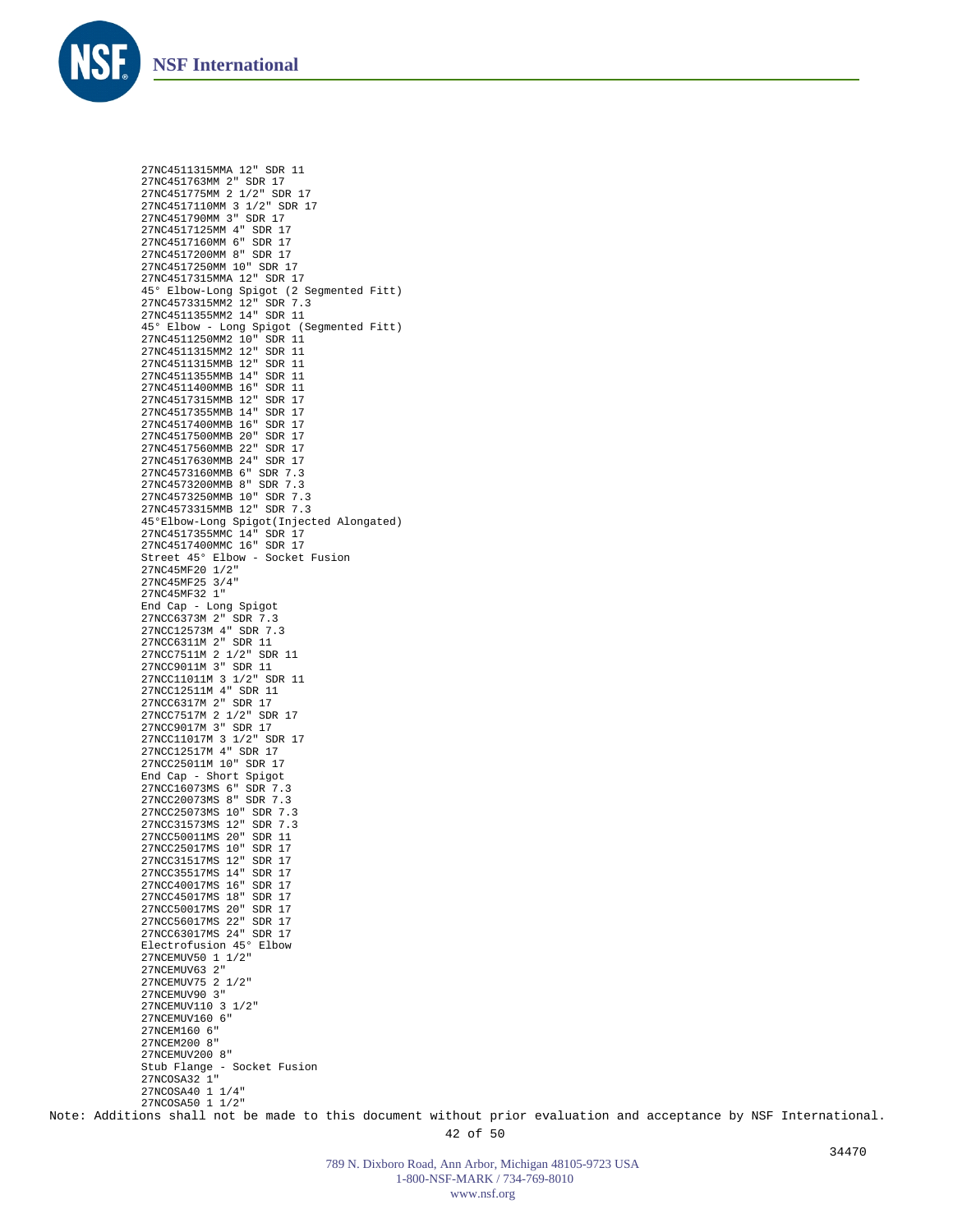![](_page_41_Picture_0.jpeg)

27NC4511315MMA 12" SDR 11 27NC451763MM 2" SDR 17 27NC451775MM 2 1/2" SDR 17 27NC4517110MM 3 1/2" SDR 17 27NC451790MM 3" SDR 17 27NC4517125MM 4" SDR 17 27NC4517160MM 6" SDR 17 27NC4517200MM 8" SDR 17 27NC4517250MM 10" SDR 17 27NC4517315MMA 12" SDR 17 45° Elbow-Long Spigot (2 Segmented Fitt) 27NC4573315MM2 12" SDR 7.3 27NC4511355MM2 14" SDR 11 45° Elbow - Long Spigot (Segmented Fitt) 27NC4511250MM2 10" SDR 11 27NC4511315MM2 12" SDR 11 27NC4511315MMB 12" SDR 11 27NC4511355MMB 14" SDR 11 27NC4511400MMB 16" SDR 11 27NC4517315MMB 12" SDR 17 27NC4517355MMB 14" SDR 17 27NC4517400MMB 16" SDR 17 27NC4517500MMB 20" SDR 17 27NC4517560MMB 22" SDR 17 27NC4517630MMB 24" SDR 17 27NC4573160MMB 6" SDR 7.3 27NC4573200MMB 8" SDR 7.3 27NC4573250MMB 10" SDR 7.3 27NC4573315MMB 12" SDR 7.3 45°Elbow-Long Spigot(Injected Alongated) 27NC4517355MMC 14" SDR 17 27NC4517400MMC 16" SDR 17 Street 45° Elbow - Socket Fusion 27NC45MF20 1/2" 27NC45MF25 3/4" 27NC45MF32 1" End Cap - Long Spigot 27NCC6373M 2" SDR 7.3 27NCC12573M 4" SDR 7.3 27NCC6311M 2" SDR 11 27NCC7511M 2 1/2" SDR 11 27NCC9011M 3" SDR 11 27NCC11011M 3 1/2" SDR 11 27NCC12511M 4" SDR 11 27NCC6317M 2" SDR 17 27NCC7517M 2 1/2" SDR 17 27NCC9017M 3" SDR 17 27NCC11017M 3 1/2" SDR 17 27NCC12517M 4" SDR 17 27NCC25011M 10" SDR 17 End Cap - Short Spigot 27NCC16073MS 6" SDR 7.3 27NCC20073MS 8" SDR 7.3 27NCC25073MS 10" SDR 7.3 27NCC31573MS 12" SDR 7.3 27NCC50011MS 20" SDR 11 27NCC25017MS 10" SDR 17 27NCC31517MS 12" SDR 17 27NCC35517MS 14" SDR 17 27NCC40017MS 16" SDR 17 27NCC45017MS 18" SDR 17 27NCC50017MS 20" SDR 17 27NCC56017MS 22" SDR 17 27NCC63017MS 24" SDR 17 Electrofusion 45° Elbow 27NCEMUV50 1 1/2" 27NCEMUV63 2" 27NCEMUV75 2 1/2" 27NCEMUV90 3" 27NCEMUV110 3 1/2" 27NCEMUV160 6" 27NCEM160 6" 27NCEM200 8" 27NCEMUV200 8" Stub Flange - Socket Fusion 27NCOSA32 1" 27NCOSA40 1 1/4" 27NCOSA50 1 1/2"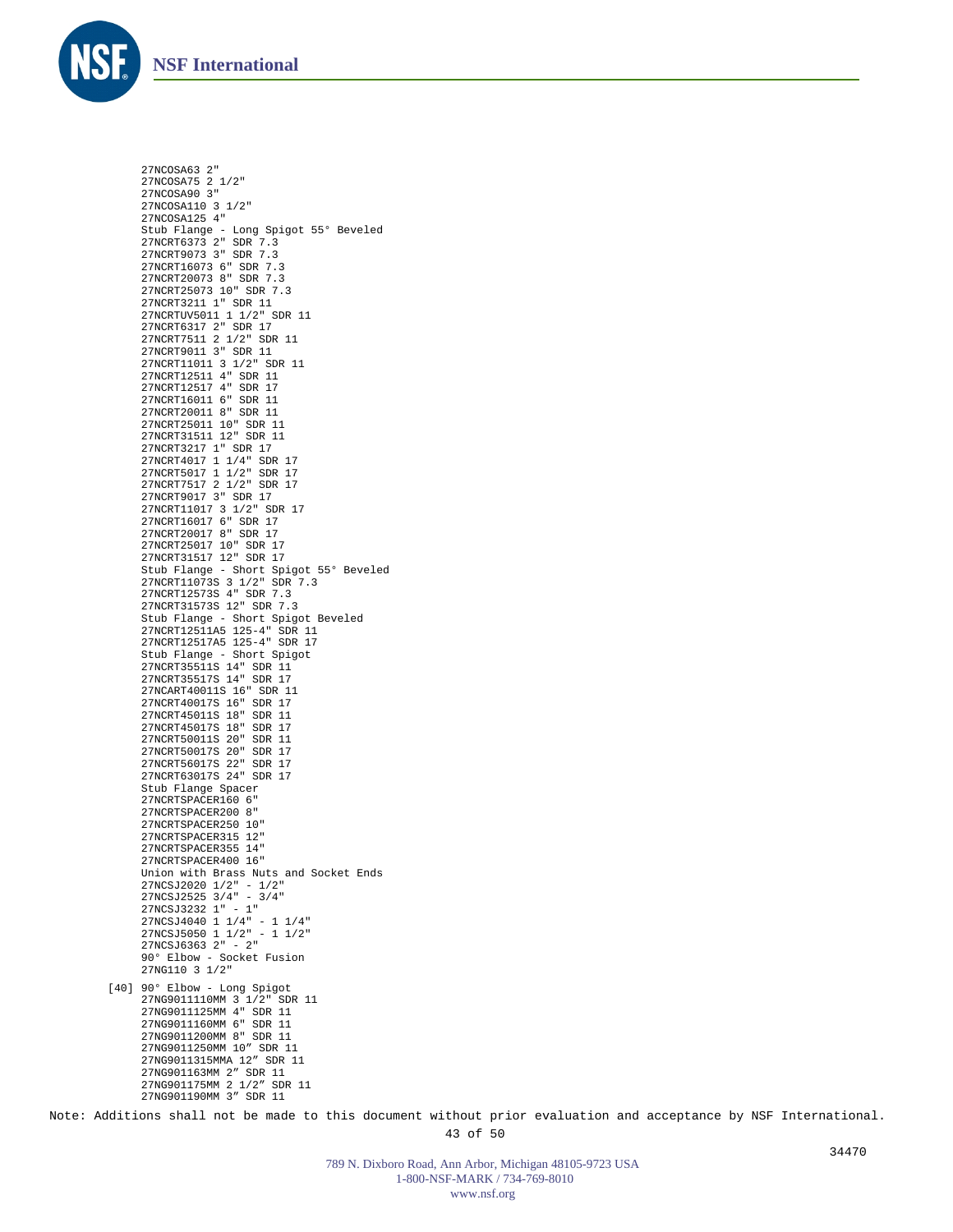![](_page_42_Picture_0.jpeg)

27NCOSA63 2" 27NCOSA75 2 1/2" 27NCOSA90 3" 27NCOSA110 3 1/2" 27NCOSA125 4" Stub Flange - Long Spigot 55° Beveled 27NCRT6373 2" SDR 7.3 27NCRT9073 3" SDR 7.3 27NCRT16073 6" SDR 7.3 27NCRT20073 8" SDR 7.3 27NCRT25073 10" SDR 7.3 27NCRT3211 1" SDR 11 27NCRTUV5011 1 1/2" SDR 11 27NCRT6317 2" SDR 17 27NCRT7511 2 1/2" SDR 11 27NCRT9011 3" SDR 11 27NCRT11011 3 1/2" SDR 11 27NCRT12511 4" SDR 11 27NCRT12517 4" SDR 17 27NCRT16011 6" SDR 11 27NCRT20011 8" SDR 11 27NCRT25011 10" SDR 11 27NCRT31511 12" SDR 11 27NCRT3217 1" SDR 17 27NCRT4017 1 1/4" SDR 17 27NCRT5017 1 1/2" SDR 17 27NCRT7517 2 1/2" SDR 17 27NCRT9017 3" SDR 17 27NCRT11017 3 1/2" SDR 17 27NCRT16017 6" SDR 17 27NCRT20017 8" SDR 17 27NCRT25017 10" SDR 17 27NCRT31517 12" SDR 17 Stub Flange - Short Spigot 55° Beveled 27NCRT11073S 3 1/2" SDR 7.3 27NCRT12573S 4" SDR 7.3 27NCRT31573S 12" SDR 7.3 Stub Flange - Short Spigot Beveled 27NCRT12511A5 125-4" SDR 11 27NCRT12517A5 125-4" SDR 17 Stub Flange - Short Spigot 27NCRT35511S 14" SDR 11 27NCRT35517S 14" SDR 17 27NCART40011S 16" SDR 11 27NCRT40017S 16" SDR 17 27NCRT45011S 18" SDR 11 27NCRT45017S 18" SDR 17 27NCRT50011S 20" SDR 11 27NCRT50017S 20" SDR 17 27NCRT56017S 22" SDR 17 27NCRT63017S 24" SDR 17 Stub Flange Spacer 27NCRTSPACER160 6" 27NCRTSPACER200 8" 27NCRTSPACER250 10" 27NCRTSPACER315 12" 27NCRTSPACER355 14" 27NCRTSPACER400 16" Union with Brass Nuts and Socket Ends 27NCSJ2020 1/2" - 1/2" 27NCSJ2525 3/4" - 3/4" 27NCSJ3232 1" - 1" 27NCSJ4040 1 1/4" - 1 1/4" 27NCSJ5050 1 1/2" - 1 1/2" 27NCSJ6363 2" - 2" 90° Elbow - Socket Fusion 27NG110 3 1/2" 90° Elbow - Long Spigot 27NG9011110MM 3 1/2" SDR 11 [40]27NG9011125MM 4" SDR 11 27NG9011160MM 6" SDR 11 27NG9011200MM 8" SDR 11 27NG9011250MM 10" SDR 11 27NG9011315MMA 12" SDR 11 27NG901163MM 2" SDR 11 27NG901175MM 2 1/2" SDR 11 27NG901190MM 3" SDR 11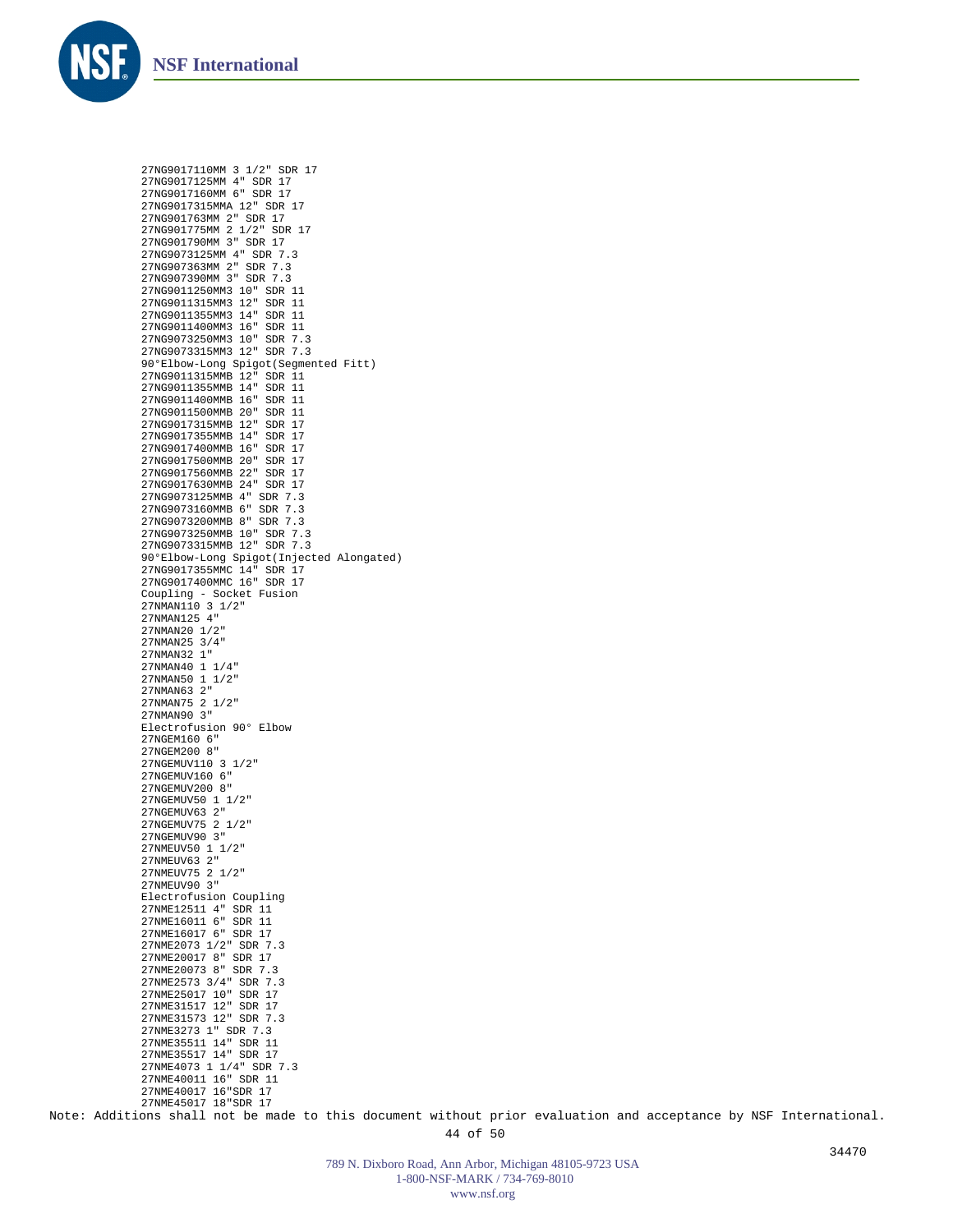![](_page_43_Picture_0.jpeg)

27NG9017110MM 3 1/2" SDR 17 27NG9017125MM 4" SDR 17 27NG9017160MM 6" SDR 17 27NG9017315MMA 12" SDR 17 27NG901763MM 2" SDR 17 27NG901775MM 2 1/2" SDR 17 27NG901790MM 3" SDR 17 27NG9073125MM 4" SDR 7.3 27NG907363MM 2" SDR 7.3 27NG907390MM 3" SDR 7.3 27NG9011250MM3 10" SDR 11 27NG9011315MM3 12" SDR 11 27NG9011355MM3 14" SDR 11 27NG9011400MM3 16" SDR 11 27NG9073250MM3 10" SDR 7.3 27NG9073315MM3 12" SDR 7.3 90°Elbow-Long Spigot(Segmented Fitt) 27NG9011315MMB 12" SDR 11 27NG9011355MMB 14" SDR 11 27NG9011400MMB 16" SDR 11 27NG9011500MMB 20" SDR 11 27NG9017315MMB 12" SDR 17 27NG9017355MMB 14" SDR 17 27NG9017400MMB 16" SDR 17 27NG9017500MMB 20" SDR 17 27NG9017560MMB 22" SDR 17 27NG9017630MMB 24" SDR 17 27NG9073125MMB 4" SDR 7.3 27NG9073160MMB 6" SDR 7.3 27NG9073200MMB 8" SDR 7.3 27NG9073250MMB 10" SDR 7.3 27NG9073315MMB 12" SDR 7.3 90°Elbow-Long Spigot(Injected Alongated) 27NG9017355MMC 14" SDR 17 27NG9017400MMC 16" SDR 17 Coupling - Socket Fusion 27NMAN110 3 1/2" 27NMAN125 4" 27NMAN20 1/2" 27NMAN25 3/4" 27NMAN32 1" 27NMAN40 1 1/4" 27NMAN50 1 1/2" 27NMAN63 2" 27NMAN75 2 1/2" 27NMAN90 3" Electrofusion 90° Elbow 27NGEM160 6" 27NGEM200 8" 27NGEMUV110 3 1/2" 27NGEMUV160 6" 27NGEMUV200 8" 27NGEMUV50 1 1/2" 27NGEMUV63 2" 27NGEMUV75 2 1/2" 27NGEMUV90 3" 27NMEUV50 1 1/2" 27NMEIN63 2" 27NMEUV75 2 1/2" 27NMEUV90 3" Electrofusion Coupling 27NME12511 4" SDR 11 27NME16011 6" SDR 11 27NME16017 6" SDR 17 27NME2073 1/2" SDR 7.3 27NME20017 8" SDR 17 27NME20073 8" SDR 7.3 27NME2573 3/4" SDR 7.3 27NME25017 10" SDR 17 27NME31517 12" SDR 17 27NME31573 12" SDR 7.3 27NME3273 1" SDR 7.3 27NME35511 14" SDR 11 27NME35517 14" SDR 17 27NME4073 1 1/4" SDR 7.3 27NME40011 16" SDR 11 27NME40017 16"SDR 17 27NME45017 18"SDR 17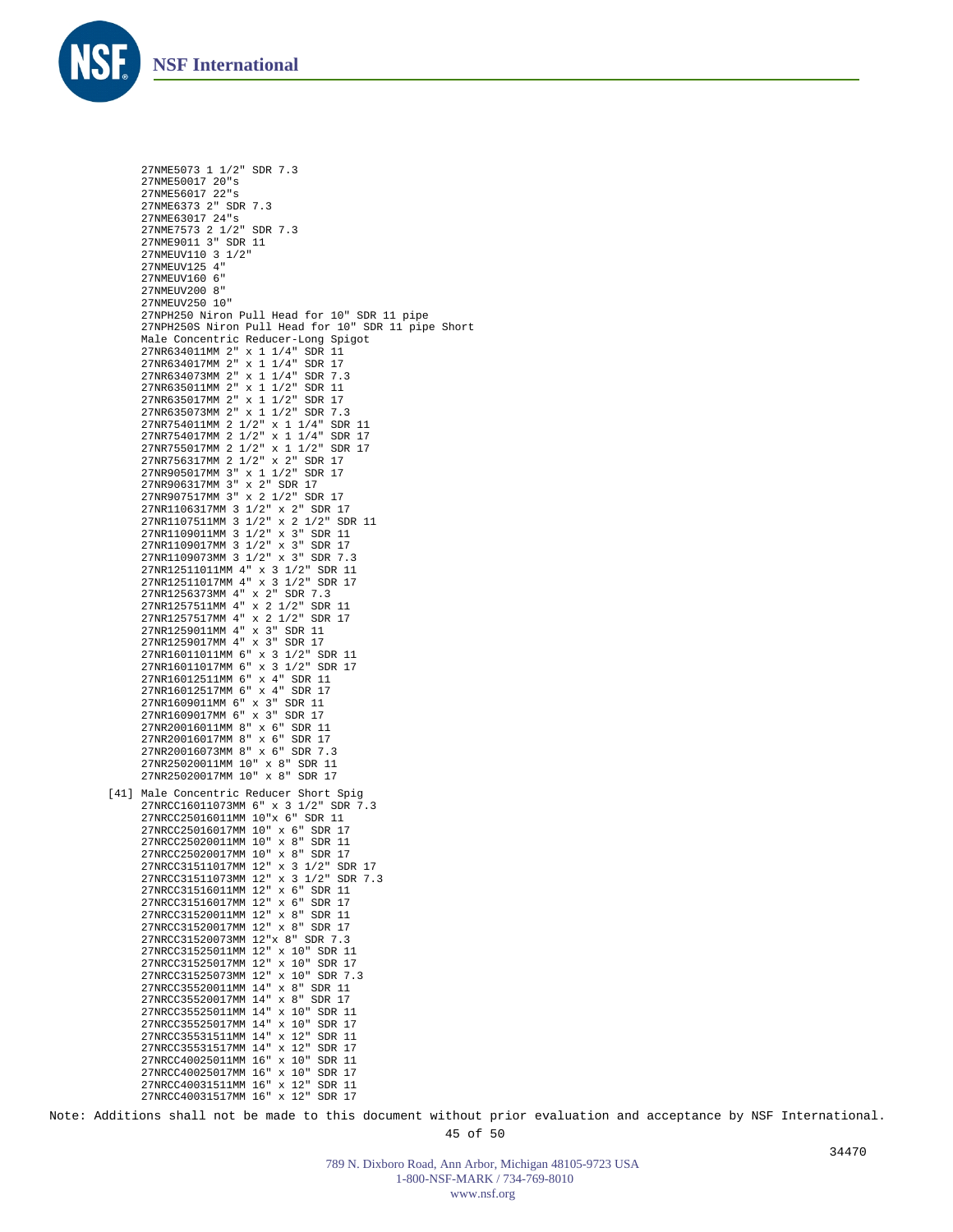![](_page_44_Picture_0.jpeg)

27NME5073 1 1/2" SDR 7.3 27NME50017 20"s 27NME56017 22"s 27NME6373 2" SDR 7.3 27NME63017 24"s 27NME7573 2 1/2" SDR 7.3 27NME9011 3" SDR 11 27NMEUV110 3 1/2" 27NMEUV125 4" 27NMEUV160 6" 27NMEUV200 8" 27NMEUV250 10" 27NPH250 Niron Pull Head for 10" SDR 11 pipe 27NPH250S Niron Pull Head for 10" SDR 11 pipe Short Male Concentric Reducer-Long Spigot 27NR634011MM 2" x 1 1/4" SDR 11 27NR634017MM 2" x 1 1/4" SDR 17 27NR634073MM 2" x 1 1/4" SDR 7.3 27NR635011MM 2" x 1 1/2" SDR 11 27NR635017MM 2" x 1 1/2" SDR 17 27NR635073MM 2" x 1 1/2" SDR 7.3 27NR754011MM 2 1/2" x 1 1/4" SDR 11 27NR754017MM 2 1/2" x 1 1/4" SDR 17 27NR755017MM 2 1/2" x 1 1/2" SDR 17 27NR756317MM 2 1/2" x 2" SDR 17 27NR905017MM 3" x 1 1/2" SDR 17 27NR906317MM 3" x 2" SDR 17 27NR907517MM 3" x 2 1/2" SDR 17 27NR1106317MM 3 1/2" x 2" SDR 17 27NR1107511MM 3 1/2" x 2 1/2" SDR 11 27NR1109011MM 3 1/2" x 3" SDR 11 27NR1109017MM 3 1/2" x 3" SDR 17 27NR1109073MM 3 1/2" x 3" SDR 7.3 27NR12511011MM 4" x 3 1/2" SDR 11 27NR12511017MM 4" x 3 1/2" SDR 17 27NR1256373MM 4" x 2" SDR 7.3 27NR1257511MM 4" x 2 1/2" SDR 11 27NR1257517MM 4" x 2 1/2" SDR 17 27NR1259011MM 4" x 3" SDR 11 27NR1259017MM 4" x 3" SDR 17 27NR16011011MM 6" x 3 1/2" SDR 11 27NR16011017MM 6" x 3 1/2" SDR 17 27NR16012511MM 6" x 4" SDR 11 27NR16012517MM 6" x 4" SDR 17 27NR1609011MM 6" x 3" SDR 11 27NR1609017MM 6" x 3" SDR 17 27NR20016011MM 8" x 6" SDR 11 27NR20016017MM 8" x 6" SDR 17 27NR20016073MM 8" x 6" SDR 7.3 27NR25020011MM 10" x 8" SDR 11 27NR25020017MM 10" x 8" SDR 17 [41] Male Concentric Reducer Short Spig 27NRCC16011073MM 6" x 3 1/2" SDR 7.3 27NRCC25016011MM 10"x 6" SDR 11 27NRCC25016017MM 10" x 6" SDR 17 27NRCC25020011MM 10" x 8" SDR 11 27NRCC25020017MM 10" x 8" SDR 17 27NRCC31511017MM 12" x 3 1/2" SDR 17 27NRCC31511073MM 12" x 3 1/2" SDR 7.3 27NRCC31516011MM 12" x 6" SDR 11 27NRCC31516017MM 12" x 6" SDR 17 27NRCC31520011MM 12" x 8" SDR 11 27NRCC31520017MM 12" x 8" SDR 17 27NRCC31520073MM 12"x 8" SDR 7.3 27NRCC31525011MM 12" x 10" SDR 11 27NRCC31525017MM 12" x 10" SDR 17 27NRCC31525073MM 12" x 10" SDR 7.3 27NRCC35520011MM 14" x 8" SDR 11 27NRCC35520017MM 14" x 8" SDR 17 27NRCC35525011MM 14" x 10" SDR 11 27NRCC35525017MM 14" x 10" SDR 17 27NRCC35531511MM 14" x 12" SDR 11 27NRCC35531517MM 14" x 12" SDR 17 27NRCC40025011MM 16" x 10" SDR 11 27NRCC40025017MM 16" x 10" SDR 17 27NRCC40031511MM 16" x 12" SDR 11 27NRCC40031517MM 16" x 12" SDR 17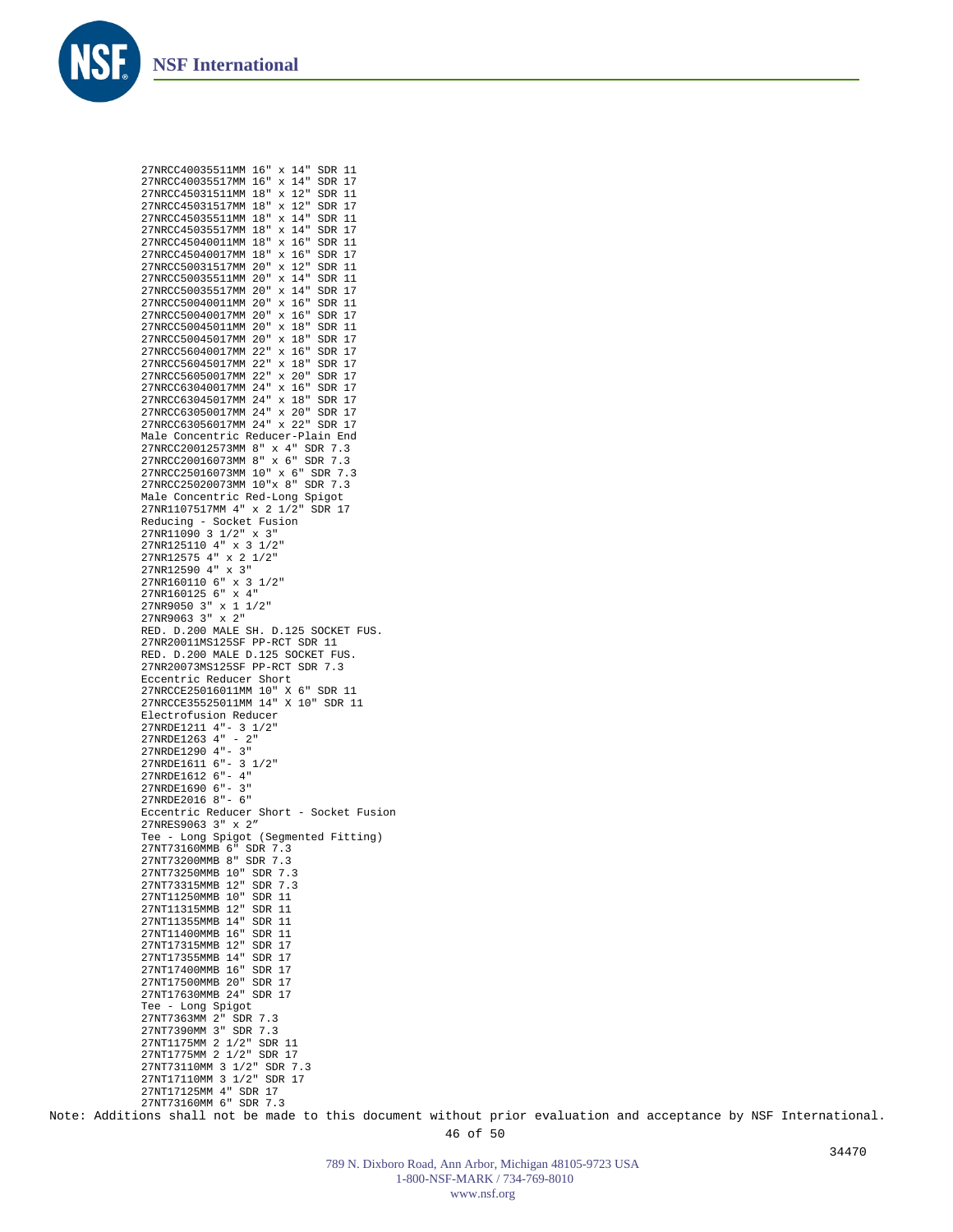![](_page_45_Picture_0.jpeg)

27NRCC40035511MM 16" x 14" SDR 11

![](_page_45_Picture_1.jpeg)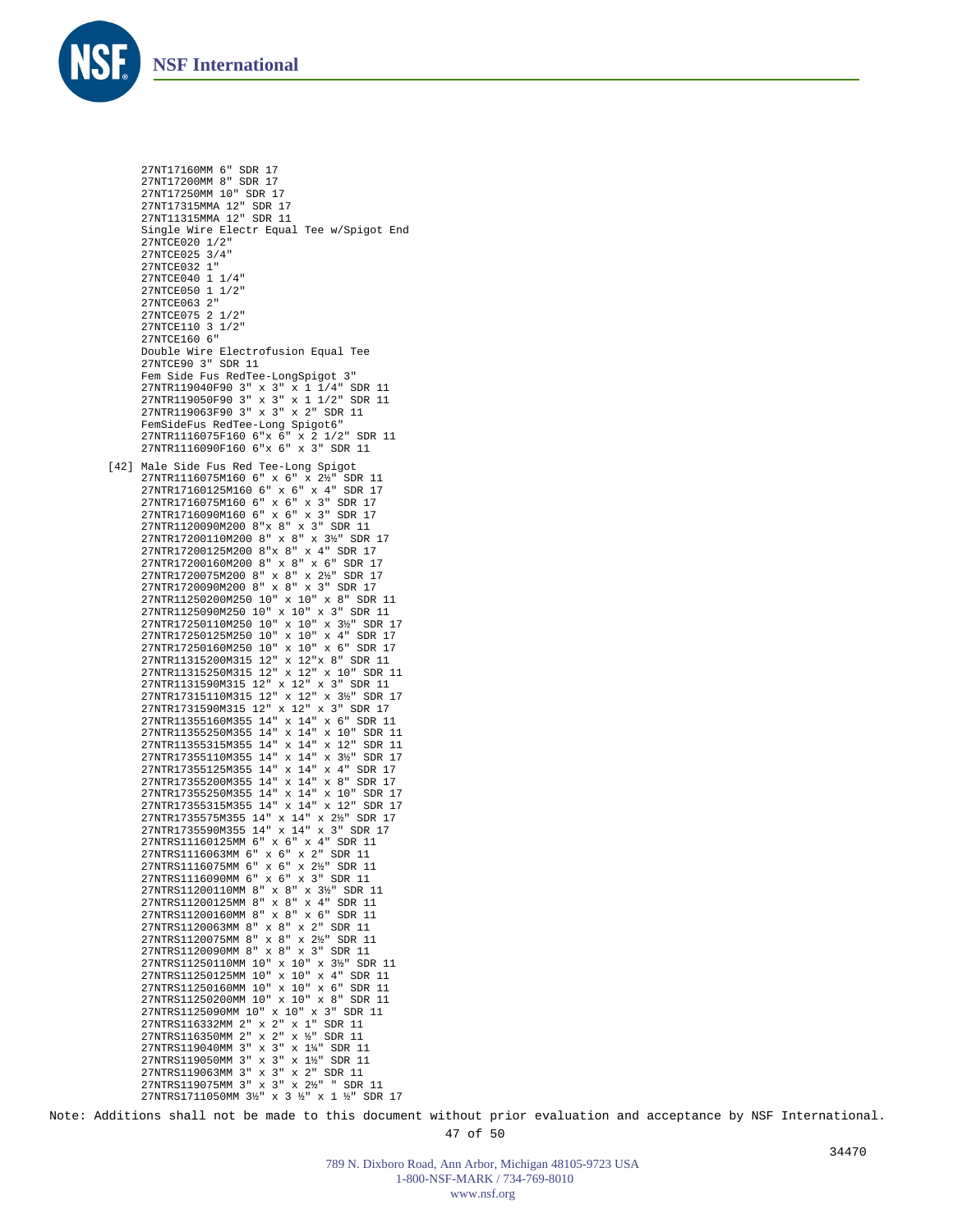![](_page_46_Picture_0.jpeg)

```
27NT17160MM 6" SDR 17
      27NT17200MM 8" SDR 17
      27NT17250MM 10" SDR 17
      27NT17315MMA 12" SDR 17
      27NT11315MMA 12" SDR 11
     Single Wire Electr Equal Tee w/Spigot End
      27NTCE020 1/2"
      27NTCE025 3/4"
      27NTCE032 1"
     27NTCE040 1 1/4"
      27NTCE050 1 1/2"
      27NTCE063 2"
     27NTCE075 2 1/2"
      27NTCE110 3 1/2"
     27NTCE160 6"
     Double Wire Electrofusion Equal Tee
     27NTCE90 3" SDR 11
     Fem Side Fus RedTee-LongSpigot 3"
      27NTR119040F90 3" x 3" x 1 1/4" SDR 11
27NTR119050F90 3" x 3" x 1 1/2" SDR 11
      27NTR119063F90 3" x 3" x 2" SDR 11
      FemSideFus RedTee-Long Spigot6"
27NTR1116075F160 6"x 6" x 2 1/2" SDR 11
      27NTR1116090F160 6"x 6" x 3" SDR 11
[42] Male Side Fus Red Tee-Long Spigot
      27NTR1116075M160 6" x 6" x 2½" SDR 11
27NTR17160125M160 6" x 6" x 4" SDR 17
      27NTR1716075M160 6" x 6" x 3" SDR 17
27NTR1716090M160 6" x 6" x 3" SDR 17
      27NTR1120090M200 8"x 8" x 3" SDR 11
      27NTR17200110M200 8" x 8" x 3½" SDR 17
      27NTR17200125M200 8"x 8" x 4" SDR 17
      27NTR17200160M200 8" x 8" x 6" SDR 17
      27NTR1720075M200 8" x 8" x 2½" SDR 17
     27NTR1720090M200 8" x 8" x 3" SDR 17
      27NTR11250200M250 10" x 10" x 8" SDR 11
      27NTR1125090M250 10" x 10" x 3" SDR 11
      27NTR17250110M250 10" x 10" x 3½" SDR 17
27NTR17250125M250 10" x 10" x 4" SDR 17
      27NTR17250160M250 10" x 10" x 6" SDR 17
      27NTR11315200M315 12" x 12"x 8" SDR 11
      27NTR11315250M315 12" x 12" x 10" SDR 11
      27NTR1131590M315 12" x 12" x 3" SDR 11
27NTR17315110M315 12" x 12" x 3½" SDR 17
      27NTR1731590M315 12" x 12" x 3" SDR 17
27NTR11355160M355 14" x 14" x 6" SDR 11
27NTR11355250M355 14" x 14" x 10" SDR 11
     27NTR11355315M355 14" x 14" x 12" SDR 11
      27NTR17355110M355 14" x 14" x 3½" SDR 17
     27NTR17355125M355 14" x 14" x 4" SDR 17
      27NTR17355200M355 14" x 14" x 8" SDR 17
      27NTR17355250M355 14" x 14" x 10" SDR 17
      27NTR17355315M355 14" x 14" x 12" SDR 17
      27NTR1735575M355 14" x 14" x 2½" SDR 17
      27NTR1735590M355 14" x 14" x 3" SDR 17
      27NTRS11160125MM 6" x 6" x 4" SDR 11
      27NTRS1116063MM 6" x 6" x 2" SDR 11
      27NTRS1116075MM 6" x 6" x 2½" SDR 11
      27NTRS1116090MM 6" x 6" x 3" SDR 11
      27NTRS11200110MM 8" x 8" x 3½" SDR 11
      27NTRS11200125MM 8" x 8" x 4" SDR 11
      27NTRS11200160MM 8" x 8" x 6" SDR 11
      27NTRS1120063MM 8" x 8" x 2" SDR 11
      27NTRS1120075MM 8" x 8" x 2½" SDR 11
      27NTRS1120090MM 8" x 8" x 3" SDR 11
      27NTRS11250110MM 10" x 10" x 3½" SDR 11
27NTRS11250125MM 10" x 10" x 4" SDR 11
      27NTRS11250160MM 10" x 10" x 6" SDR 11
      27NTRS11250200MM 10" x 10" x 8" SDR 11
      27NTRS1125090MM 10" x 10" x 3" SDR 11
27NTRS116332MM 2" x 2" x 1" SDR 11
      27NTRS116350MM 2" x 2" x ½" SDR 11
      27NTRS119040MM 3" x 3" x 1¼" SDR 11
      27NTRS119050MM 3" x 3" x 1½" SDR 11
      27NTRS119063MM 3" x 3" x 2" SDR 11<br>27NTRS119075MM 3" x 3" x 2½" " SDR 11
      27NTRS119075MM 3" x 3" x 2½"
      27NTRS1711050MM 3½" x 3 ½" x 1 ½" SDR 17
```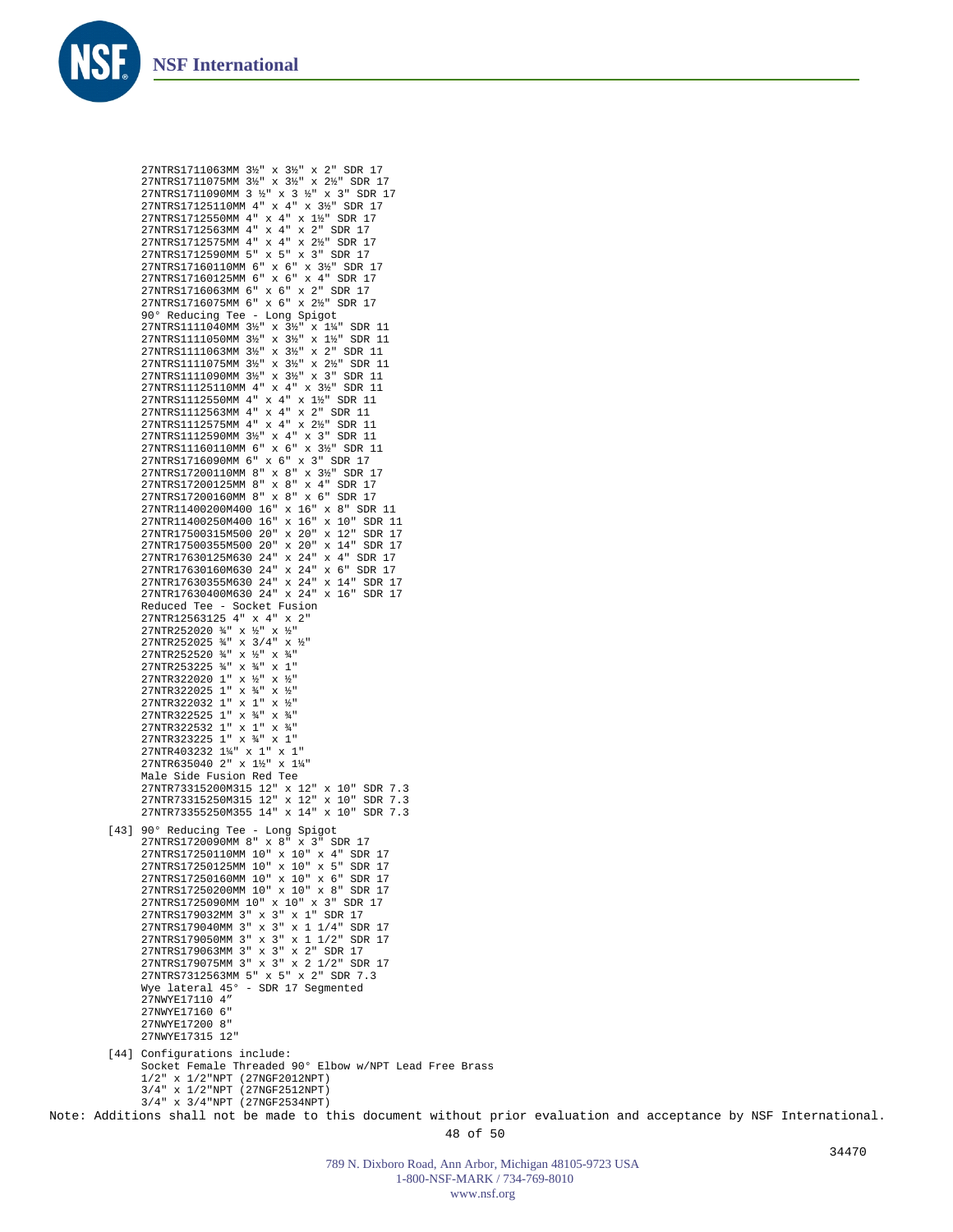![](_page_47_Picture_0.jpeg)

```
27NTRS1711063MM 3½" x 3½" x 2" SDR 17
27NTRS1711075MM 3½" x 3½" x 2½" SDR 17
      27NTRS1711090MM 3 ½" x 3 ½" x 3" SDR 17
      27NTRS17125110MM 4" x 4" x 3½" SDR 17
      27NTRS1712550MM 4" x 4" x 1½" SDR 17
      27NTRS1712563MM 4" x 4" x 2" SDR 17
      27NTRS1712575MM 4" x 4" x 2½" SDR 17
      27NTRS1712590MM 5" x 5" x 3" SDR 17
      27NTRS17160110MM 6" x 6" x 3½" SDR 17
      27NTRS17160125MM 6" x 6" x 4" SDR 17
      27NTRS1716063MM 6" x 6" x 2" SDR 17
      27NTRS1716075MM 6" x 6" x 2½" SDR 17
      90° Reducing Tee - Long Spigot
      27NTRS1111040MM 3½" x 3½" x 1¼" SDR 11
27NTRS1111050MM 3½" x 3½" x 1½" SDR 11
27NTRS1111063MM 3½" x 3½" x 2" SDR 11
      27NTRS1111075MM 3½" x 3½" x 2½" SDR 11
27NTRS1111090MM 3½" x 3½" x 3" SDR 11
     27NTRS11125110MM 4" x 4" x 3½" SDR 11
      27NTRS1112550MM 4" x 4" x 1½" SDR 11
      27NTRS1112563MM 4" x 4" x 2" SDR 11
     27NTRS1112575MM 4" x 4" x 2½" SDR 11
      27NTRS1112590MM 3½" x 4" x 3" SDR 11
     27NTRS11160110MM 6" x 6" x 3½" SDR 11
      27NTRS1716090MM 6" x 6" x 3" SDR 17
      27NTRS17200110MM 8" x 8" x 3½" SDR 17
      27NTRS17200125MM 8" x 8" x 4" SDR 17
27NTRS17200160MM 8" x 8" x 6" SDR 17
      27NTR11400200M400 16" x 16" x 8" SDR 11
      27NTR11400250M400 16" x 16" x 10" SDR 11
      27NTR17500315M500 20" x 20" x 12" SDR 17
      27NTR17500355M500 20" x 20" x 14" SDR 17
      27NTR17630125M630 24" x 24" x 4" SDR 17
      27NTR17630160M630 24" x 24" x 6" SDR 17
      27NTR17630355M630 24" x 24" x 14" SDR 17
     27NTR17630400M630 24" x 24" x 16" SDR 17
      Reduced Tee - Socket Fusion
27NTR12563125 4" x 4" x 2"
      27NTR252020 ¾" x ½" x ½"
27NTR252025 ¾" x 3/4" x ½"
27NTR252520 ¾" x ½" x ¾"
      27NTR253225 ¾" x ¾" x 1"
27NTR322020 1" x ½" x ½"
      27NTR322025 1" x ¾" x ½"
      27NTR322032 1" x 1" x ½"
      27NTR322525 1" x ¾" x ¾"
     27NTR322532 1" x 1" x ¾"
      27NTR323225 1" x ¾" x 1"
     27NTR403232 1¼" x 1" x 1"
      27NTR635040 2" x 1½" x 1¼"
     Male Side Fusion Red Tee
      27NTR73315200M315 12" x 12" x 10" SDR 7.3
27NTR73315250M315 12" x 12" x 10" SDR 7.3
      27NTR73355250M355 14" x 14" x 10" SDR 7.3
90° Reducing Tee - Long Spigot
27NTRS1720090MM 8" x 8" x 3" SDR 17
[43]
      27NTRS17250110MM 10" x 10" x 4" SDR 17
      27NTRS17250125MM 10" x 10" x 5" SDR 17
      27NTRS17250160MM 10" x 10" x 6" SDR 17
      27NTRS17250200MM 10" x 10" x 8" SDR 17
      27NTRS1725090MM 10" x 10" x 3" SDR 17
      27NTRS179032MM 3" x 3" x 1" SDR 17
      27NTRS179040MM 3" x 3" x 1 1/4" SDR 17
      27NTRS179050MM 3" x 3" x 1 1/2" SDR 17
      27NTRS179063MM 3" x 3" x 2" SDR 17
27NTRS179075MM 3" x 3" x 2 1/2" SDR 17
27NTRS7312563MM 5" x 5" x 2" SDR 7.3
     Wye lateral 45° - SDR 17 Segmented
      27NWYE17110 4"
     27NWYE17160 6"
      27NWYE17200 8"
      27NWYE17315 12"
[44] Configurations include:
      Socket Female Threaded 90° Elbow w/NPT Lead Free Brass
     1/2" x 1/2"NPT (27NGF2012NPT)
     3/4" x 1/2"NPT (27NGF2512NPT)
      3/4" x 3/4"NPT (27NGF2534NPT)
```
Note: Additions shall not be made to this document without prior evaluation and acceptance by NSF International.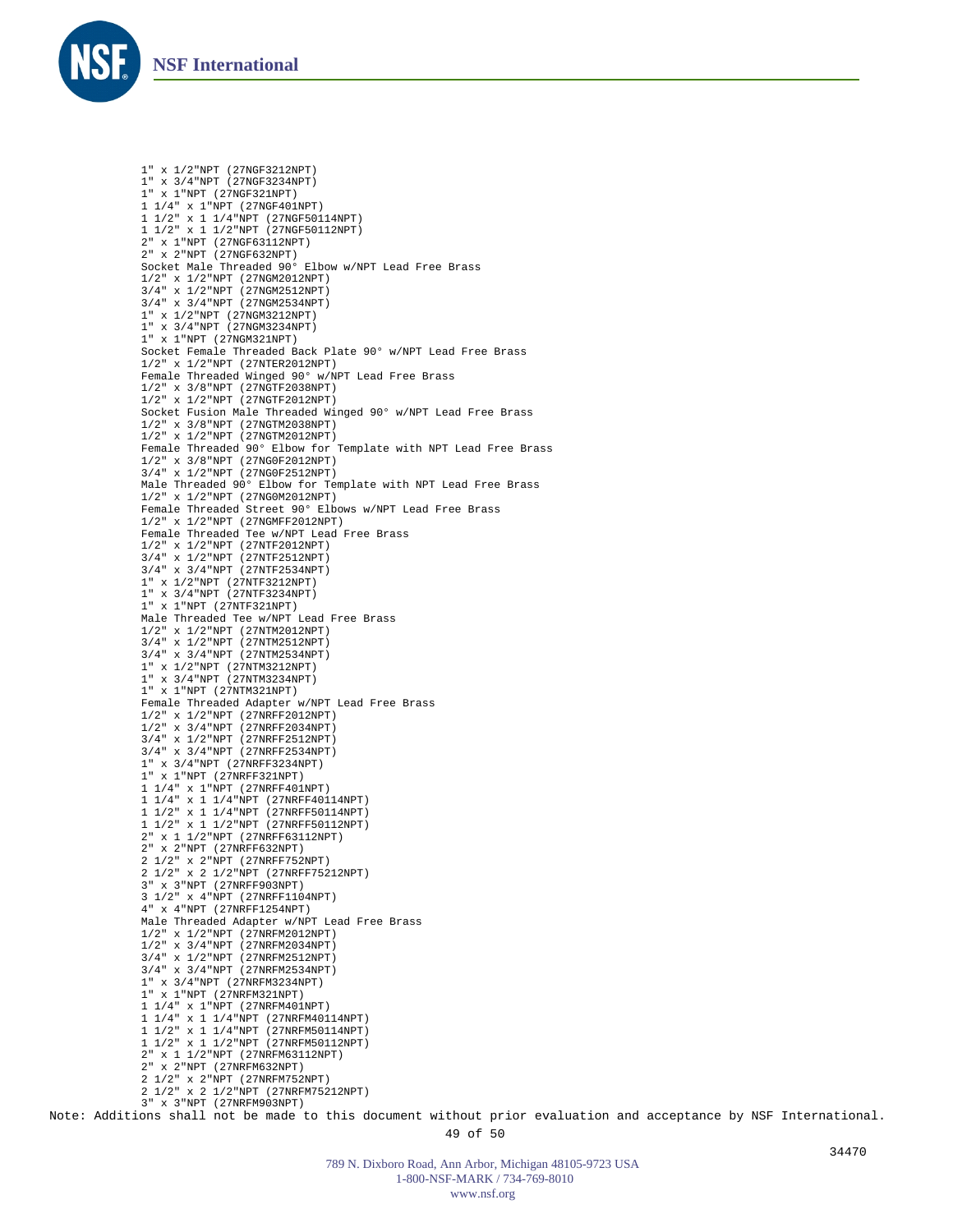![](_page_48_Picture_0.jpeg)

1" x 1/2"NPT (27NGF3212NPT) 1" x 3/4"NPT (27NGF3234NPT) 1" x 1"NPT (27NGF321NPT) 1 1/4" x 1"NPT (27NGF401NPT) 1 1/2" x 1 1/4"NPT (27NGF50114NPT) 1 1/2" x 1 1/2"NPT (27NGF50112NPT) 2" x 1"NPT (27NGF63112NPT) 2" x 2"NPT (27NGF632NPT) Socket Male Threaded 90° Elbow w/NPT Lead Free Brass 1/2" x 1/2"NPT (27NGM2012NPT) 3/4" x 1/2"NPT (27NGM2512NPT) 3/4" x 3/4"NPT (27NGM2534NPT) 1" x 1/2"NPT (27NGM3212NPT) 1" x 3/4"NPT (27NGM3234NPT) 1" x 1"NPT (27NGM321NPT) Socket Female Threaded Back Plate 90° w/NPT Lead Free Brass 1/2" x 1/2"NPT (27NTER2012NPT) Female Threaded Winged 90° w/NPT Lead Free Brass 1/2" x 3/8"NPT (27NGTF2038NPT) 1/2" x 1/2"NPT (27NGTF2012NPT) Socket Fusion Male Threaded Winged 90° w/NPT Lead Free Brass 1/2" x 3/8"NPT (27NGTM2038NPT) 1/2" x 1/2"NPT (27NGTM2012NPT) Female Threaded 90° Elbow for Template with NPT Lead Free Brass 1/2" x 3/8"NPT (27NG0F2012NPT) 3/4" x 1/2"NPT (27NG0F2512NPT) Male Threaded 90° Elbow for Template with NPT Lead Free Brass 1/2" x 1/2"NPT (27NG0M2012NPT) Female Threaded Street 90° Elbows w/NPT Lead Free Brass 1/2" x 1/2"NPT (27NGMFF2012NPT) Female Threaded Tee w/NPT Lead Free Brass 1/2" x 1/2"NPT (27NTF2012NPT) 3/4" x 1/2"NPT (27NTF2512NPT) 3/4" x 3/4"NPT (27NTF2534NPT) 1" x 1/2"NPT (27NTF3212NPT) 1" x 3/4"NPT (27NTF3234NPT) 1" x 1"NPT (27NTF321NPT) Male Threaded Tee w/NPT Lead Free Brass 1/2" x 1/2"NPT (27NTM2012NPT) 3/4" x 1/2"NPT (27NTM2512NPT) 3/4" x 3/4"NPT (27NTM2534NPT) 1" x 1/2"NPT (27NTM3212NPT) 1" x 3/4"NPT (27NTM3234NPT) 1" x 1"NPT (27NTM321NPT) Female Threaded Adapter w/NPT Lead Free Brass 1/2" x 1/2"NPT (27NRFF2012NPT) 1/2" x 3/4"NPT (27NRFF2034NPT) 3/4" x 1/2"NPT (27NRFF2512NPT) 3/4" x 3/4"NPT (27NRFF2534NPT) 1" x 3/4"NPT (27NRFF3234NPT) 1" x 1"NPT (27NRFF321NPT) 1 1/4" x 1"NPT (27NRFF401NPT) 1 1/4" x 1 1/4"NPT (27NRFF40114NPT) 1 1/2" x 1 1/4"NPT (27NRFF50114NPT) 1 1/2" x 1 1/2"NPT (27NRFF50112NPT) 2" x 1 1/2"NPT (27NRFF63112NPT) 2" x 2"NPT (27NRFF632NPT) 2 1/2" x 2"NPT (27NRFF752NPT) 2 1/2" x 2 1/2"NPT (27NRFF75212NPT) 3" x 3"NPT (27NRFF903NPT) 3 1/2" x 4"NPT (27NRFF1104NPT) 4" x 4"NPT (27NRFF1254NPT) Male Threaded Adapter w/NPT Lead Free Brass 1/2" x 1/2"NPT (27NRFM2012NPT) 1/2" x 3/4"NPT (27NRFM2034NPT) 3/4" x 1/2"NPT (27NRFM2512NPT) 3/4" x 3/4"NPT (27NRFM2534NPT) 1" x 3/4"NPT (27NRFM3234NPT) 1" x 1"NPT (27NRFM321NPT) 1 1/4" x 1"NPT (27NRFM401NPT) 1 1/4" x 1 1/4"NPT (27NRFM40114NPT) 1 1/2" x 1 1/4"NPT (27NRFM50114NPT) 1 1/2" x 1 1/2"NPT (27NRFM50112NPT) 2" x 1 1/2"NPT (27NRFM63112NPT) 2" x 2"NPT (27NRFM632NPT) 2 1/2" x 2"NPT (27NRFM752NPT) 2 1/2" x 2 1/2"NPT (27NRFM75212NPT) 3" x 3"NPT (27NRFM903NPT)